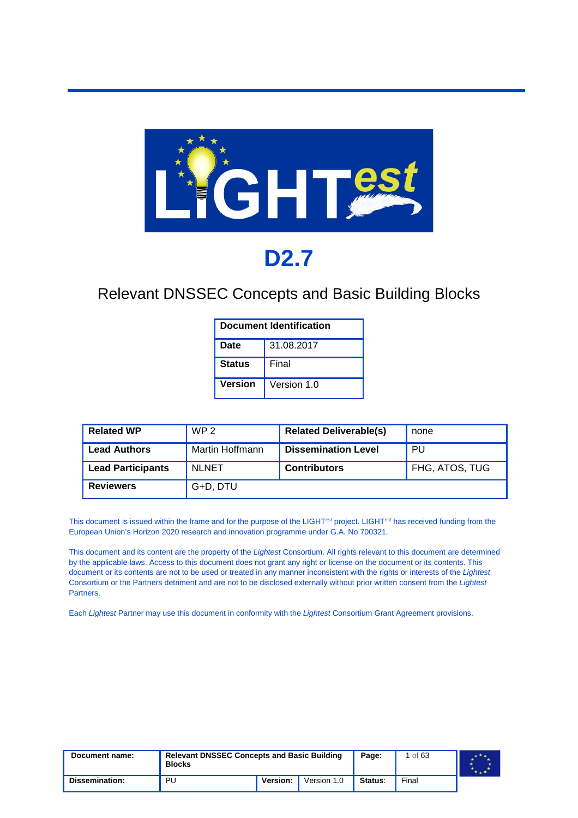

# **D2.7**

#### Relevant DNSSEC Concepts and Basic Building Blocks

| <b>Document Identification</b> |             |  |  |  |  |
|--------------------------------|-------------|--|--|--|--|
| Date                           | 31.08.2017  |  |  |  |  |
| <b>Status</b>                  | Final       |  |  |  |  |
| <b>Version</b>                 | Version 1.0 |  |  |  |  |

| <b>Related WP</b>        | WP <sub>2</sub> | <b>Related Deliverable(s)</b> | none           |
|--------------------------|-----------------|-------------------------------|----------------|
| <b>Lead Authors</b>      | Martin Hoffmann | <b>Dissemination Level</b>    | PU             |
| <b>Lead Participants</b> | <b>NLNET</b>    | <b>Contributors</b>           | FHG, ATOS, TUG |
| <b>Reviewers</b>         | G+D, DTU        |                               |                |

This document is issued within the frame and for the purpose of the LIGHT*est* project. LIGHT*est* has received funding from the European Union's Horizon 2020 research and innovation programme under G.A. No 700321.

This document and its content are the property of the *Lightest* Consortium. All rights relevant to this document are determined by the applicable laws. Access to this document does not grant any right or license on the document or its contents. This document or its contents are not to be used or treated in any manner inconsistent with the rights or interests of the *Lightest* Consortium or the Partners detriment and are not to be disclosed externally without prior written consent from the *Lightest* Partners.

Each *Lightest* Partner may use this document in conformity with the *Lightest* Consortium Grant Agreement provisions.

| Document name: | <b>Relevant DNSSEC Concepts and Basic Building</b><br><b>Blocks</b> |          | Page:       | of $63$ |       |  |
|----------------|---------------------------------------------------------------------|----------|-------------|---------|-------|--|
| Dissemination: | PU                                                                  | Version: | Version 1.0 | Status: | Final |  |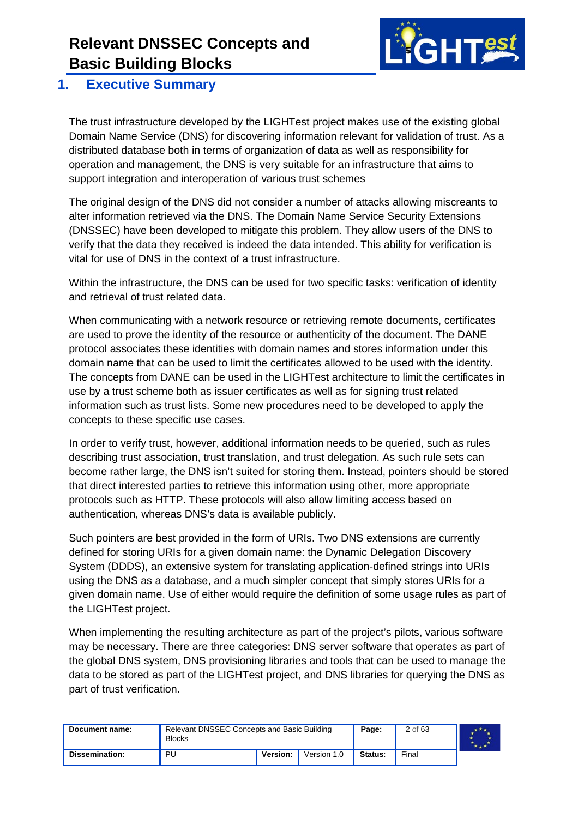

#### <span id="page-1-0"></span>**1. Executive Summary**

The trust infrastructure developed by the LIGHTest project makes use of the existing global Domain Name Service (DNS) for discovering information relevant for validation of trust. As a distributed database both in terms of organization of data as well as responsibility for operation and management, the DNS is very suitable for an infrastructure that aims to support integration and interoperation of various trust schemes

The original design of the DNS did not consider a number of attacks allowing miscreants to alter information retrieved via the DNS. The Domain Name Service Security Extensions (DNSSEC) have been developed to mitigate this problem. They allow users of the DNS to verify that the data they received is indeed the data intended. This ability for verification is vital for use of DNS in the context of a trust infrastructure.

Within the infrastructure, the DNS can be used for two specific tasks: verification of identity and retrieval of trust related data.

When communicating with a network resource or retrieving remote documents, certificates are used to prove the identity of the resource or authenticity of the document. The DANE protocol associates these identities with domain names and stores information under this domain name that can be used to limit the certificates allowed to be used with the identity. The concepts from DANE can be used in the LIGHTest architecture to limit the certificates in use by a trust scheme both as issuer certificates as well as for signing trust related information such as trust lists. Some new procedures need to be developed to apply the concepts to these specific use cases.

In order to verify trust, however, additional information needs to be queried, such as rules describing trust association, trust translation, and trust delegation. As such rule sets can become rather large, the DNS isn't suited for storing them. Instead, pointers should be stored that direct interested parties to retrieve this information using other, more appropriate protocols such as HTTP. These protocols will also allow limiting access based on authentication, whereas DNS's data is available publicly.

Such pointers are best provided in the form of URIs. Two DNS extensions are currently defined for storing URIs for a given domain name: the Dynamic Delegation Discovery System (DDDS), an extensive system for translating application-defined strings into URIs using the DNS as a database, and a much simpler concept that simply stores URIs for a given domain name. Use of either would require the definition of some usage rules as part of the LIGHTest project.

When implementing the resulting architecture as part of the project's pilots, various software may be necessary. There are three categories: DNS server software that operates as part of the global DNS system, DNS provisioning libraries and tools that can be used to manage the data to be stored as part of the LIGHTest project, and DNS libraries for querying the DNS as part of trust verification.

| Document name: | Relevant DNSSEC Concepts and Basic Building<br><b>Blocks</b> |          |             | Page:   | 2 of 63 |  |
|----------------|--------------------------------------------------------------|----------|-------------|---------|---------|--|
| Dissemination: | <b>PU</b>                                                    | Version: | Version 1.0 | Status: | Final   |  |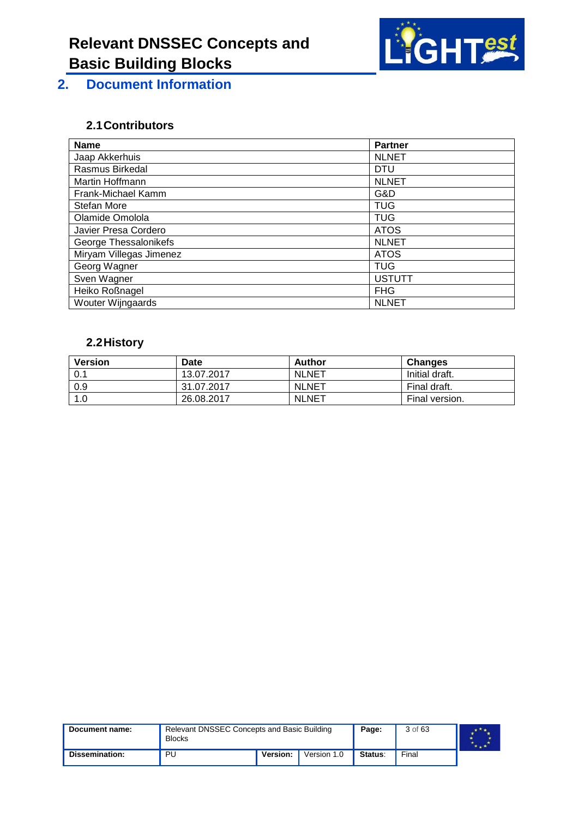

<span id="page-2-0"></span>**2. Document Information**

#### <span id="page-2-1"></span>**2.1Contributors**

| <b>Name</b>             | <b>Partner</b> |
|-------------------------|----------------|
| Jaap Akkerhuis          | <b>NLNET</b>   |
| Rasmus Birkedal         | <b>DTU</b>     |
| Martin Hoffmann         | <b>NLNET</b>   |
| Frank-Michael Kamm      | G&D            |
| Stefan More             | <b>TUG</b>     |
| Olamide Omolola         | <b>TUG</b>     |
| Javier Presa Cordero    | <b>ATOS</b>    |
| George Thessalonikefs   | <b>NLNET</b>   |
| Miryam Villegas Jimenez | <b>ATOS</b>    |
| Georg Wagner            | <b>TUG</b>     |
| Sven Wagner             | <b>USTUTT</b>  |
| Heiko Roßnagel          | <b>FHG</b>     |
| Wouter Wijngaards       | <b>NLNET</b>   |

#### <span id="page-2-2"></span>**2.2History**

| <b>Version</b> | Date       | Author       | <b>Changes</b> |
|----------------|------------|--------------|----------------|
| 0.1            | 13.07.2017 | <b>NLNET</b> | Initial draft. |
| 0.9            | 31.07.2017 | <b>NLNET</b> | Final draft.   |
| $\vert$ 1.0    | 26.08.2017 | <b>NLNET</b> | Final version. |

| Document name: | Relevant DNSSEC Concepts and Basic Building<br><b>Blocks</b> |          |             | Page:   | 3 of 63 |  |
|----------------|--------------------------------------------------------------|----------|-------------|---------|---------|--|
| Dissemination: | PU                                                           | Version: | Version 1.0 | Status: | Final   |  |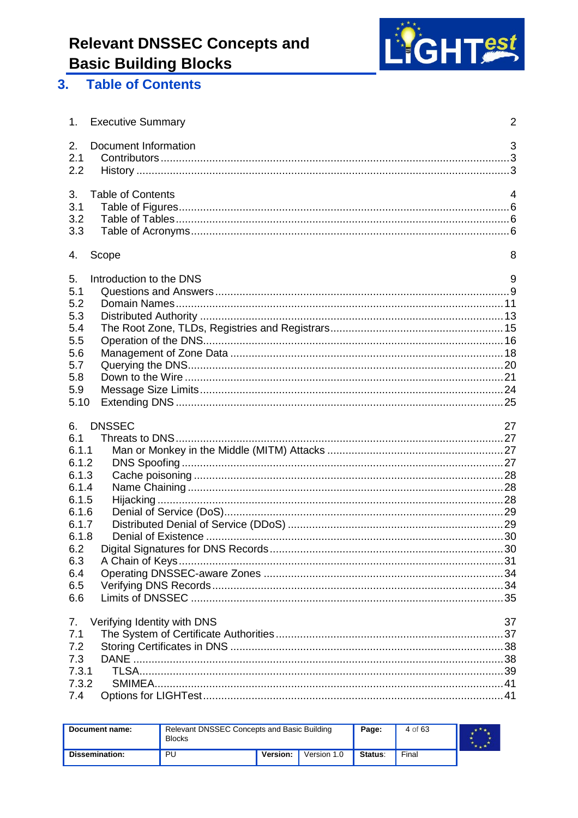

#### <span id="page-3-0"></span>3. Table of Contents

| 1.                                                                        | <b>Executive Summary</b>    | $\overline{2}$ |
|---------------------------------------------------------------------------|-----------------------------|----------------|
| 2.<br>2.1<br>2.2                                                          | Document Information        | 3              |
| 3.<br>3.1<br>3.2<br>3.3                                                   | <b>Table of Contents</b>    | $\overline{4}$ |
| 4.                                                                        | Scope                       | 8              |
| 5.<br>5.1<br>5.2<br>5.3<br>5.4<br>5.5<br>5.6<br>5.7<br>5.8<br>5.9<br>5.10 | Introduction to the DNS     | 9              |
|                                                                           |                             |                |
| 6.<br>6.1                                                                 | <b>DNSSEC</b>               | 27             |
| 6.1.1                                                                     |                             |                |
| 6.1.2                                                                     |                             |                |
| 6.1.3                                                                     |                             |                |
| 6.1.4                                                                     |                             |                |
| 6.1.5                                                                     |                             |                |
| 6.1.6                                                                     |                             |                |
| 6.1.7<br>6.1.8                                                            |                             |                |
| 6.2                                                                       |                             |                |
| 6.3                                                                       |                             |                |
| 6.4                                                                       |                             |                |
| 6.5<br>6.6                                                                |                             |                |
| 7.                                                                        | Verifying Identity with DNS | 37             |
| 7.1                                                                       |                             |                |
| 7.2                                                                       |                             |                |
| 7.3                                                                       |                             |                |
| 7.3.1                                                                     |                             |                |
| 7.3.2<br>7.4                                                              |                             |                |

| Document name:        | Relevant DNSSEC Concepts and Basic Building<br><b>Blocks</b> |          |             | Page:   | 4 of 63 |  |
|-----------------------|--------------------------------------------------------------|----------|-------------|---------|---------|--|
| <b>Dissemination:</b> | PU                                                           | Version: | Version 1.0 | Status: | Final   |  |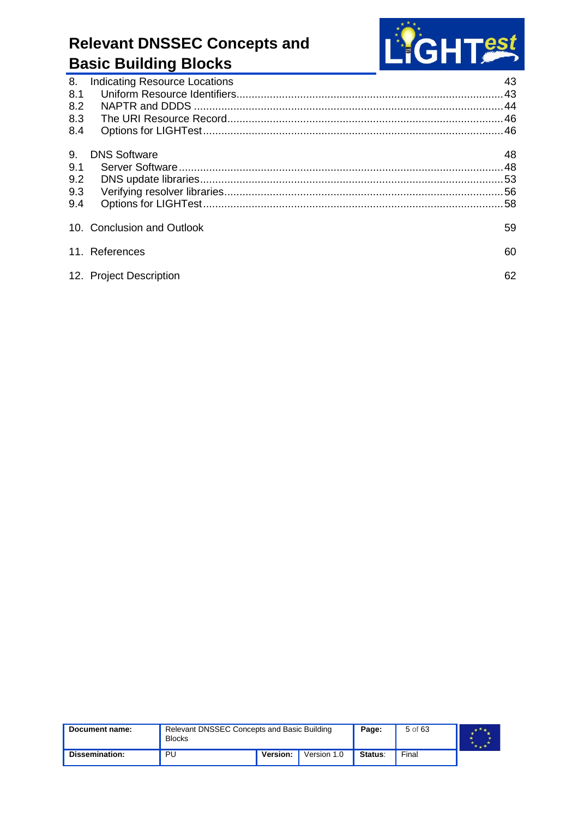

| 8.<br>8.1 | <b>Indicating Resource Locations</b> | 43<br>.43 |
|-----------|--------------------------------------|-----------|
| 8.2       |                                      |           |
| 8.3       |                                      |           |
| 8.4       |                                      |           |
| 9.        | <b>DNS Software</b>                  | 48        |
| 9.1       |                                      |           |
| 9.2       |                                      |           |
| 9.3       |                                      |           |
| 9.4       |                                      |           |
|           | 10. Conclusion and Outlook           | 59        |
|           | 11. References                       | 60        |
|           | 12. Project Description              | 62        |
|           |                                      |           |

| Document name: | Relevant DNSSEC Concepts and Basic Building<br><b>Blocks</b> |          |             | Page:          | 5 of 63 |  |
|----------------|--------------------------------------------------------------|----------|-------------|----------------|---------|--|
| Dissemination: | PU                                                           | Version: | Version 1.0 | <b>Status:</b> | Final   |  |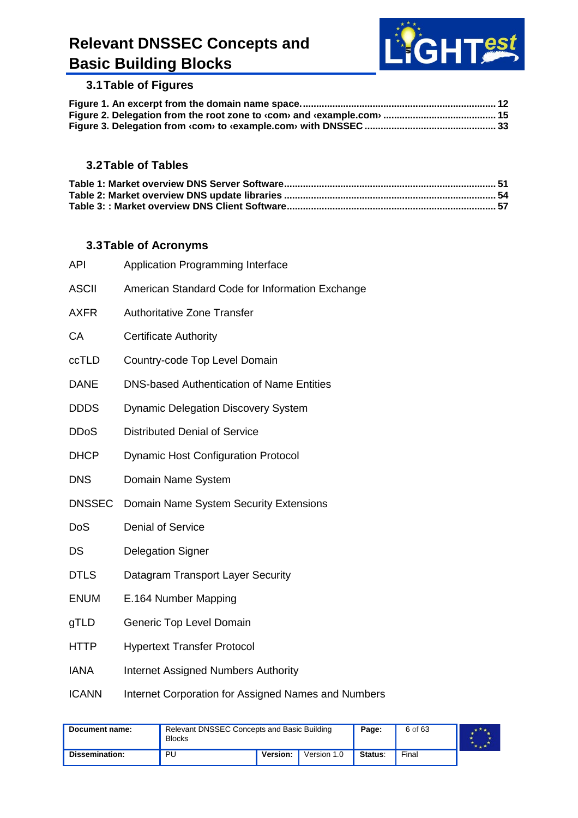

#### <span id="page-5-0"></span>**3.1Table of Figures**

#### <span id="page-5-1"></span>**3.2Table of Tables**

#### <span id="page-5-2"></span>**3.3Table of Acronyms**

| <b>API</b>    | Application Programming Interface                   |
|---------------|-----------------------------------------------------|
| <b>ASCII</b>  | American Standard Code for Information Exchange     |
| <b>AXFR</b>   | <b>Authoritative Zone Transfer</b>                  |
| CA            | <b>Certificate Authority</b>                        |
| ccTLD         | Country-code Top Level Domain                       |
| <b>DANE</b>   | <b>DNS-based Authentication of Name Entities</b>    |
| <b>DDDS</b>   | <b>Dynamic Delegation Discovery System</b>          |
| <b>DDoS</b>   | <b>Distributed Denial of Service</b>                |
| <b>DHCP</b>   | <b>Dynamic Host Configuration Protocol</b>          |
| <b>DNS</b>    | Domain Name System                                  |
| <b>DNSSEC</b> | Domain Name System Security Extensions              |
| DoS           | <b>Denial of Service</b>                            |
| DS            | <b>Delegation Signer</b>                            |
| <b>DTLS</b>   | Datagram Transport Layer Security                   |
| <b>ENUM</b>   | E.164 Number Mapping                                |
| gTLD          | Generic Top Level Domain                            |
| <b>HTTP</b>   | <b>Hypertext Transfer Protocol</b>                  |
| <b>IANA</b>   | <b>Internet Assigned Numbers Authority</b>          |
| <b>ICANN</b>  | Internet Corporation for Assigned Names and Numbers |

| Document name:        | Relevant DNSSEC Concepts and Basic Building<br><b>Blocks</b> |          |             | Page:   | 6 of 63 |  |
|-----------------------|--------------------------------------------------------------|----------|-------------|---------|---------|--|
| <b>Dissemination:</b> | PU                                                           | Version: | Version 1.0 | Status: | Final   |  |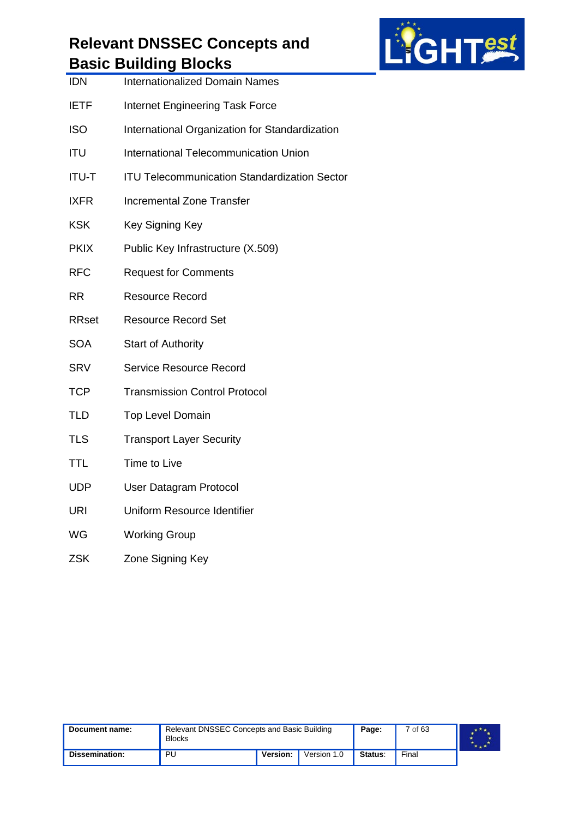

|              | <u>. ອ</u>                                          |
|--------------|-----------------------------------------------------|
| <b>IDN</b>   | <b>Internationalized Domain Names</b>               |
| <b>IETF</b>  | Internet Engineering Task Force                     |
| <b>ISO</b>   | International Organization for Standardization      |
| <b>ITU</b>   | International Telecommunication Union               |
| <b>ITU-T</b> | <b>ITU Telecommunication Standardization Sector</b> |
| <b>IXFR</b>  | <b>Incremental Zone Transfer</b>                    |
| <b>KSK</b>   | Key Signing Key                                     |
| <b>PKIX</b>  | Public Key Infrastructure (X.509)                   |
| <b>RFC</b>   | <b>Request for Comments</b>                         |
| <b>RR</b>    | <b>Resource Record</b>                              |
| <b>RRset</b> | <b>Resource Record Set</b>                          |
| <b>SOA</b>   | <b>Start of Authority</b>                           |
| <b>SRV</b>   | <b>Service Resource Record</b>                      |
| <b>TCP</b>   | <b>Transmission Control Protocol</b>                |
| <b>TLD</b>   | <b>Top Level Domain</b>                             |
| <b>TLS</b>   | <b>Transport Layer Security</b>                     |
| <b>TTL</b>   | Time to Live                                        |
| <b>UDP</b>   | User Datagram Protocol                              |
| <b>URI</b>   | Uniform Resource Identifier                         |
| WG           | <b>Working Group</b>                                |
| <b>ZSK</b>   | Zone Signing Key                                    |
|              |                                                     |

| Document name: | Relevant DNSSEC Concepts and Basic Building<br><b>Blocks</b> |          |             | Page:   | 7 of 63 |  |
|----------------|--------------------------------------------------------------|----------|-------------|---------|---------|--|
| Dissemination: | ΡU                                                           | Version: | Version 1.0 | Status: | Final   |  |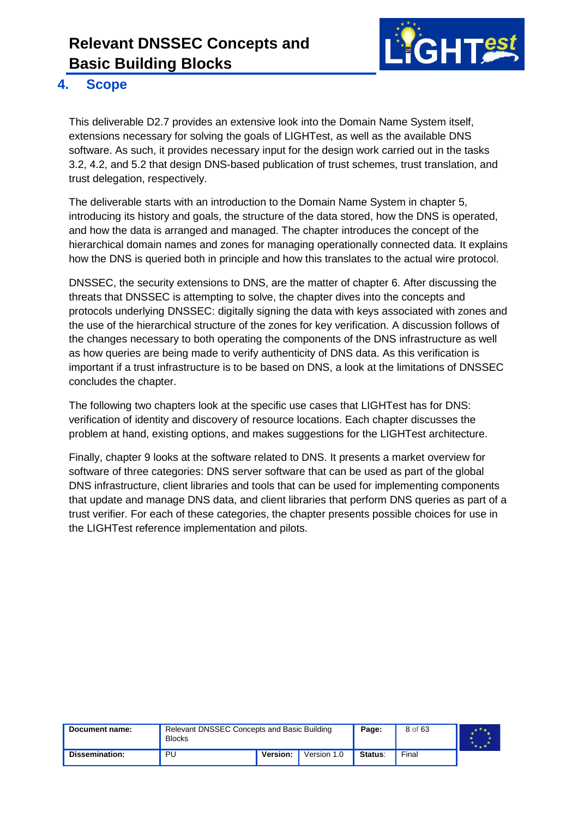

#### <span id="page-7-0"></span>**4. Scope**

This deliverable D2.7 provides an extensive look into the Domain Name System itself, extensions necessary for solving the goals of LIGHTest, as well as the available DNS software. As such, it provides necessary input for the design work carried out in the tasks 3.2, 4.2, and 5.2 that design DNS-based publication of trust schemes, trust translation, and trust delegation, respectively.

The deliverable starts with an introduction to the Domain Name System in chapter 5, introducing its history and goals, the structure of the data stored, how the DNS is operated, and how the data is arranged and managed. The chapter introduces the concept of the hierarchical domain names and zones for managing operationally connected data. It explains how the DNS is queried both in principle and how this translates to the actual wire protocol.

DNSSEC, the security extensions to DNS, are the matter of chapter 6. After discussing the threats that DNSSEC is attempting to solve, the chapter dives into the concepts and protocols underlying DNSSEC: digitally signing the data with keys associated with zones and the use of the hierarchical structure of the zones for key verification. A discussion follows of the changes necessary to both operating the components of the DNS infrastructure as well as how queries are being made to verify authenticity of DNS data. As this verification is important if a trust infrastructure is to be based on DNS, a look at the limitations of DNSSEC concludes the chapter.

The following two chapters look at the specific use cases that LIGHTest has for DNS: verification of identity and discovery of resource locations. Each chapter discusses the problem at hand, existing options, and makes suggestions for the LIGHTest architecture.

Finally, chapter 9 looks at the software related to DNS. It presents a market overview for software of three categories: DNS server software that can be used as part of the global DNS infrastructure, client libraries and tools that can be used for implementing components that update and manage DNS data, and client libraries that perform DNS queries as part of a trust verifier. For each of these categories, the chapter presents possible choices for use in the LIGHTest reference implementation and pilots.

| Document name: | Relevant DNSSEC Concepts and Basic Building<br><b>Blocks</b> |          |             | Page:   | 8 of 63 |  |
|----------------|--------------------------------------------------------------|----------|-------------|---------|---------|--|
| Dissemination: | PU                                                           | Version: | Version 1.0 | Status: | Final   |  |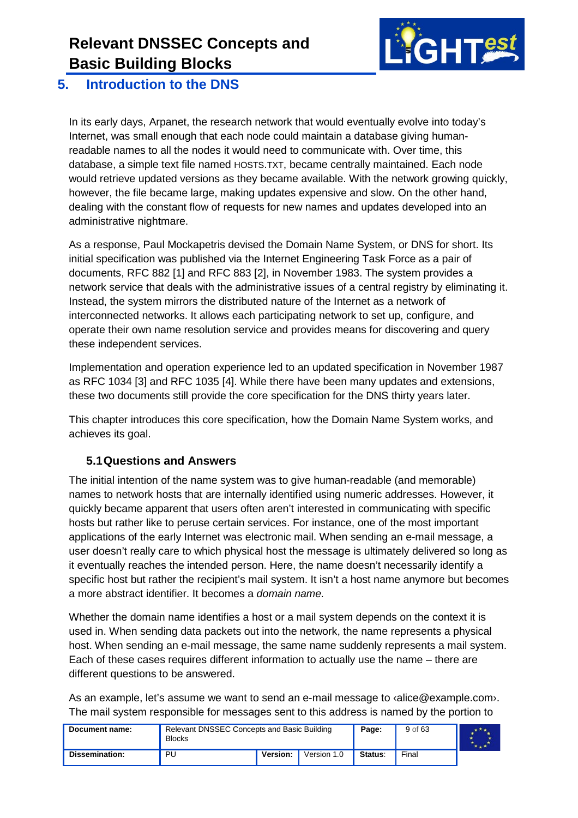

#### <span id="page-8-0"></span>**5. Introduction to the DNS**

In its early days, Arpanet, the research network that would eventually evolve into today's Internet, was small enough that each node could maintain a database giving humanreadable names to all the nodes it would need to communicate with. Over time, this database, a simple text file named HOSTS.TXT, became centrally maintained. Each node would retrieve updated versions as they became available. With the network growing quickly, however, the file became large, making updates expensive and slow. On the other hand, dealing with the constant flow of requests for new names and updates developed into an administrative nightmare.

As a response, Paul Mockapetris devised the Domain Name System, or DNS for short. Its initial specification was published via the Internet Engineering Task Force as a pair of documents, RFC 882 [\[1\]](#page-59-1) and RFC 883 [\[2\],](#page-59-2) in November 1983. The system provides a network service that deals with the administrative issues of a central registry by eliminating it. Instead, the system mirrors the distributed nature of the Internet as a network of interconnected networks. It allows each participating network to set up, configure, and operate their own name resolution service and provides means for discovering and query these independent services.

Implementation and operation experience led to an updated specification in November 1987 as RFC 1034 [\[3\]](#page-59-3) and RFC 1035 [\[4\].](#page-59-4) While there have been many updates and extensions, these two documents still provide the core specification for the DNS thirty years later.

This chapter introduces this core specification, how the Domain Name System works, and achieves its goal.

#### <span id="page-8-1"></span>**5.1Questions and Answers**

The initial intention of the name system was to give human-readable (and memorable) names to network hosts that are internally identified using numeric addresses. However, it quickly became apparent that users often aren't interested in communicating with specific hosts but rather like to peruse certain services. For instance, one of the most important applications of the early Internet was electronic mail. When sending an e-mail message, a user doesn't really care to which physical host the message is ultimately delivered so long as it eventually reaches the intended person. Here, the name doesn't necessarily identify a specific host but rather the recipient's mail system. It isn't a host name anymore but becomes a more abstract identifier. It becomes a *domain name.*

Whether the domain name identifies a host or a mail system depends on the context it is used in. When sending data packets out into the network, the name represents a physical host. When sending an e-mail message, the same name suddenly represents a mail system. Each of these cases requires different information to actually use the name – there are different questions to be answered.

As an example, let's assume we want to send an e-mail message to ‹alice@example.com›. The mail system responsible for messages sent to this address is named by the portion to

| Document name: | Relevant DNSSEC Concepts and Basic Building<br><b>Blocks</b> |                 |             | Page:   | 9 of 63 |  |
|----------------|--------------------------------------------------------------|-----------------|-------------|---------|---------|--|
| Dissemination: | PU.                                                          | <b>Version:</b> | Version 1.0 | Status: | Final   |  |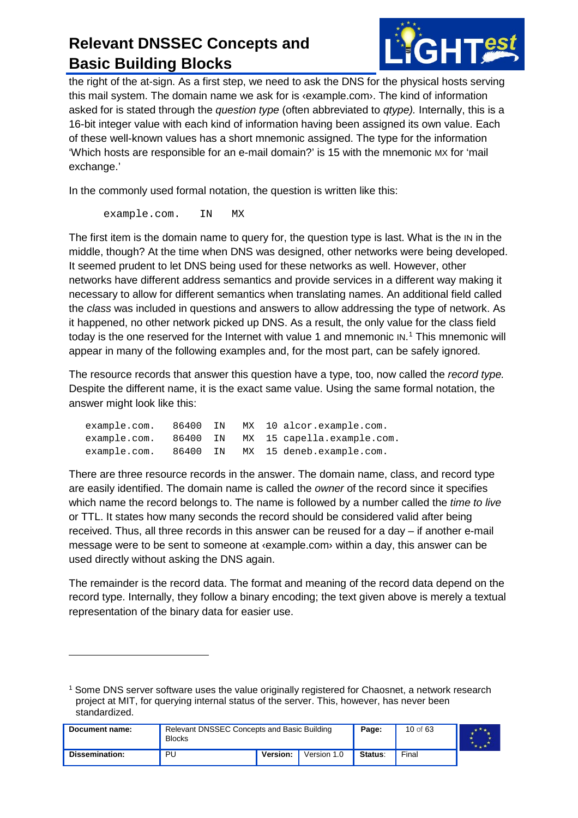

the right of the at-sign. As a first step, we need to ask the DNS for the physical hosts serving this mail system. The domain name we ask for is ‹example.com›. The kind of information asked for is stated through the *question type* (often abbreviated to *qtype).* Internally, this is a 16-bit integer value with each kind of information having been assigned its own value. Each of these well-known values has a short mnemonic assigned. The type for the information 'Which hosts are responsible for an e-mail domain?' is 15 with the mnemonic MX for 'mail exchange.'

In the commonly used formal notation, the question is written like this:

example.com. IN MX

 $\ddot{\phantom{a}}$ 

The first item is the domain name to query for, the question type is last. What is the IN in the middle, though? At the time when DNS was designed, other networks were being developed. It seemed prudent to let DNS being used for these networks as well. However, other networks have different address semantics and provide services in a different way making it necessary to allow for different semantics when translating names. An additional field called the *class* was included in questions and answers to allow addressing the type of network. As it happened, no other network picked up DNS. As a result, the only value for the class field today is the one reserved for the Internet with value [1](#page-9-0) and mnemonic IN.<sup>1</sup> This mnemonic will appear in many of the following examples and, for the most part, can be safely ignored.

The resource records that answer this question have a type, too, now called the *record type.* Despite the different name, it is the exact same value. Using the same formal notation, the answer might look like this:

| example.com. | 86400 IN |  | MX 10 alcor.example.com.   |
|--------------|----------|--|----------------------------|
| example.com. | 86400 IN |  | MX 15 capella.example.com. |
| example.com. | 86400 IN |  | MX 15 deneb.example.com.   |

There are three resource records in the answer. The domain name, class, and record type are easily identified. The domain name is called the *owner* of the record since it specifies which name the record belongs to. The name is followed by a number called the *time to live* or TTL. It states how many seconds the record should be considered valid after being received. Thus, all three records in this answer can be reused for a day – if another e-mail message were to be sent to someone at ‹example.com› within a day, this answer can be used directly without asking the DNS again.

The remainder is the record data. The format and meaning of the record data depend on the record type. Internally, they follow a binary encoding; the text given above is merely a textual representation of the binary data for easier use.

<span id="page-9-0"></span><sup>1</sup> Some DNS server software uses the value originally registered for Chaosnet, a network research project at MIT, for querying internal status of the server. This, however, has never been standardized.

| Document name: | <b>Relevant DNSSEC Concepts and Basic Building</b><br><b>Blocks</b> |                 |             | Page:   | 10 of 63 |  |
|----------------|---------------------------------------------------------------------|-----------------|-------------|---------|----------|--|
| Dissemination: | PU                                                                  | <b>Version:</b> | Version 1.0 | Status: | Final    |  |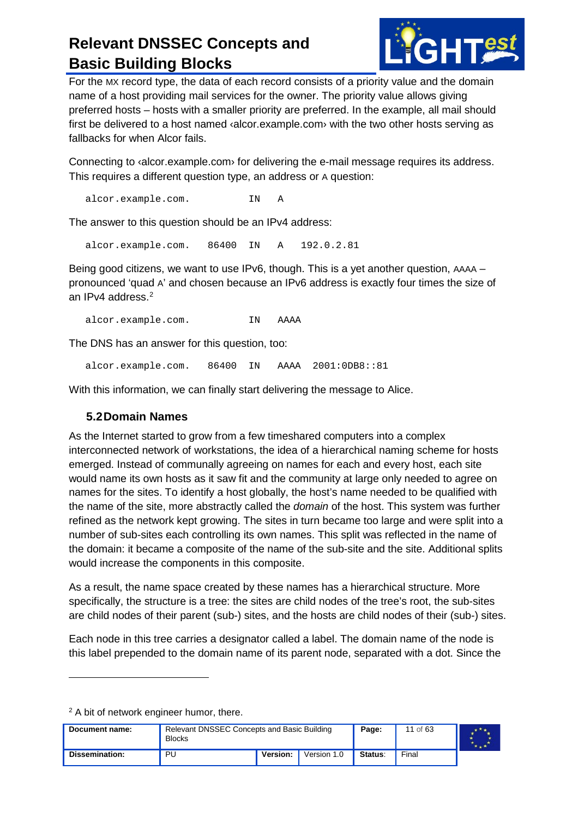

For the MX record type, the data of each record consists of a priority value and the domain name of a host providing mail services for the owner. The priority value allows giving preferred hosts – hosts with a smaller priority are preferred. In the example, all mail should first be delivered to a host named ‹alcor.example.com› with the two other hosts serving as fallbacks for when Alcor fails.

Connecting to ‹alcor.example.com› for delivering the e-mail message requires its address. This requires a different question type, an address or A question:

alcor.example.com. IN A

The answer to this question should be an IPv4 address:

alcor.example.com. 86400 IN A 192.0.2.81

Being good citizens, we want to use IPv6, though. This is a yet another question, AAAA – pronounced 'quad A' and chosen because an IPv6 address is exactly four times the size of an IPv4 address. $2$ 

alcor.example.com. IN AAAA

The DNS has an answer for this question, too:

alcor.example.com. 86400 IN AAAA 2001:0DB8::81

With this information, we can finally start delivering the message to Alice.

#### <span id="page-10-0"></span>**5.2Domain Names**

As the Internet started to grow from a few timeshared computers into a complex interconnected network of workstations, the idea of a hierarchical naming scheme for hosts emerged. Instead of communally agreeing on names for each and every host, each site would name its own hosts as it saw fit and the community at large only needed to agree on names for the sites. To identify a host globally, the host's name needed to be qualified with the name of the site, more abstractly called the *domain* of the host. This system was further refined as the network kept growing. The sites in turn became too large and were split into a number of sub-sites each controlling its own names. This split was reflected in the name of the domain: it became a composite of the name of the sub-site and the site. Additional splits would increase the components in this composite.

As a result, the name space created by these names has a hierarchical structure. More specifically, the structure is a tree: the sites are child nodes of the tree's root, the sub-sites are child nodes of their parent (sub-) sites, and the hosts are child nodes of their (sub-) sites.

Each node in this tree carries a designator called a label. The domain name of the node is this label prepended to the domain name of its parent node, separated with a dot. Since the

<sup>2</sup> A bit of network engineer humor, there.

-

<span id="page-10-1"></span>

| Document name: | Relevant DNSSEC Concepts and Basic Building<br><b>Blocks</b> |          |             | Page:   | 11 of 63 |  |
|----------------|--------------------------------------------------------------|----------|-------------|---------|----------|--|
| Dissemination: | PU                                                           | Version: | Version 1.0 | Status: | Final    |  |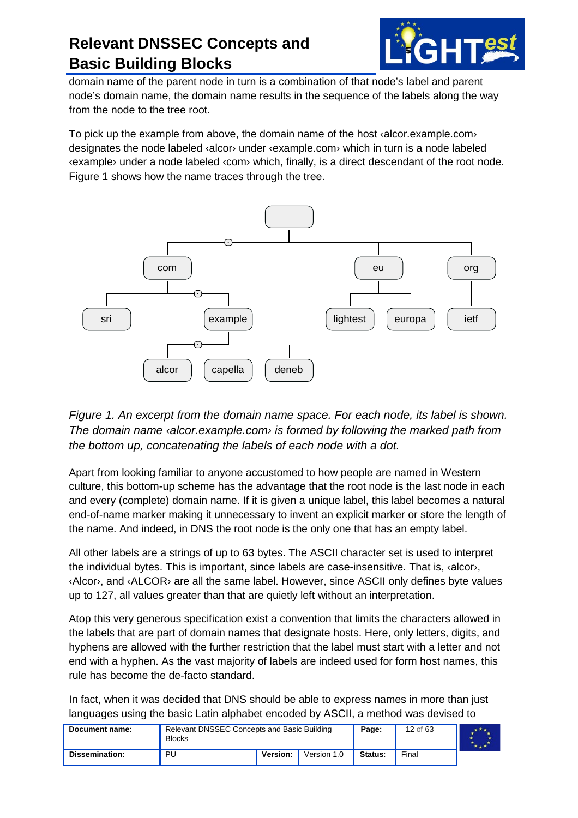

domain name of the parent node in turn is a combination of that node's label and parent node's domain name, the domain name results in the sequence of the labels along the way from the node to the tree root.

To pick up the example from above, the domain name of the host ‹alcor.example.com› designates the node labeled ‹alcor› under ‹example.com› which in turn is a node labeled ‹example› under a node labeled ‹com› which, finally, is a direct descendant of the root node. [Figure 1](#page-11-0) shows how the name traces through the tree.



<span id="page-11-0"></span>*Figure 1. An excerpt from the domain name space. For each node, its label is shown. The domain name ‹alcor.example.com› is formed by following the marked path from the bottom up, concatenating the labels of each node with a dot.*

Apart from looking familiar to anyone accustomed to how people are named in Western culture, this bottom-up scheme has the advantage that the root node is the last node in each and every (complete) domain name. If it is given a unique label, this label becomes a natural end-of-name marker making it unnecessary to invent an explicit marker or store the length of the name. And indeed, in DNS the root node is the only one that has an empty label.

All other labels are a strings of up to 63 bytes. The ASCII character set is used to interpret the individual bytes. This is important, since labels are case-insensitive. That is, ‹alcor›, ‹Alcor›, and ‹ALCOR› are all the same label. However, since ASCII only defines byte values up to 127, all values greater than that are quietly left without an interpretation.

Atop this very generous specification exist a convention that limits the characters allowed in the labels that are part of domain names that designate hosts. Here, only letters, digits, and hyphens are allowed with the further restriction that the label must start with a letter and not end with a hyphen. As the vast majority of labels are indeed used for form host names, this rule has become the de-facto standard.

In fact, when it was decided that DNS should be able to express names in more than just languages using the basic Latin alphabet encoded by ASCII, a method was devised to

| Document name: | Relevant DNSSEC Concepts and Basic Building<br><b>Blocks</b> |          |             | Page:   | 12 of 63 |  |
|----------------|--------------------------------------------------------------|----------|-------------|---------|----------|--|
| Dissemination: | PU                                                           | Version: | Version 1.0 | Status: | Final    |  |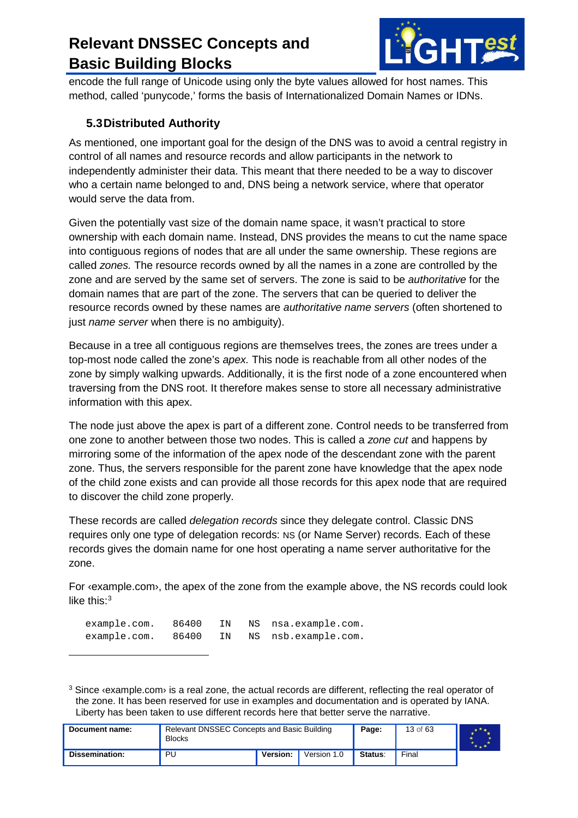

encode the full range of Unicode using only the byte values allowed for host names. This method, called 'punycode,' forms the basis of Internationalized Domain Names or IDNs.

#### <span id="page-12-0"></span>**5.3Distributed Authority**

As mentioned, one important goal for the design of the DNS was to avoid a central registry in control of all names and resource records and allow participants in the network to independently administer their data. This meant that there needed to be a way to discover who a certain name belonged to and, DNS being a network service, where that operator would serve the data from.

Given the potentially vast size of the domain name space, it wasn't practical to store ownership with each domain name. Instead, DNS provides the means to cut the name space into contiguous regions of nodes that are all under the same ownership. These regions are called *zones.* The resource records owned by all the names in a zone are controlled by the zone and are served by the same set of servers. The zone is said to be *authoritative* for the domain names that are part of the zone. The servers that can be queried to deliver the resource records owned by these names are *authoritative name servers* (often shortened to just *name server* when there is no ambiguity).

Because in a tree all contiguous regions are themselves trees, the zones are trees under a top-most node called the zone's *apex.* This node is reachable from all other nodes of the zone by simply walking upwards. Additionally, it is the first node of a zone encountered when traversing from the DNS root. It therefore makes sense to store all necessary administrative information with this apex.

The node just above the apex is part of a different zone. Control needs to be transferred from one zone to another between those two nodes. This is called a *zone cut* and happens by mirroring some of the information of the apex node of the descendant zone with the parent zone. Thus, the servers responsible for the parent zone have knowledge that the apex node of the child zone exists and can provide all those records for this apex node that are required to discover the child zone properly.

These records are called *delegation records* since they delegate control. Classic DNS requires only one type of delegation records: NS (or Name Server) records. Each of these records gives the domain name for one host operating a name server authoritative for the zone.

For  $\langle$ example.com $\rangle$ , the apex of the zone from the example above, the NS records could look like this: $3$ 

| example.com. | 86400 |  | IN NS nsa.example.com. |
|--------------|-------|--|------------------------|
| example.com. | 86400 |  | IN NS nsb.example.com. |

 $\ddot{\phantom{a}}$ 

<span id="page-12-1"></span> $3$  Since  $\langle$ example.com $\rangle$  is a real zone, the actual records are different, reflecting the real operator of the zone. It has been reserved for use in examples and documentation and is operated by IANA. Liberty has been taken to use different records here that better serve the narrative.

| Document name: | Relevant DNSSEC Concepts and Basic Building<br><b>Blocks</b> |          |             | Page:   | 13 of 63 |  |
|----------------|--------------------------------------------------------------|----------|-------------|---------|----------|--|
| Dissemination: | PU                                                           | Version: | Version 1.0 | Status: | Final    |  |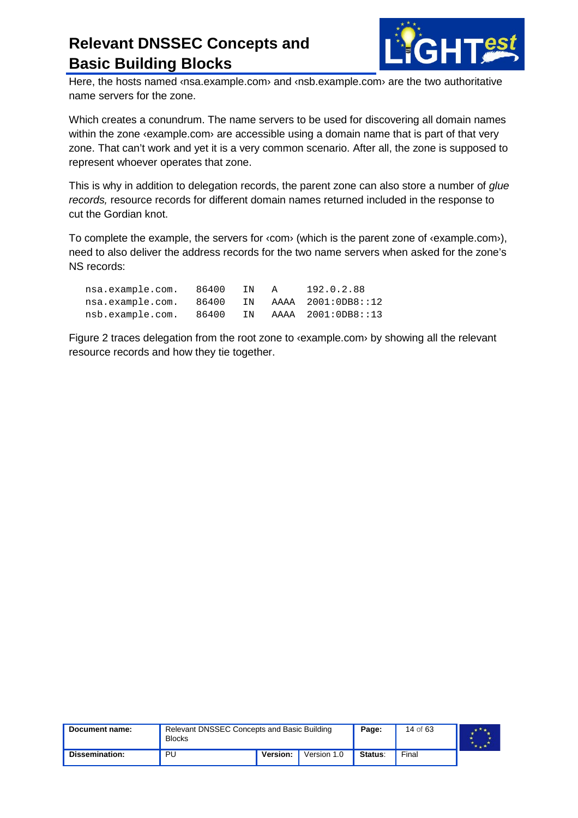

Here, the hosts named *Insa.example.com* and *Insb.example.com* are the two authoritative name servers for the zone.

Which creates a conundrum. The name servers to be used for discovering all domain names within the zone *s*example.com are accessible using a domain name that is part of that very zone. That can't work and yet it is a very common scenario. After all, the zone is supposed to represent whoever operates that zone.

This is why in addition to delegation records, the parent zone can also store a number of *glue records,* resource records for different domain names returned included in the response to cut the Gordian knot.

To complete the example, the servers for  $\langle$ com $\rangle$  (which is the parent zone of  $\langle$ example.com $\rangle$ ), need to also deliver the address records for the two name servers when asked for the zone's NS records:

| nsa.example.com. | 86400 | TN. | A. | 192.0.2.88         |
|------------------|-------|-----|----|--------------------|
| nsa.example.com. | 86400 | TN  |    | AAAA 2001:0DB8::12 |
| nsb.example.com. | 86400 | TN  |    | AAAA 2001:0DB8::13 |

[Figure 2](#page-14-1) traces delegation from the root zone to *vexample.com* by showing all the relevant resource records and how they tie together.

| Document name: | Relevant DNSSEC Concepts and Basic Building<br><b>Blocks</b> |          |             | Page:   | 14 of 63 |  |
|----------------|--------------------------------------------------------------|----------|-------------|---------|----------|--|
| Dissemination: | PU                                                           | Version: | Version 1.0 | Status: | Final    |  |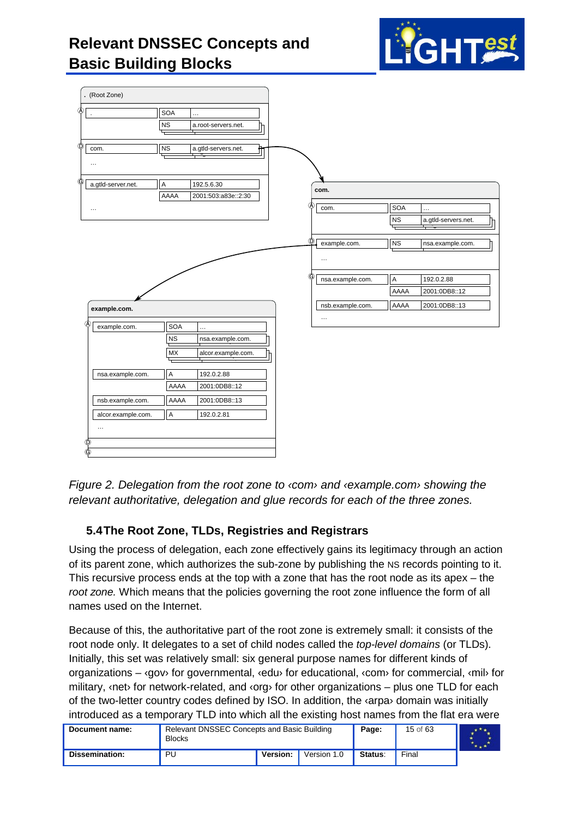



<span id="page-14-1"></span>*Figure 2. Delegation from the root zone to ‹com› and ‹example.com› showing the relevant authoritative, delegation and glue records for each of the three zones.*

#### <span id="page-14-0"></span>**5.4The Root Zone, TLDs, Registries and Registrars**

Using the process of delegation, each zone effectively gains its legitimacy through an action of its parent zone, which authorizes the sub-zone by publishing the NS records pointing to it. This recursive process ends at the top with a zone that has the root node as its apex – the *root zone.* Which means that the policies governing the root zone influence the form of all names used on the Internet.

Because of this, the authoritative part of the root zone is extremely small: it consists of the root node only. It delegates to a set of child nodes called the *top-level domains* (or TLDs). Initially, this set was relatively small: six general purpose names for different kinds of organizations – ‹gov› for governmental, ‹edu› for educational, ‹com› for commercial, ‹mil› for military,  $\langle net \rangle$  for network-related, and  $\langle org \rangle$  for other organizations – plus one TLD for each of the two-letter country codes defined by ISO. In addition, the ‹arpa› domain was initially introduced as a temporary TLD into which all the existing host names from the flat era were

| Document name: | Relevant DNSSEC Concepts and Basic Building<br><b>Blocks</b> |                 |             | Page:   | 15 of 63 |  |
|----------------|--------------------------------------------------------------|-----------------|-------------|---------|----------|--|
| Dissemination: | PU                                                           | <b>Version:</b> | Version 1.0 | Status: | Final    |  |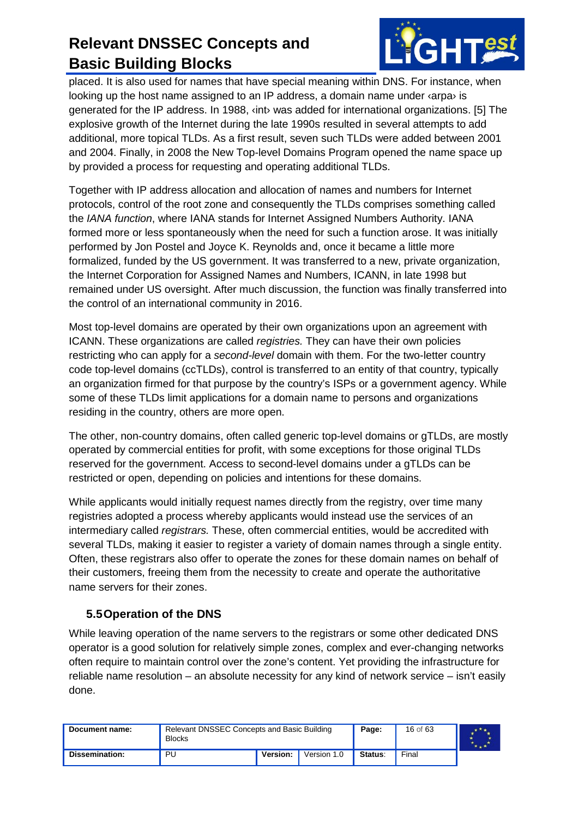

placed. It is also used for names that have special meaning within DNS. For instance, when looking up the host name assigned to an IP address, a domain name under ‹arpa› is generated for the IP address. In 1988, ‹int› was added for international organizations. [\[5\]](#page-59-5) The explosive growth of the Internet during the late 1990s resulted in several attempts to add additional, more topical TLDs. As a first result, seven such TLDs were added between 2001 and 2004. Finally, in 2008 the New Top-level Domains Program opened the name space up by provided a process for requesting and operating additional TLDs.

Together with IP address allocation and allocation of names and numbers for Internet protocols, control of the root zone and consequently the TLDs comprises something called the *IANA function*, where IANA stands for Internet Assigned Numbers Authority. IANA formed more or less spontaneously when the need for such a function arose. It was initially performed by Jon Postel and Joyce K. Reynolds and, once it became a little more formalized, funded by the US government. It was transferred to a new, private organization, the Internet Corporation for Assigned Names and Numbers, ICANN, in late 1998 but remained under US oversight. After much discussion, the function was finally transferred into the control of an international community in 2016.

Most top-level domains are operated by their own organizations upon an agreement with ICANN. These organizations are called *registries.* They can have their own policies restricting who can apply for a *second-level* domain with them. For the two-letter country code top-level domains (ccTLDs), control is transferred to an entity of that country, typically an organization firmed for that purpose by the country's ISPs or a government agency. While some of these TLDs limit applications for a domain name to persons and organizations residing in the country, others are more open.

The other, non-country domains, often called generic top-level domains or gTLDs, are mostly operated by commercial entities for profit, with some exceptions for those original TLDs reserved for the government. Access to second-level domains under a gTLDs can be restricted or open, depending on policies and intentions for these domains.

While applicants would initially request names directly from the registry, over time many registries adopted a process whereby applicants would instead use the services of an intermediary called *registrars.* These, often commercial entities, would be accredited with several TLDs, making it easier to register a variety of domain names through a single entity. Often, these registrars also offer to operate the zones for these domain names on behalf of their customers, freeing them from the necessity to create and operate the authoritative name servers for their zones.

#### <span id="page-15-0"></span>**5.5Operation of the DNS**

While leaving operation of the name servers to the registrars or some other dedicated DNS operator is a good solution for relatively simple zones, complex and ever-changing networks often require to maintain control over the zone's content. Yet providing the infrastructure for reliable name resolution – an absolute necessity for any kind of network service – isn't easily done.

| Document name: | Relevant DNSSEC Concepts and Basic Building<br><b>Blocks</b> |          |             | Page:   | 16 of 63 |  |
|----------------|--------------------------------------------------------------|----------|-------------|---------|----------|--|
| Dissemination: | PU                                                           | Version: | Version 1.0 | Status: | Final    |  |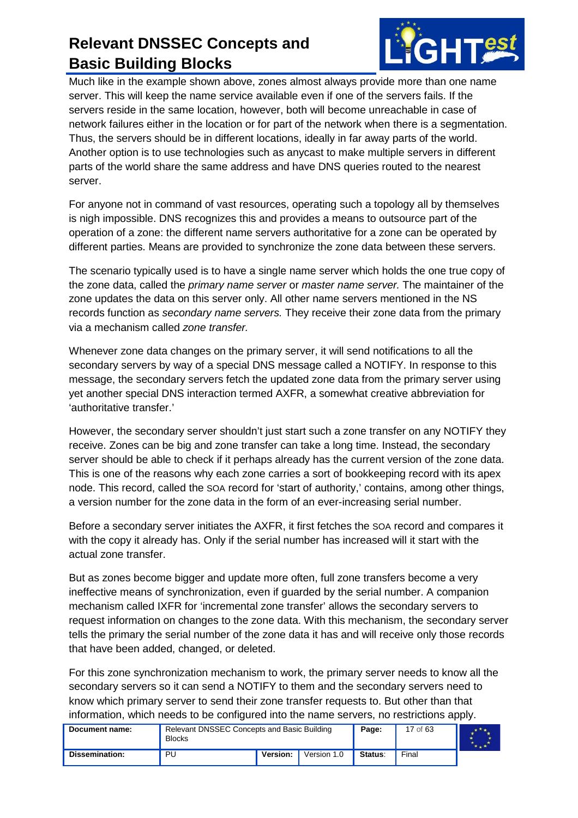

Much like in the example shown above, zones almost always provide more than one name server. This will keep the name service available even if one of the servers fails. If the servers reside in the same location, however, both will become unreachable in case of network failures either in the location or for part of the network when there is a segmentation. Thus, the servers should be in different locations, ideally in far away parts of the world. Another option is to use technologies such as anycast to make multiple servers in different parts of the world share the same address and have DNS queries routed to the nearest server.

For anyone not in command of vast resources, operating such a topology all by themselves is nigh impossible. DNS recognizes this and provides a means to outsource part of the operation of a zone: the different name servers authoritative for a zone can be operated by different parties. Means are provided to synchronize the zone data between these servers.

The scenario typically used is to have a single name server which holds the one true copy of the zone data, called the *primary name server* or *master name server.* The maintainer of the zone updates the data on this server only. All other name servers mentioned in the NS records function as *secondary name servers.* They receive their zone data from the primary via a mechanism called *zone transfer.*

Whenever zone data changes on the primary server, it will send notifications to all the secondary servers by way of a special DNS message called a NOTIFY. In response to this message, the secondary servers fetch the updated zone data from the primary server using yet another special DNS interaction termed AXFR, a somewhat creative abbreviation for 'authoritative transfer.'

However, the secondary server shouldn't just start such a zone transfer on any NOTIFY they receive. Zones can be big and zone transfer can take a long time. Instead, the secondary server should be able to check if it perhaps already has the current version of the zone data. This is one of the reasons why each zone carries a sort of bookkeeping record with its apex node. This record, called the SOA record for 'start of authority,' contains, among other things, a version number for the zone data in the form of an ever-increasing serial number.

Before a secondary server initiates the AXFR, it first fetches the SOA record and compares it with the copy it already has. Only if the serial number has increased will it start with the actual zone transfer.

But as zones become bigger and update more often, full zone transfers become a very ineffective means of synchronization, even if guarded by the serial number. A companion mechanism called IXFR for 'incremental zone transfer' allows the secondary servers to request information on changes to the zone data. With this mechanism, the secondary server tells the primary the serial number of the zone data it has and will receive only those records that have been added, changed, or deleted.

For this zone synchronization mechanism to work, the primary server needs to know all the secondary servers so it can send a NOTIFY to them and the secondary servers need to know which primary server to send their zone transfer requests to. But other than that information, which needs to be configured into the name servers, no restrictions apply.

| Document name: | Relevant DNSSEC Concepts and Basic Building<br><b>Blocks</b> |                 |             | Page:   | 17 of 63 |  |
|----------------|--------------------------------------------------------------|-----------------|-------------|---------|----------|--|
| Dissemination: | PU                                                           | <b>Version:</b> | Version 1.0 | Status: | Final    |  |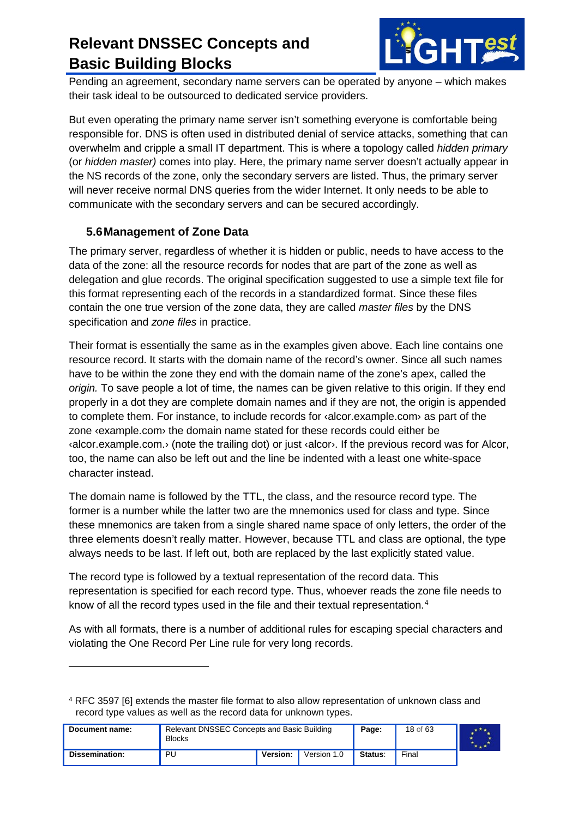

Pending an agreement, secondary name servers can be operated by anyone – which makes their task ideal to be outsourced to dedicated service providers.

But even operating the primary name server isn't something everyone is comfortable being responsible for. DNS is often used in distributed denial of service attacks, something that can overwhelm and cripple a small IT department. This is where a topology called *hidden primary* (or *hidden master)* comes into play. Here, the primary name server doesn't actually appear in the NS records of the zone, only the secondary servers are listed. Thus, the primary server will never receive normal DNS queries from the wider Internet. It only needs to be able to communicate with the secondary servers and can be secured accordingly.

#### <span id="page-17-0"></span>**5.6Management of Zone Data**

-

The primary server, regardless of whether it is hidden or public, needs to have access to the data of the zone: all the resource records for nodes that are part of the zone as well as delegation and glue records. The original specification suggested to use a simple text file for this format representing each of the records in a standardized format. Since these files contain the one true version of the zone data, they are called *master files* by the DNS specification and *zone files* in practice.

Their format is essentially the same as in the examples given above. Each line contains one resource record. It starts with the domain name of the record's owner. Since all such names have to be within the zone they end with the domain name of the zone's apex, called the *origin.* To save people a lot of time, the names can be given relative to this origin. If they end properly in a dot they are complete domain names and if they are not, the origin is appended to complete them. For instance, to include records for ‹alcor.example.com› as part of the zone ‹example.com› the domain name stated for these records could either be ‹alcor.example.com.› (note the trailing dot) or just ‹alcor›. If the previous record was for Alcor, too, the name can also be left out and the line be indented with a least one white-space character instead.

The domain name is followed by the TTL, the class, and the resource record type. The former is a number while the latter two are the mnemonics used for class and type. Since these mnemonics are taken from a single shared name space of only letters, the order of the three elements doesn't really matter. However, because TTL and class are optional, the type always needs to be last. If left out, both are replaced by the last explicitly stated value.

The record type is followed by a textual representation of the record data. This representation is specified for each record type. Thus, whoever reads the zone file needs to know of all the record types used in the file and their textual representation.<sup>[4](#page-17-1)</sup>

As with all formats, there is a number of additional rules for escaping special characters and violating the One Record Per Line rule for very long records.

<span id="page-17-1"></span><sup>4</sup> RFC 3597 [\[6\]](#page-59-6) extends the master file format to also allow representation of unknown class and record type values as well as the record data for unknown types.

| Document name: | Relevant DNSSEC Concepts and Basic Building<br><b>Blocks</b> |          |             | Page:   | 18 of 63 |  |
|----------------|--------------------------------------------------------------|----------|-------------|---------|----------|--|
| Dissemination: | PU                                                           | Version: | Version 1.0 | Status: | Final    |  |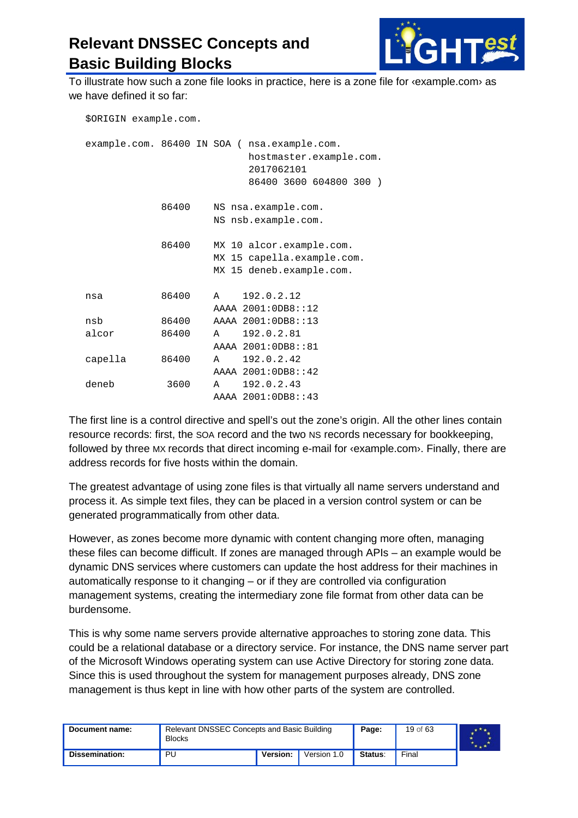

To illustrate how such a zone file looks in practice, here is a zone file for ‹example.com› as we have defined it so far:

| \$ORIGIN example.com. |       |                                                                                                                  |  |
|-----------------------|-------|------------------------------------------------------------------------------------------------------------------|--|
|                       |       | example.com. 86400 IN SOA ( nsa.example.com.<br>hostmaster.example.com.<br>2017062101<br>86400 3600 604800 300 ) |  |
|                       | 86400 | NS nsa.example.com.<br>NS nsb.example.com.                                                                       |  |
|                       | 86400 | MX 10 alcor.example.com.<br>MX 15 capella.example.com.<br>MX 15 deneb.example.com.                               |  |
| nsa                   | 86400 | 192.0.2.12<br>$\lambda$<br>AAAA 2001:0DB8::12                                                                    |  |
| nsb                   | 86400 | AAAA 2001:0DB8::13                                                                                               |  |
| alcor                 | 86400 | 192.0.2.81<br>A<br>AAAA 2001:0DB8::81                                                                            |  |
| capella               | 86400 | 192.0.2.42<br>A<br>AAAA 2001:0DB8::42                                                                            |  |
| deneb                 | 3600  | 192.0.2.43<br>$\mathbf{A}$<br>AAAA 2001:0DB8::43                                                                 |  |

The first line is a control directive and spell's out the zone's origin. All the other lines contain resource records: first, the SOA record and the two NS records necessary for bookkeeping, followed by three MX records that direct incoming e-mail for  $\alpha$  example.com $\alpha$ . Finally, there are address records for five hosts within the domain.

The greatest advantage of using zone files is that virtually all name servers understand and process it. As simple text files, they can be placed in a version control system or can be generated programmatically from other data.

However, as zones become more dynamic with content changing more often, managing these files can become difficult. If zones are managed through APIs – an example would be dynamic DNS services where customers can update the host address for their machines in automatically response to it changing – or if they are controlled via configuration management systems, creating the intermediary zone file format from other data can be burdensome.

This is why some name servers provide alternative approaches to storing zone data. This could be a relational database or a directory service. For instance, the DNS name server part of the Microsoft Windows operating system can use Active Directory for storing zone data. Since this is used throughout the system for management purposes already, DNS zone management is thus kept in line with how other parts of the system are controlled.

| Document name: | Relevant DNSSEC Concepts and Basic Building<br><b>Blocks</b> |          |             | Page:   | 19 of 63 |  |
|----------------|--------------------------------------------------------------|----------|-------------|---------|----------|--|
| Dissemination: | PU                                                           | Version: | Version 1.0 | Status: | Final    |  |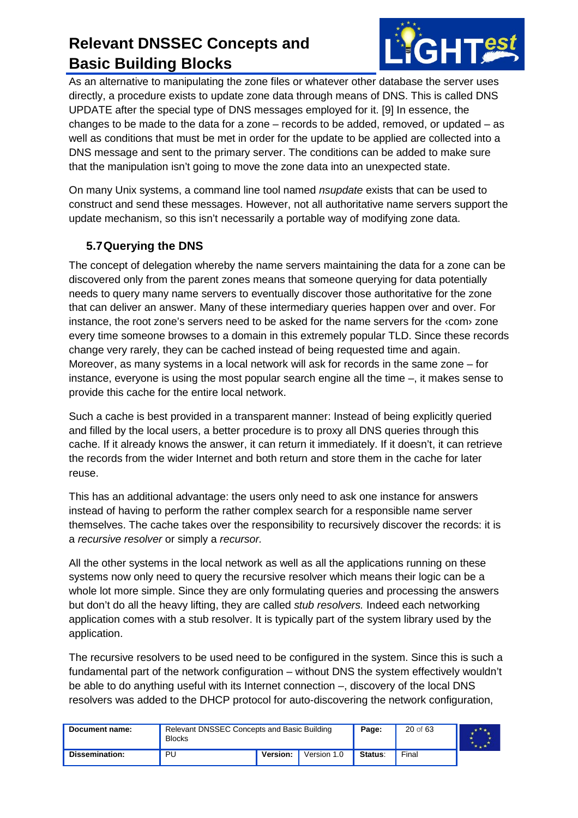

As an alternative to manipulating the zone files or whatever other database the server uses directly, a procedure exists to update zone data through means of DNS. This is called DNS UPDATE after the special type of DNS messages employed for it. [\[9\]](#page-59-7) In essence, the changes to be made to the data for a zone – records to be added, removed, or updated – as well as conditions that must be met in order for the update to be applied are collected into a DNS message and sent to the primary server. The conditions can be added to make sure that the manipulation isn't going to move the zone data into an unexpected state.

On many Unix systems, a command line tool named *nsupdate* exists that can be used to construct and send these messages. However, not all authoritative name servers support the update mechanism, so this isn't necessarily a portable way of modifying zone data.

#### <span id="page-19-0"></span>**5.7Querying the DNS**

The concept of delegation whereby the name servers maintaining the data for a zone can be discovered only from the parent zones means that someone querying for data potentially needs to query many name servers to eventually discover those authoritative for the zone that can deliver an answer. Many of these intermediary queries happen over and over. For instance, the root zone's servers need to be asked for the name servers for the ‹com› zone every time someone browses to a domain in this extremely popular TLD. Since these records change very rarely, they can be cached instead of being requested time and again. Moreover, as many systems in a local network will ask for records in the same zone – for instance, everyone is using the most popular search engine all the time –, it makes sense to provide this cache for the entire local network.

Such a cache is best provided in a transparent manner: Instead of being explicitly queried and filled by the local users, a better procedure is to proxy all DNS queries through this cache. If it already knows the answer, it can return it immediately. If it doesn't, it can retrieve the records from the wider Internet and both return and store them in the cache for later reuse.

This has an additional advantage: the users only need to ask one instance for answers instead of having to perform the rather complex search for a responsible name server themselves. The cache takes over the responsibility to recursively discover the records: it is a *recursive resolver* or simply a *recursor.*

All the other systems in the local network as well as all the applications running on these systems now only need to query the recursive resolver which means their logic can be a whole lot more simple. Since they are only formulating queries and processing the answers but don't do all the heavy lifting, they are called *stub resolvers.* Indeed each networking application comes with a stub resolver. It is typically part of the system library used by the application.

The recursive resolvers to be used need to be configured in the system. Since this is such a fundamental part of the network configuration – without DNS the system effectively wouldn't be able to do anything useful with its Internet connection –, discovery of the local DNS resolvers was added to the DHCP protocol for auto-discovering the network configuration,

| Document name: | Relevant DNSSEC Concepts and Basic Building<br><b>Blocks</b> |          |             | Page:   | 20 of 63 |  |
|----------------|--------------------------------------------------------------|----------|-------------|---------|----------|--|
| Dissemination: | PU                                                           | Version: | Version 1.0 | Status: | Final    |  |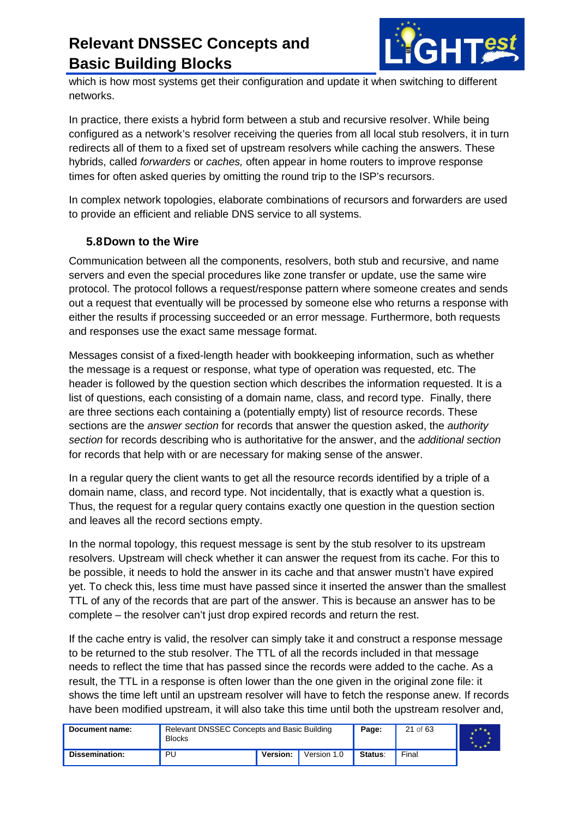

which is how most systems get their configuration and update it when switching to different networks.

In practice, there exists a hybrid form between a stub and recursive resolver. While being configured as a network's resolver receiving the queries from all local stub resolvers, it in turn redirects all of them to a fixed set of upstream resolvers while caching the answers. These hybrids, called *forwarders* or *caches,* often appear in home routers to improve response times for often asked queries by omitting the round trip to the ISP's recursors.

In complex network topologies, elaborate combinations of recursors and forwarders are used to provide an efficient and reliable DNS service to all systems.

#### <span id="page-20-0"></span>**5.8Down to the Wire**

Communication between all the components, resolvers, both stub and recursive, and name servers and even the special procedures like zone transfer or update, use the same wire protocol. The protocol follows a request/response pattern where someone creates and sends out a request that eventually will be processed by someone else who returns a response with either the results if processing succeeded or an error message. Furthermore, both requests and responses use the exact same message format.

Messages consist of a fixed-length header with bookkeeping information, such as whether the message is a request or response, what type of operation was requested, etc. The header is followed by the question section which describes the information requested. It is a list of questions, each consisting of a domain name, class, and record type. Finally, there are three sections each containing a (potentially empty) list of resource records. These sections are the *answer section* for records that answer the question asked, the *authority section* for records describing who is authoritative for the answer, and the *additional section* for records that help with or are necessary for making sense of the answer.

In a regular query the client wants to get all the resource records identified by a triple of a domain name, class, and record type. Not incidentally, that is exactly what a question is. Thus, the request for a regular query contains exactly one question in the question section and leaves all the record sections empty.

In the normal topology, this request message is sent by the stub resolver to its upstream resolvers. Upstream will check whether it can answer the request from its cache. For this to be possible, it needs to hold the answer in its cache and that answer mustn't have expired yet. To check this, less time must have passed since it inserted the answer than the smallest TTL of any of the records that are part of the answer. This is because an answer has to be complete – the resolver can't just drop expired records and return the rest.

If the cache entry is valid, the resolver can simply take it and construct a response message to be returned to the stub resolver. The TTL of all the records included in that message needs to reflect the time that has passed since the records were added to the cache. As a result, the TTL in a response is often lower than the one given in the original zone file: it shows the time left until an upstream resolver will have to fetch the response anew. If records have been modified upstream, it will also take this time until both the upstream resolver and,

| Document name: | Relevant DNSSEC Concepts and Basic Building<br><b>Blocks</b> |          |             | Page:   | 21 of 63 |  |
|----------------|--------------------------------------------------------------|----------|-------------|---------|----------|--|
| Dissemination: | PU                                                           | Version: | Version 1.0 | Status: | Final    |  |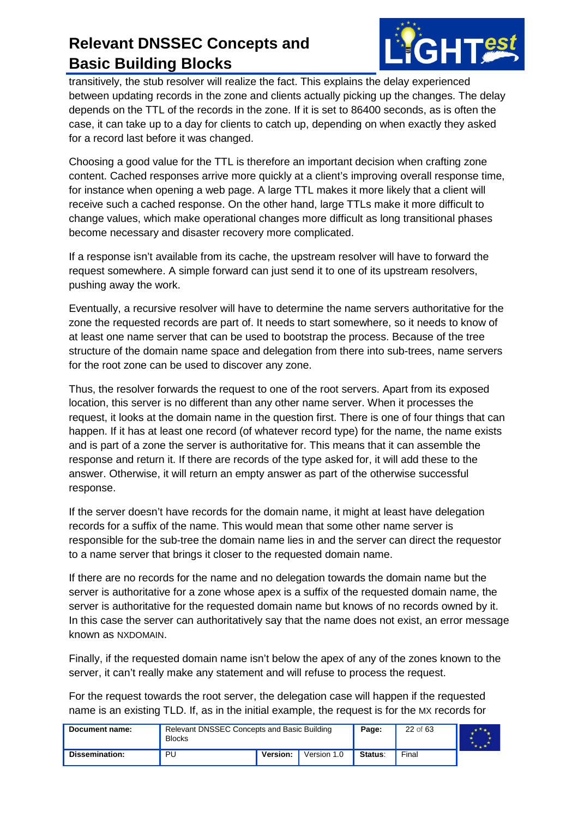

transitively, the stub resolver will realize the fact. This explains the delay experienced between updating records in the zone and clients actually picking up the changes. The delay depends on the TTL of the records in the zone. If it is set to 86400 seconds, as is often the case, it can take up to a day for clients to catch up, depending on when exactly they asked for a record last before it was changed.

Choosing a good value for the TTL is therefore an important decision when crafting zone content. Cached responses arrive more quickly at a client's improving overall response time, for instance when opening a web page. A large TTL makes it more likely that a client will receive such a cached response. On the other hand, large TTLs make it more difficult to change values, which make operational changes more difficult as long transitional phases become necessary and disaster recovery more complicated.

If a response isn't available from its cache, the upstream resolver will have to forward the request somewhere. A simple forward can just send it to one of its upstream resolvers, pushing away the work.

Eventually, a recursive resolver will have to determine the name servers authoritative for the zone the requested records are part of. It needs to start somewhere, so it needs to know of at least one name server that can be used to bootstrap the process. Because of the tree structure of the domain name space and delegation from there into sub-trees, name servers for the root zone can be used to discover any zone.

Thus, the resolver forwards the request to one of the root servers. Apart from its exposed location, this server is no different than any other name server. When it processes the request, it looks at the domain name in the question first. There is one of four things that can happen. If it has at least one record (of whatever record type) for the name, the name exists and is part of a zone the server is authoritative for. This means that it can assemble the response and return it. If there are records of the type asked for, it will add these to the answer. Otherwise, it will return an empty answer as part of the otherwise successful response.

If the server doesn't have records for the domain name, it might at least have delegation records for a suffix of the name. This would mean that some other name server is responsible for the sub-tree the domain name lies in and the server can direct the requestor to a name server that brings it closer to the requested domain name.

If there are no records for the name and no delegation towards the domain name but the server is authoritative for a zone whose apex is a suffix of the requested domain name, the server is authoritative for the requested domain name but knows of no records owned by it. In this case the server can authoritatively say that the name does not exist, an error message known as NXDOMAIN.

Finally, if the requested domain name isn't below the apex of any of the zones known to the server, it can't really make any statement and will refuse to process the request.

For the request towards the root server, the delegation case will happen if the requested name is an existing TLD. If, as in the initial example, the request is for the MX records for

| Document name: | Relevant DNSSEC Concepts and Basic Building<br><b>Blocks</b> |          |             | Page:   | 22 of 63 |  |
|----------------|--------------------------------------------------------------|----------|-------------|---------|----------|--|
| Dissemination: | PU                                                           | Version: | Version 1.0 | Status: | Final    |  |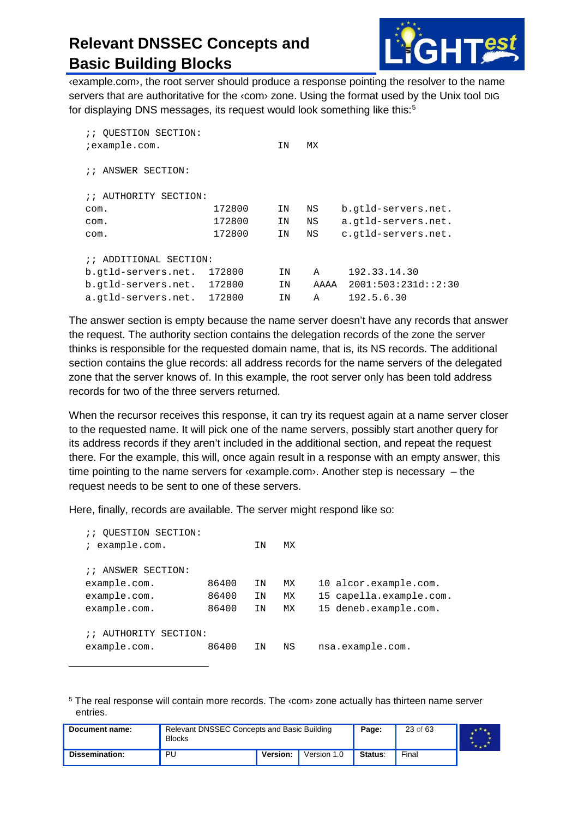

‹example.com›, the root server should produce a response pointing the resolver to the name servers that are authoritative for the «com» zone. Using the format used by the Unix tool DIG for displaying DNS messages, its request would look something like this:<sup>[5](#page-22-0)</sup>

| :: QUESTION SECTION:             |        |    |      |                     |
|----------------------------------|--------|----|------|---------------------|
| ;example.com.                    |        | ΙN | МX   |                     |
|                                  |        |    |      |                     |
| :: ANSWER SECTION:               |        |    |      |                     |
|                                  |        |    |      |                     |
| AUTHORITY SECTION:<br>$\ddot{i}$ |        |    |      |                     |
| com.                             | 172800 | ΙN | ΝS   | b.gtld-servers.net. |
| com.                             | 172800 | ΙN | ΝS   | a.gtld-servers.net. |
| com.                             | 172800 | ΙN | ΝS   | c.gtld-servers.net. |
|                                  |        |    |      |                     |
| :: ADDITIONAL SECTION:           |        |    |      |                     |
| b.gtld-servers.net.              | 172800 | ΙN | A    | 192.33.14.30        |
| b.gtld-servers.net.              | 172800 | ΙN | AAAA | 2001:503:231d::2:30 |
| a.gtld-servers.net.              | 172800 | ΙN | A    | 192.5.6.30          |

The answer section is empty because the name server doesn't have any records that answer the request. The authority section contains the delegation records of the zone the server thinks is responsible for the requested domain name, that is, its NS records. The additional section contains the glue records: all address records for the name servers of the delegated zone that the server knows of. In this example, the root server only has been told address records for two of the three servers returned.

When the recursor receives this response, it can try its request again at a name server closer to the requested name. It will pick one of the name servers, possibly start another query for its address records if they aren't included in the additional section, and repeat the request there. For the example, this will, once again result in a response with an empty answer, this time pointing to the name servers for ‹example.com›. Another step is necessary – the request needs to be sent to one of these servers.

Here, finally, records are available. The server might respond like so:

-

| OUESTION SECTION:<br>$\cdots$       |       |    |    |                         |
|-------------------------------------|-------|----|----|-------------------------|
| example.com.<br>$\mathcal{L}$       |       | ΙN | МX |                         |
|                                     |       |    |    |                         |
| :: ANSWER SECTION:                  |       |    |    |                         |
| example.com.                        | 86400 | ΙN | MX | 10 alcor.example.com.   |
| example.com.                        | 86400 | ΙN | МX | 15 capella.example.com. |
| example.com.                        | 86400 | ΙN | МX | 15 deneb.example.com.   |
|                                     |       |    |    |                         |
| AUTHORITY<br>$\ddot{i}$<br>SECTION: |       |    |    |                         |
| example.com.                        | 86400 | ΙN | ΝS | nsa.example.com.        |
|                                     |       |    |    |                         |

<span id="page-22-0"></span><sup>&</sup>lt;sup>5</sup> The real response will contain more records. The *s*com<sup>3</sup> zone actually has thirteen name server entries.

| Document name: | Relevant DNSSEC Concepts and Basic Building<br><b>Blocks</b> |          |             | Page:   | 23 of 63 |  |
|----------------|--------------------------------------------------------------|----------|-------------|---------|----------|--|
| Dissemination: | PU                                                           | Version: | Version 1.0 | Status: | Final    |  |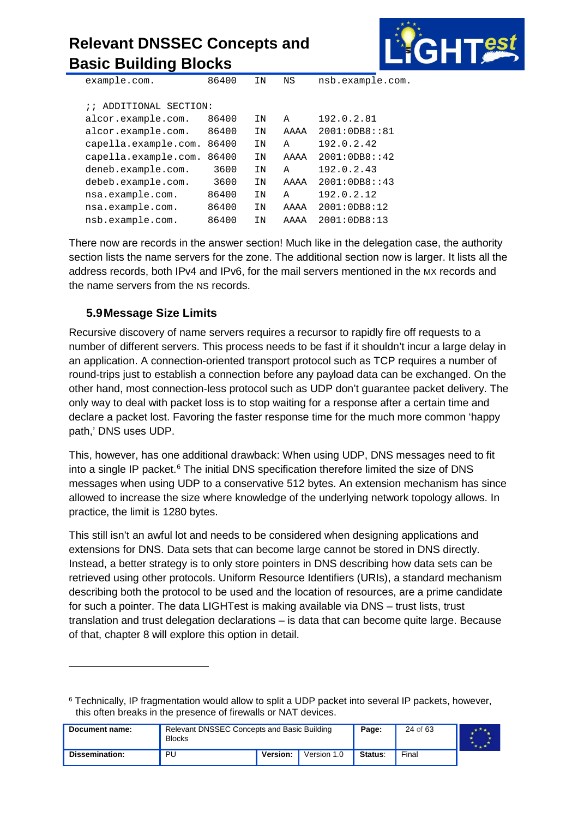

| example.com.           | 86400 | ΙN | ΝS   | nsb.example.com. |
|------------------------|-------|----|------|------------------|
|                        |       |    |      |                  |
|                        |       |    |      |                  |
| :: ADDITIONAL SECTION: |       |    |      |                  |
| alcor.example.com.     | 86400 | ΙN | A    | 192.0.2.81       |
| alcor.example.com.     | 86400 | ΙN | AAAA | 2001:0DB8::81    |
| capella.example.com.   | 86400 | ΙN | Α    | 192.0.2.42       |
| capella.example.com.   | 86400 | ΙN | AAAA | 2001:0DB8: : 42  |
| deneb.example.com.     | 3600  | ΙN | Α    | 192.0.2.43       |
| debeb.example.com.     | 3600  | ΙN | AAAA | 2001:0DB8: : 43  |
| nsa.example.com.       | 86400 | ΙN | Α    | 192.0.2.12       |
| nsa.example.com.       | 86400 | ΙN | AAAA | 2001:0DB8:12     |
| nsb.example.com.       | 86400 | ΙN | AAAA | 2001:0DB8:13     |
|                        |       |    |      |                  |

There now are records in the answer section! Much like in the delegation case, the authority section lists the name servers for the zone. The additional section now is larger. It lists all the address records, both IPv4 and IPv6, for the mail servers mentioned in the MX records and the name servers from the NS records.

#### <span id="page-23-0"></span>**5.9Message Size Limits**

-

Recursive discovery of name servers requires a recursor to rapidly fire off requests to a number of different servers. This process needs to be fast if it shouldn't incur a large delay in an application. A connection-oriented transport protocol such as TCP requires a number of round-trips just to establish a connection before any payload data can be exchanged. On the other hand, most connection-less protocol such as UDP don't guarantee packet delivery. The only way to deal with packet loss is to stop waiting for a response after a certain time and declare a packet lost. Favoring the faster response time for the much more common 'happy path,' DNS uses UDP.

This, however, has one additional drawback: When using UDP, DNS messages need to fit into a single IP packet. $6$  The initial DNS specification therefore limited the size of DNS messages when using UDP to a conservative 512 bytes. An extension mechanism has since allowed to increase the size where knowledge of the underlying network topology allows. In practice, the limit is 1280 bytes.

This still isn't an awful lot and needs to be considered when designing applications and extensions for DNS. Data sets that can become large cannot be stored in DNS directly. Instead, a better strategy is to only store pointers in DNS describing how data sets can be retrieved using other protocols. Uniform Resource Identifiers (URIs), a standard mechanism describing both the protocol to be used and the location of resources, are a prime candidate for such a pointer. The data LIGHTest is making available via DNS – trust lists, trust translation and trust delegation declarations – is data that can become quite large. Because of that, chapter 8 will explore this option in detail.

<span id="page-23-1"></span><sup>6</sup> Technically, IP fragmentation would allow to split a UDP packet into several IP packets, however, this often breaks in the presence of firewalls or NAT devices.

| Document name: | Relevant DNSSEC Concepts and Basic Building<br><b>Blocks</b> |          |             | Page:   | 24 of 63 |  |
|----------------|--------------------------------------------------------------|----------|-------------|---------|----------|--|
| Dissemination: | PU                                                           | Version: | Version 1.0 | Status: | Final    |  |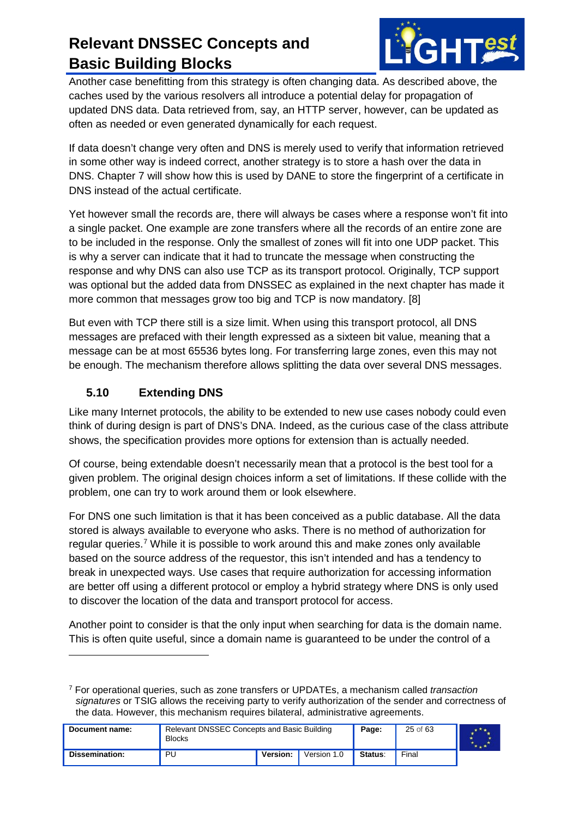

Another case benefitting from this strategy is often changing data. As described above, the caches used by the various resolvers all introduce a potential delay for propagation of updated DNS data. Data retrieved from, say, an HTTP server, however, can be updated as often as needed or even generated dynamically for each request.

If data doesn't change very often and DNS is merely used to verify that information retrieved in some other way is indeed correct, another strategy is to store a hash over the data in DNS. Chapter 7 will show how this is used by DANE to store the fingerprint of a certificate in DNS instead of the actual certificate.

Yet however small the records are, there will always be cases where a response won't fit into a single packet. One example are zone transfers where all the records of an entire zone are to be included in the response. Only the smallest of zones will fit into one UDP packet. This is why a server can indicate that it had to truncate the message when constructing the response and why DNS can also use TCP as its transport protocol. Originally, TCP support was optional but the added data from DNSSEC as explained in the next chapter has made it more common that messages grow too big and TCP is now mandatory. [\[8\]](#page-59-8)

But even with TCP there still is a size limit. When using this transport protocol, all DNS messages are prefaced with their length expressed as a sixteen bit value, meaning that a message can be at most 65536 bytes long. For transferring large zones, even this may not be enough. The mechanism therefore allows splitting the data over several DNS messages.

#### <span id="page-24-0"></span>**5.10 Extending DNS**

 $\ddot{\phantom{a}}$ 

Like many Internet protocols, the ability to be extended to new use cases nobody could even think of during design is part of DNS's DNA. Indeed, as the curious case of the class attribute shows, the specification provides more options for extension than is actually needed.

Of course, being extendable doesn't necessarily mean that a protocol is the best tool for a given problem. The original design choices inform a set of limitations. If these collide with the problem, one can try to work around them or look elsewhere.

For DNS one such limitation is that it has been conceived as a public database. All the data stored is always available to everyone who asks. There is no method of authorization for regular queries.<sup>[7](#page-24-1)</sup> While it is possible to work around this and make zones only available based on the source address of the requestor, this isn't intended and has a tendency to break in unexpected ways. Use cases that require authorization for accessing information are better off using a different protocol or employ a hybrid strategy where DNS is only used to discover the location of the data and transport protocol for access.

Another point to consider is that the only input when searching for data is the domain name. This is often quite useful, since a domain name is guaranteed to be under the control of a

<span id="page-24-1"></span><sup>7</sup> For operational queries, such as zone transfers or UPDATEs, a mechanism called *transaction signatures* or TSIG allows the receiving party to verify authorization of the sender and correctness of the data. However, this mechanism requires bilateral, administrative agreements.

| Document name: | Relevant DNSSEC Concepts and Basic Building<br><b>Blocks</b> |          |             | Page:   | 25 of 63 |  |
|----------------|--------------------------------------------------------------|----------|-------------|---------|----------|--|
| Dissemination: | PU                                                           | Version: | Version 1.0 | Status: | Final    |  |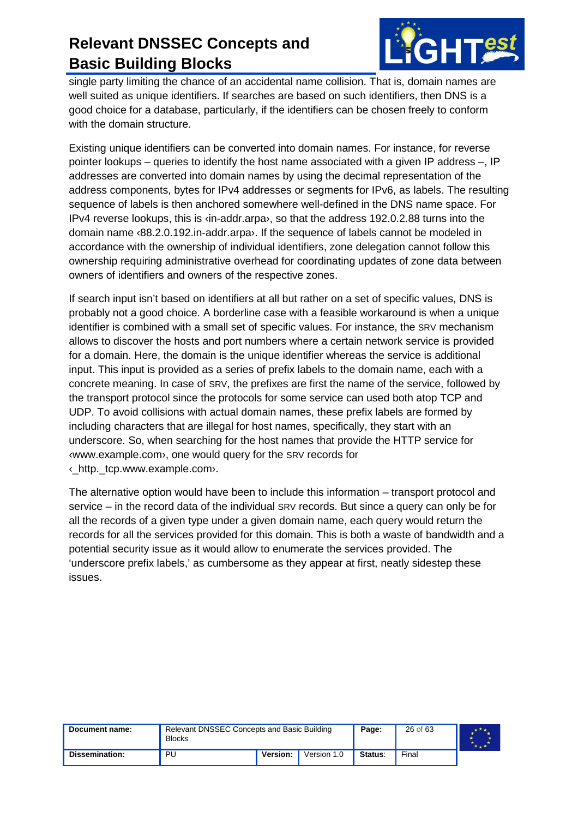

single party limiting the chance of an accidental name collision. That is, domain names are well suited as unique identifiers. If searches are based on such identifiers, then DNS is a good choice for a database, particularly, if the identifiers can be chosen freely to conform with the domain structure.

Existing unique identifiers can be converted into domain names. For instance, for reverse pointer lookups – queries to identify the host name associated with a given IP address –, IP addresses are converted into domain names by using the decimal representation of the address components, bytes for IPv4 addresses or segments for IPv6, as labels. The resulting sequence of labels is then anchored somewhere well-defined in the DNS name space. For IPv4 reverse lookups, this is ‹in-addr.arpa›, so that the address 192.0.2.88 turns into the domain name ‹88.2.0.192.in-addr.arpa›. If the sequence of labels cannot be modeled in accordance with the ownership of individual identifiers, zone delegation cannot follow this ownership requiring administrative overhead for coordinating updates of zone data between owners of identifiers and owners of the respective zones.

If search input isn't based on identifiers at all but rather on a set of specific values, DNS is probably not a good choice. A borderline case with a feasible workaround is when a unique identifier is combined with a small set of specific values. For instance, the SRV mechanism allows to discover the hosts and port numbers where a certain network service is provided for a domain. Here, the domain is the unique identifier whereas the service is additional input. This input is provided as a series of prefix labels to the domain name, each with a concrete meaning. In case of SRV, the prefixes are first the name of the service, followed by the transport protocol since the protocols for some service can used both atop TCP and UDP. To avoid collisions with actual domain names, these prefix labels are formed by including characters that are illegal for host names, specifically, they start with an underscore. So, when searching for the host names that provide the HTTP service for ‹www.example.com›, one would query for the SRV records for ‹\_http.\_tcp.www.example.com›.

The alternative option would have been to include this information – transport protocol and service – in the record data of the individual SRV records. But since a query can only be for all the records of a given type under a given domain name, each query would return the records for all the services provided for this domain. This is both a waste of bandwidth and a potential security issue as it would allow to enumerate the services provided. The 'underscore prefix labels,' as cumbersome as they appear at first, neatly sidestep these issues.

| Document name: | <b>Blocks</b> | Relevant DNSSEC Concepts and Basic Building<br>Page: |             |         | 26 of 63 |  |
|----------------|---------------|------------------------------------------------------|-------------|---------|----------|--|
| Dissemination: | PU            | Version:                                             | Version 1.0 | Status: | Final    |  |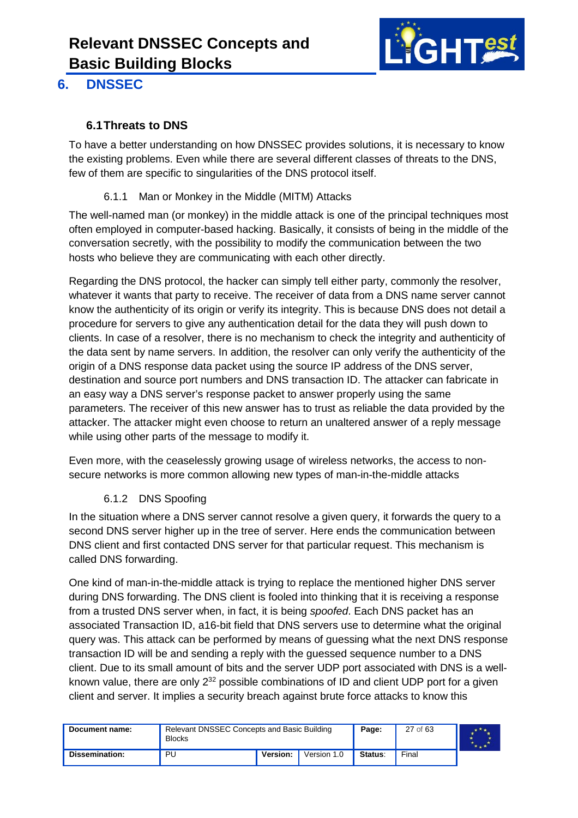

#### <span id="page-26-0"></span>**6. DNSSEC**

#### <span id="page-26-1"></span>**6.1Threats to DNS**

To have a better understanding on how DNSSEC provides solutions, it is necessary to know the existing problems. Even while there are several different classes of threats to the DNS, few of them are specific to singularities of the DNS protocol itself.

#### 6.1.1 Man or Monkey in the Middle (MITM) Attacks

<span id="page-26-2"></span>The well-named man (or monkey) in the middle attack is one of the principal techniques most often employed in computer-based hacking. Basically, it consists of being in the middle of the conversation secretly, with the possibility to modify the communication between the two hosts who believe they are communicating with each other directly.

Regarding the DNS protocol, the hacker can simply tell either party, commonly the resolver, whatever it wants that party to receive. The receiver of data from a DNS name server cannot know the authenticity of its origin or verify its integrity. This is because DNS does not detail a procedure for servers to give any authentication detail for the data they will push down to clients. In case of a resolver, there is no mechanism to check the integrity and authenticity of the data sent by name servers. In addition, the resolver can only verify the authenticity of the origin of a DNS response data packet using the source IP address of the DNS server, destination and source port numbers and DNS transaction ID. The attacker can fabricate in an easy way a DNS server's response packet to answer properly using the same parameters. The receiver of this new answer has to trust as reliable the data provided by the attacker. The attacker might even choose to return an unaltered answer of a reply message while using other parts of the message to modify it.

Even more, with the ceaselessly growing usage of wireless networks, the access to nonsecure networks is more common allowing new types of man-in-the-middle attacks

#### 6.1.2 DNS Spoofing

<span id="page-26-3"></span>In the situation where a DNS server cannot resolve a given query, it forwards the query to a second DNS server higher up in the tree of server. Here ends the communication between DNS client and first contacted DNS server for that particular request. This mechanism is called DNS forwarding.

One kind of man-in-the-middle attack is trying to replace the mentioned higher DNS server during DNS forwarding. The DNS client is fooled into thinking that it is receiving a response from a trusted DNS server when, in fact, it is being *spoofed*. Each DNS packet has an associated Transaction ID, a16-bit field that DNS servers use to determine what the original query was. This attack can be performed by means of guessing what the next DNS response transaction ID will be and sending a reply with the guessed sequence number to a DNS client. Due to its small amount of bits and the server UDP port associated with DNS is a wellknown value, there are only  $2^{32}$  possible combinations of ID and client UDP port for a given client and server. It implies a security breach against brute force attacks to know this

| Document name: | Relevant DNSSEC Concepts and Basic Building<br><b>Blocks</b> |          |             | Page:   | 27 of 63 |  |
|----------------|--------------------------------------------------------------|----------|-------------|---------|----------|--|
| Dissemination: | PU                                                           | Version: | Version 1.0 | Status: | Final    |  |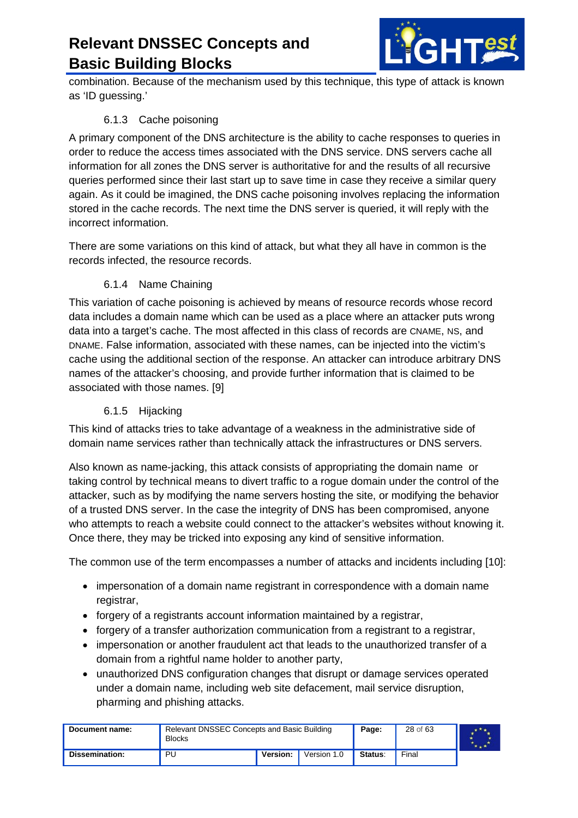

combination. Because of the mechanism used by this technique, this type of attack is known as 'ID guessing.'

#### 6.1.3 Cache poisoning

<span id="page-27-0"></span>A primary component of the DNS architecture is the ability to cache responses to queries in order to reduce the access times associated with the DNS service. DNS servers cache all information for all zones the DNS server is authoritative for and the results of all recursive queries performed since their last start up to save time in case they receive a similar query again. As it could be imagined, the DNS cache poisoning involves replacing the information stored in the cache records. The next time the DNS server is queried, it will reply with the incorrect information.

There are some variations on this kind of attack, but what they all have in common is the records infected, the resource records.

#### 6.1.4 Name Chaining

<span id="page-27-1"></span>This variation of cache poisoning is achieved by means of resource records whose record data includes a domain name which can be used as a place where an attacker puts wrong data into a target's cache. The most affected in this class of records are CNAME, NS, and DNAME. False information, associated with these names, can be injected into the victim's cache using the additional section of the response. An attacker can introduce arbitrary DNS names of the attacker's choosing, and provide further information that is claimed to be associated with those names. [\[9\]](#page-59-7)

#### 6.1.5 Hijacking

<span id="page-27-2"></span>This kind of attacks tries to take advantage of a weakness in the administrative side of domain name services rather than technically attack the infrastructures or DNS servers.

Also known as name-jacking, this attack consists of appropriating the domain name or taking control by technical means to divert traffic to a rogue domain under the control of the attacker, such as by modifying the name servers hosting the site, or modifying the behavior of a trusted DNS server. In the case the integrity of DNS has been compromised, anyone who attempts to reach a website could connect to the attacker's websites without knowing it. Once there, they may be tricked into exposing any kind of sensitive information.

The common use of the term encompasses a number of attacks and incidents including [\[10\]:](#page-59-9)

- impersonation of a domain name registrant in correspondence with a domain name registrar,
- forgery of a registrants account information maintained by a registrar,
- forgery of a transfer authorization communication from a registrant to a registrar,
- impersonation or another fraudulent act that leads to the unauthorized transfer of a domain from a rightful name holder to another party,
- unauthorized DNS configuration changes that disrupt or damage services operated under a domain name, including web site defacement, mail service disruption, pharming and phishing attacks.

| Document name: | Relevant DNSSEC Concepts and Basic Building<br><b>Blocks</b> |          |             | Page:   | 28 of 63 |  |
|----------------|--------------------------------------------------------------|----------|-------------|---------|----------|--|
| Dissemination: | PU                                                           | Version: | Version 1.0 | Status: | Final    |  |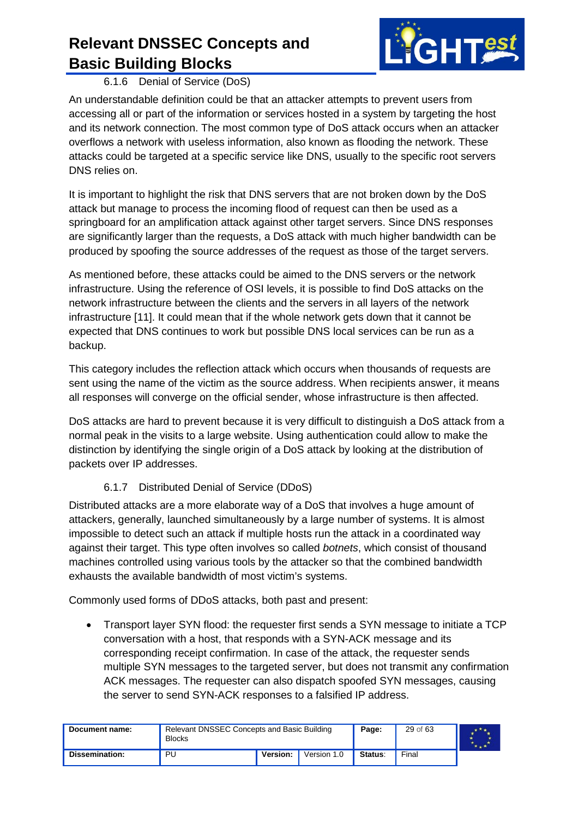

6.1.6 Denial of Service (DoS)

<span id="page-28-0"></span>An understandable definition could be that an attacker attempts to prevent users from accessing all or part of the information or services hosted in a system by targeting the host and its network connection. The most common type of DoS attack occurs when an attacker overflows a network with useless information, also known as flooding the network. These attacks could be targeted at a specific service like DNS, usually to the specific root servers DNS relies on.

It is important to highlight the risk that DNS servers that are not broken down by the DoS attack but manage to process the incoming flood of request can then be used as a springboard for an amplification attack against other target servers. Since DNS responses are significantly larger than the requests, a DoS attack with much higher bandwidth can be produced by spoofing the source addresses of the request as those of the target servers.

As mentioned before, these attacks could be aimed to the DNS servers or the network infrastructure. Using the reference of OSI levels, it is possible to find DoS attacks on the network infrastructure between the clients and the servers in all layers of the network infrastructure [\[11\].](#page-59-10) It could mean that if the whole network gets down that it cannot be expected that DNS continues to work but possible DNS local services can be run as a backup.

This category includes the reflection attack which occurs when thousands of requests are sent using the name of the victim as the source address. When recipients answer, it means all responses will converge on the official sender, whose infrastructure is then affected.

DoS attacks are hard to prevent because it is very difficult to distinguish a DoS attack from a normal peak in the visits to a large website. Using authentication could allow to make the distinction by identifying the single origin of a DoS attack by looking at the distribution of packets over IP addresses.

#### 6.1.7 Distributed Denial of Service (DDoS)

<span id="page-28-1"></span>Distributed attacks are a more elaborate way of a DoS that involves a huge amount of attackers, generally, launched simultaneously by a large number of systems. It is almost impossible to detect such an attack if multiple hosts run the attack in a coordinated way against their target. This type often involves so called *botnets*, which consist of thousand machines controlled using various tools by the attacker so that the combined bandwidth exhausts the available bandwidth of most victim's systems.

Commonly used forms of DDoS attacks, both past and present:

• Transport layer SYN flood: the requester first sends a SYN message to initiate a TCP conversation with a host, that responds with a SYN-ACK message and its corresponding receipt confirmation. In case of the attack, the requester sends multiple SYN messages to the targeted server, but does not transmit any confirmation ACK messages. The requester can also dispatch spoofed SYN messages, causing the server to send SYN-ACK responses to a falsified IP address.

| Document name: | Relevant DNSSEC Concepts and Basic Building<br><b>Blocks</b> |          |             | Page:   | 29 of 63 |  |
|----------------|--------------------------------------------------------------|----------|-------------|---------|----------|--|
| Dissemination: | PU                                                           | Version: | Version 1.0 | Status: | Final    |  |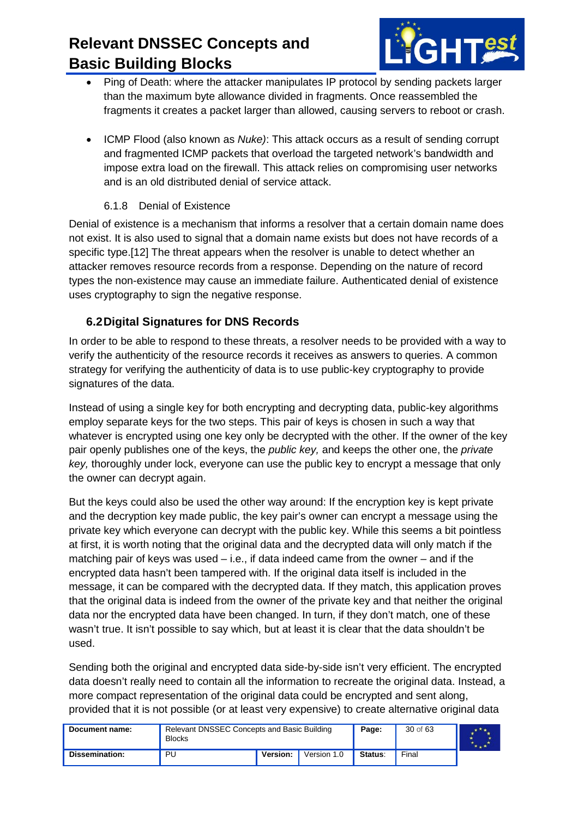

- Ping of Death: where the attacker manipulates IP protocol by sending packets larger than the maximum byte allowance divided in fragments. Once reassembled the fragments it creates a packet larger than allowed, causing servers to reboot or crash.
- ICMP Flood (also known as *Nuke)*: This attack occurs as a result of sending corrupt and fragmented ICMP packets that overload the targeted network's bandwidth and impose extra load on the firewall. This attack relies on compromising user networks and is an old distributed denial of service attack.

#### 6.1.8 Denial of Existence

<span id="page-29-0"></span>Denial of existence is a mechanism that informs a resolver that a certain domain name does not exist. It is also used to signal that a domain name exists but does not have records of a specific type[.\[12\]](#page-59-11) The threat appears when the resolver is unable to detect whether an attacker removes resource records from a response. Depending on the nature of record types the non-existence may cause an immediate failure. Authenticated denial of existence uses cryptography to sign the negative response.

#### <span id="page-29-1"></span>**6.2Digital Signatures for DNS Records**

In order to be able to respond to these threats, a resolver needs to be provided with a way to verify the authenticity of the resource records it receives as answers to queries. A common strategy for verifying the authenticity of data is to use public-key cryptography to provide signatures of the data.

Instead of using a single key for both encrypting and decrypting data, public-key algorithms employ separate keys for the two steps. This pair of keys is chosen in such a way that whatever is encrypted using one key only be decrypted with the other. If the owner of the key pair openly publishes one of the keys, the *public key,* and keeps the other one, the *private key,* thoroughly under lock, everyone can use the public key to encrypt a message that only the owner can decrypt again.

But the keys could also be used the other way around: If the encryption key is kept private and the decryption key made public, the key pair's owner can encrypt a message using the private key which everyone can decrypt with the public key. While this seems a bit pointless at first, it is worth noting that the original data and the decrypted data will only match if the matching pair of keys was used  $-$  i.e., if data indeed came from the owner  $-$  and if the encrypted data hasn't been tampered with. If the original data itself is included in the message, it can be compared with the decrypted data. If they match, this application proves that the original data is indeed from the owner of the private key and that neither the original data nor the encrypted data have been changed. In turn, if they don't match, one of these wasn't true. It isn't possible to say which, but at least it is clear that the data shouldn't be used.

Sending both the original and encrypted data side-by-side isn't very efficient. The encrypted data doesn't really need to contain all the information to recreate the original data. Instead, a more compact representation of the original data could be encrypted and sent along, provided that it is not possible (or at least very expensive) to create alternative original data

| Document name: | Relevant DNSSEC Concepts and Basic Building<br><b>Blocks</b> |          |             | Page:   | 30 of 63 |  |
|----------------|--------------------------------------------------------------|----------|-------------|---------|----------|--|
| Dissemination: | PU                                                           | Version: | Version 1.0 | Status: | Final    |  |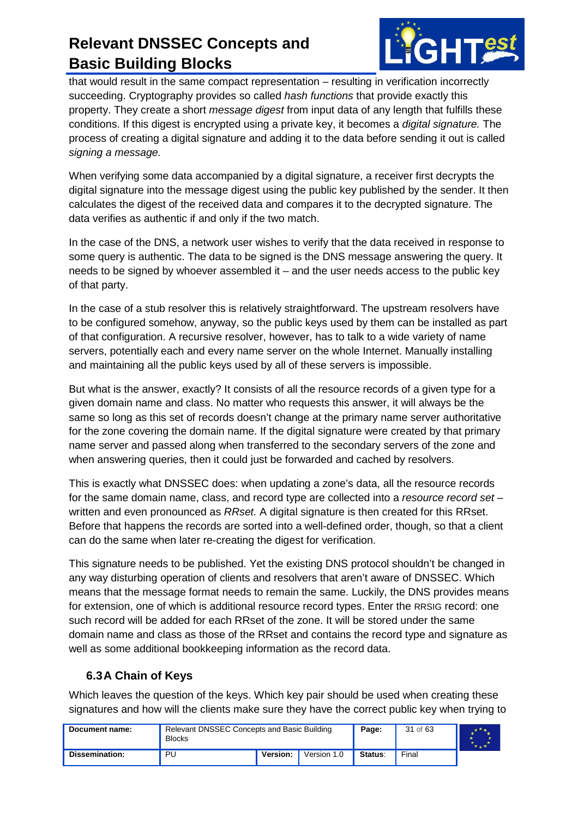

that would result in the same compact representation – resulting in verification incorrectly succeeding. Cryptography provides so called *hash functions* that provide exactly this property. They create a short *message digest* from input data of any length that fulfills these conditions. If this digest is encrypted using a private key, it becomes a *digital signature.* The process of creating a digital signature and adding it to the data before sending it out is called *signing a message.*

When verifying some data accompanied by a digital signature, a receiver first decrypts the digital signature into the message digest using the public key published by the sender. It then calculates the digest of the received data and compares it to the decrypted signature. The data verifies as authentic if and only if the two match.

In the case of the DNS, a network user wishes to verify that the data received in response to some query is authentic. The data to be signed is the DNS message answering the query. It needs to be signed by whoever assembled it – and the user needs access to the public key of that party.

In the case of a stub resolver this is relatively straightforward. The upstream resolvers have to be configured somehow, anyway, so the public keys used by them can be installed as part of that configuration. A recursive resolver, however, has to talk to a wide variety of name servers, potentially each and every name server on the whole Internet. Manually installing and maintaining all the public keys used by all of these servers is impossible.

But what is the answer, exactly? It consists of all the resource records of a given type for a given domain name and class. No matter who requests this answer, it will always be the same so long as this set of records doesn't change at the primary name server authoritative for the zone covering the domain name. If the digital signature were created by that primary name server and passed along when transferred to the secondary servers of the zone and when answering queries, then it could just be forwarded and cached by resolvers.

This is exactly what DNSSEC does: when updating a zone's data, all the resource records for the same domain name, class, and record type are collected into a *resource record set* – written and even pronounced as *RRset.* A digital signature is then created for this RRset. Before that happens the records are sorted into a well-defined order, though, so that a client can do the same when later re-creating the digest for verification.

This signature needs to be published. Yet the existing DNS protocol shouldn't be changed in any way disturbing operation of clients and resolvers that aren't aware of DNSSEC. Which means that the message format needs to remain the same. Luckily, the DNS provides means for extension, one of which is additional resource record types. Enter the RRSIG record: one such record will be added for each RRset of the zone. It will be stored under the same domain name and class as those of the RRset and contains the record type and signature as well as some additional bookkeeping information as the record data.

#### <span id="page-30-0"></span>**6.3A Chain of Keys**

Which leaves the question of the keys. Which key pair should be used when creating these signatures and how will the clients make sure they have the correct public key when trying to

| Document name: | Relevant DNSSEC Concepts and Basic Building<br><b>Blocks</b> |          |             | Page:   | 31 of 63 |  |
|----------------|--------------------------------------------------------------|----------|-------------|---------|----------|--|
| Dissemination: | PU                                                           | Version: | Version 1.0 | Status: | Final    |  |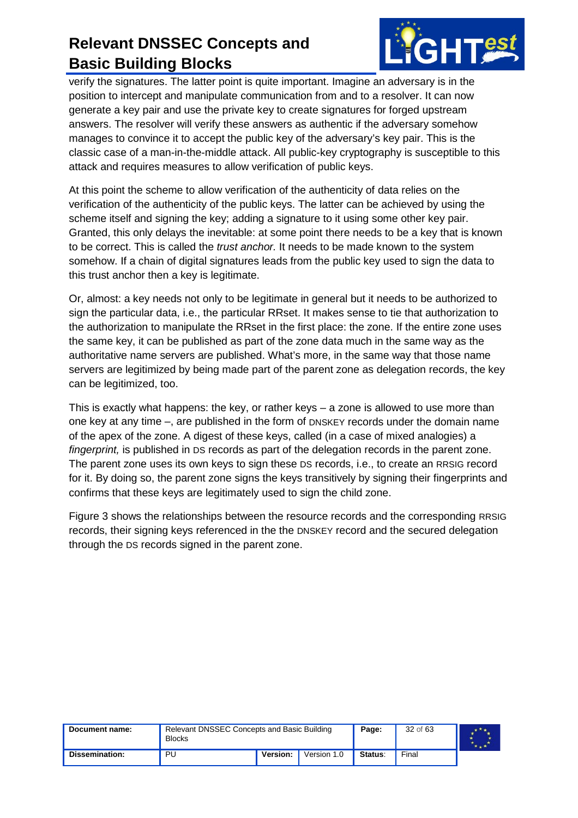

verify the signatures. The latter point is quite important. Imagine an adversary is in the position to intercept and manipulate communication from and to a resolver. It can now generate a key pair and use the private key to create signatures for forged upstream answers. The resolver will verify these answers as authentic if the adversary somehow manages to convince it to accept the public key of the adversary's key pair. This is the classic case of a man-in-the-middle attack. All public-key cryptography is susceptible to this attack and requires measures to allow verification of public keys.

At this point the scheme to allow verification of the authenticity of data relies on the verification of the authenticity of the public keys. The latter can be achieved by using the scheme itself and signing the key; adding a signature to it using some other key pair. Granted, this only delays the inevitable: at some point there needs to be a key that is known to be correct. This is called the *trust anchor.* It needs to be made known to the system somehow. If a chain of digital signatures leads from the public key used to sign the data to this trust anchor then a key is legitimate.

Or, almost: a key needs not only to be legitimate in general but it needs to be authorized to sign the particular data, i.e., the particular RRset. It makes sense to tie that authorization to the authorization to manipulate the RRset in the first place: the zone. If the entire zone uses the same key, it can be published as part of the zone data much in the same way as the authoritative name servers are published. What's more, in the same way that those name servers are legitimized by being made part of the parent zone as delegation records, the key can be legitimized, too.

This is exactly what happens: the key, or rather keys – a zone is allowed to use more than one key at any time –, are published in the form of DNSKEY records under the domain name of the apex of the zone. A digest of these keys, called (in a case of mixed analogies) a *fingerprint*, is published in DS records as part of the delegation records in the parent zone. The parent zone uses its own keys to sign these DS records, i.e., to create an RRSIG record for it. By doing so, the parent zone signs the keys transitively by signing their fingerprints and confirms that these keys are legitimately used to sign the child zone.

[Figure 3](#page-32-0) shows the relationships between the resource records and the corresponding RRSIG records, their signing keys referenced in the the DNSKEY record and the secured delegation through the DS records signed in the parent zone.

| Document name: | Relevant DNSSEC Concepts and Basic Building<br><b>Blocks</b> |          |             | Page:   | 32 of 63 |  |
|----------------|--------------------------------------------------------------|----------|-------------|---------|----------|--|
| Dissemination: | PU                                                           | Version: | Version 1.0 | Status: | Final    |  |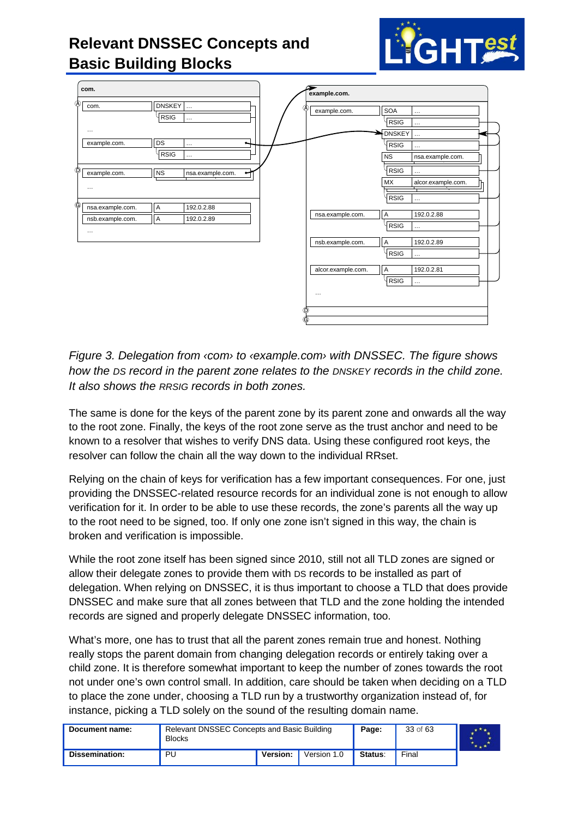

**GHTest** 

<span id="page-32-0"></span>*Figure 3. Delegation from ‹com› to ‹example.com› with DNSSEC. The figure shows how the DS record in the parent zone relates to the DNSKEY records in the child zone. It also shows the RRSIG records in both zones.*

Ⓖ

The same is done for the keys of the parent zone by its parent zone and onwards all the way to the root zone. Finally, the keys of the root zone serve as the trust anchor and need to be known to a resolver that wishes to verify DNS data. Using these configured root keys, the resolver can follow the chain all the way down to the individual RRset.

Relying on the chain of keys for verification has a few important consequences. For one, just providing the DNSSEC-related resource records for an individual zone is not enough to allow verification for it. In order to be able to use these records, the zone's parents all the way up to the root need to be signed, too. If only one zone isn't signed in this way, the chain is broken and verification is impossible.

While the root zone itself has been signed since 2010, still not all TLD zones are signed or allow their delegate zones to provide them with DS records to be installed as part of delegation. When relying on DNSSEC, it is thus important to choose a TLD that does provide DNSSEC and make sure that all zones between that TLD and the zone holding the intended records are signed and properly delegate DNSSEC information, too.

What's more, one has to trust that all the parent zones remain true and honest. Nothing really stops the parent domain from changing delegation records or entirely taking over a child zone. It is therefore somewhat important to keep the number of zones towards the root not under one's own control small. In addition, care should be taken when deciding on a TLD to place the zone under, choosing a TLD run by a trustworthy organization instead of, for instance, picking a TLD solely on the sound of the resulting domain name.

| Document name: | Relevant DNSSEC Concepts and Basic Building<br><b>Blocks</b> |          |             | Page:   | 33 of 63 |  |
|----------------|--------------------------------------------------------------|----------|-------------|---------|----------|--|
| Dissemination: | PU                                                           | Version: | Version 1.0 | Status: | Final    |  |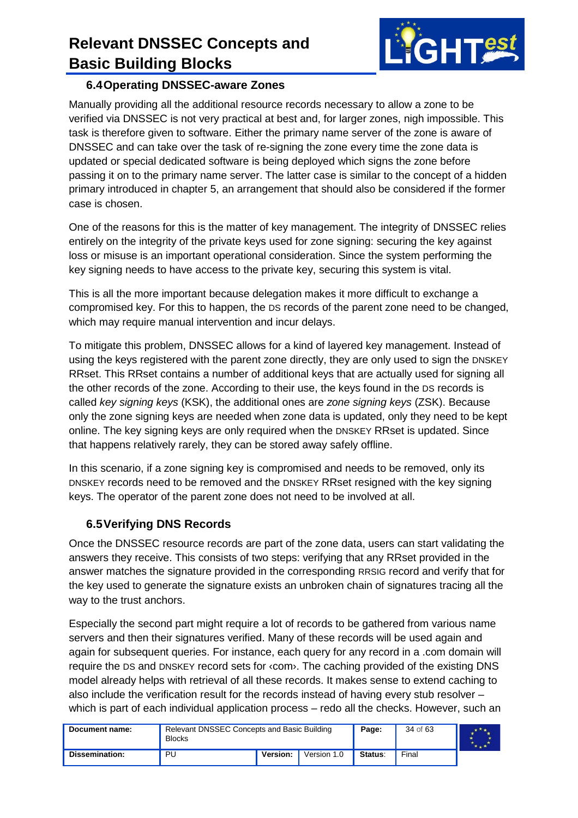

#### <span id="page-33-0"></span>**6.4Operating DNSSEC-aware Zones**

Manually providing all the additional resource records necessary to allow a zone to be verified via DNSSEC is not very practical at best and, for larger zones, nigh impossible. This task is therefore given to software. Either the primary name server of the zone is aware of DNSSEC and can take over the task of re-signing the zone every time the zone data is updated or special dedicated software is being deployed which signs the zone before passing it on to the primary name server. The latter case is similar to the concept of a hidden primary introduced in chapter 5, an arrangement that should also be considered if the former case is chosen.

One of the reasons for this is the matter of key management. The integrity of DNSSEC relies entirely on the integrity of the private keys used for zone signing: securing the key against loss or misuse is an important operational consideration. Since the system performing the key signing needs to have access to the private key, securing this system is vital.

This is all the more important because delegation makes it more difficult to exchange a compromised key. For this to happen, the DS records of the parent zone need to be changed, which may require manual intervention and incur delays.

To mitigate this problem, DNSSEC allows for a kind of layered key management. Instead of using the keys registered with the parent zone directly, they are only used to sign the DNSKEY RRset. This RRset contains a number of additional keys that are actually used for signing all the other records of the zone. According to their use, the keys found in the DS records is called *key signing keys* (KSK), the additional ones are *zone signing keys* (ZSK). Because only the zone signing keys are needed when zone data is updated, only they need to be kept online. The key signing keys are only required when the DNSKEY RRset is updated. Since that happens relatively rarely, they can be stored away safely offline.

In this scenario, if a zone signing key is compromised and needs to be removed, only its DNSKEY records need to be removed and the DNSKEY RRset resigned with the key signing keys. The operator of the parent zone does not need to be involved at all.

#### <span id="page-33-1"></span>**6.5Verifying DNS Records**

Once the DNSSEC resource records are part of the zone data, users can start validating the answers they receive. This consists of two steps: verifying that any RRset provided in the answer matches the signature provided in the corresponding RRSIG record and verify that for the key used to generate the signature exists an unbroken chain of signatures tracing all the way to the trust anchors.

Especially the second part might require a lot of records to be gathered from various name servers and then their signatures verified. Many of these records will be used again and again for subsequent queries. For instance, each query for any record in a .com domain will require the DS and DNSKEY record sets for ‹com›. The caching provided of the existing DNS model already helps with retrieval of all these records. It makes sense to extend caching to also include the verification result for the records instead of having every stub resolver – which is part of each individual application process – redo all the checks. However, such an

| Document name: | Relevant DNSSEC Concepts and Basic Building<br><b>Blocks</b> |          |             | Page:   | 34 of 63 |  |
|----------------|--------------------------------------------------------------|----------|-------------|---------|----------|--|
| Dissemination: | PU                                                           | Version: | Version 1.0 | Status: | Final    |  |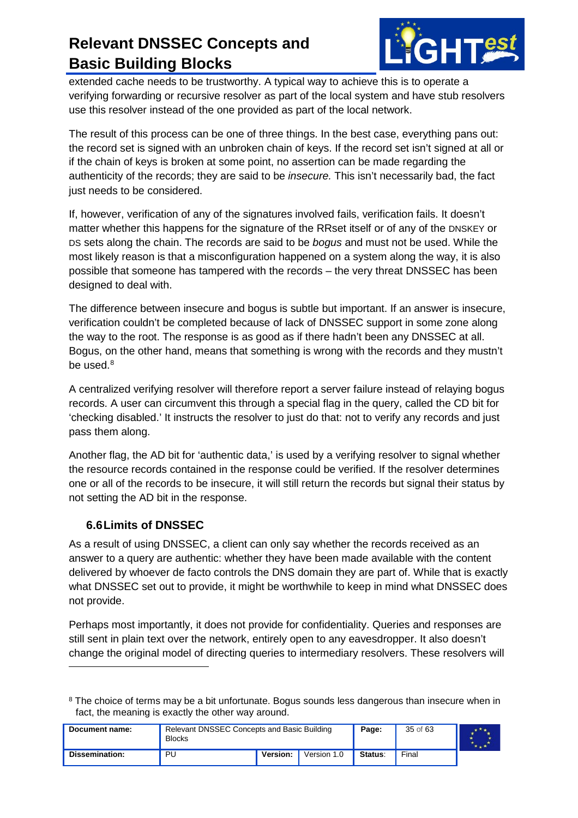

extended cache needs to be trustworthy. A typical way to achieve this is to operate a verifying forwarding or recursive resolver as part of the local system and have stub resolvers use this resolver instead of the one provided as part of the local network.

The result of this process can be one of three things. In the best case, everything pans out: the record set is signed with an unbroken chain of keys. If the record set isn't signed at all or if the chain of keys is broken at some point, no assertion can be made regarding the authenticity of the records; they are said to be *insecure.* This isn't necessarily bad, the fact just needs to be considered.

If, however, verification of any of the signatures involved fails, verification fails. It doesn't matter whether this happens for the signature of the RRset itself or of any of the DNSKEY or DS sets along the chain. The records are said to be *bogus* and must not be used. While the most likely reason is that a misconfiguration happened on a system along the way, it is also possible that someone has tampered with the records – the very threat DNSSEC has been designed to deal with.

The difference between insecure and bogus is subtle but important. If an answer is insecure, verification couldn't be completed because of lack of DNSSEC support in some zone along the way to the root. The response is as good as if there hadn't been any DNSSEC at all. Bogus, on the other hand, means that something is wrong with the records and they mustn't be used.<sup>[8](#page-34-1)</sup>

A centralized verifying resolver will therefore report a server failure instead of relaying bogus records. A user can circumvent this through a special flag in the query, called the CD bit for 'checking disabled.' It instructs the resolver to just do that: not to verify any records and just pass them along.

Another flag, the AD bit for 'authentic data,' is used by a verifying resolver to signal whether the resource records contained in the response could be verified. If the resolver determines one or all of the records to be insecure, it will still return the records but signal their status by not setting the AD bit in the response.

#### <span id="page-34-0"></span>**6.6Limits of DNSSEC**

-

As a result of using DNSSEC, a client can only say whether the records received as an answer to a query are authentic: whether they have been made available with the content delivered by whoever de facto controls the DNS domain they are part of. While that is exactly what DNSSEC set out to provide, it might be worthwhile to keep in mind what DNSSEC does not provide.

Perhaps most importantly, it does not provide for confidentiality. Queries and responses are still sent in plain text over the network, entirely open to any eavesdropper. It also doesn't change the original model of directing queries to intermediary resolvers. These resolvers will

<span id="page-34-1"></span><sup>&</sup>lt;sup>8</sup> The choice of terms may be a bit unfortunate. Bogus sounds less dangerous than insecure when in fact, the meaning is exactly the other way around.

| Document name: | Relevant DNSSEC Concepts and Basic Building<br><b>Blocks</b> |          |             | Page:   | 35 of 63 |  |
|----------------|--------------------------------------------------------------|----------|-------------|---------|----------|--|
| Dissemination: | PU                                                           | Version: | Version 1.0 | Status: | Final    |  |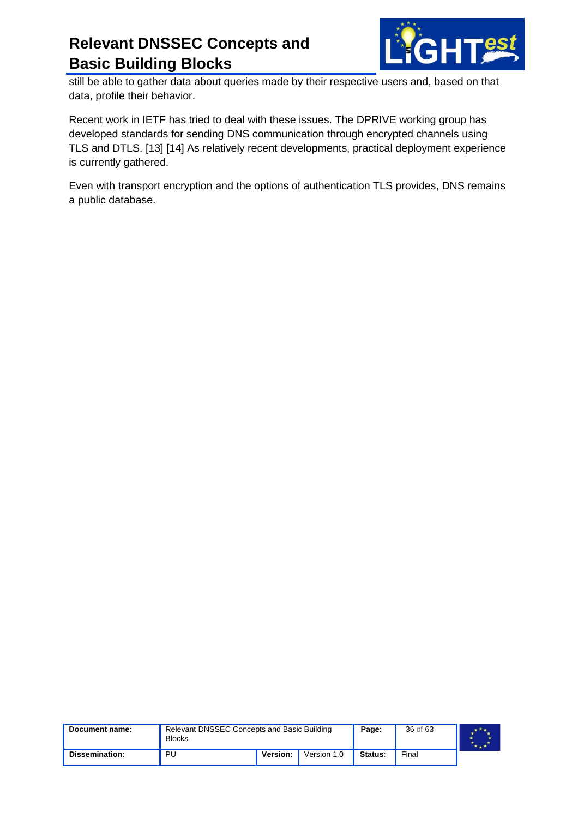

still be able to gather data about queries made by their respective users and, based on that data, profile their behavior.

Recent work in IETF has tried to deal with these issues. The DPRIVE working group has developed standards for sending DNS communication through encrypted channels using TLS and DTLS. [\[13\]](#page-59-12) [\[14\]](#page-59-13) As relatively recent developments, practical deployment experience is currently gathered.

Even with transport encryption and the options of authentication TLS provides, DNS remains a public database.

| Document name: | Relevant DNSSEC Concepts and Basic Building<br><b>Blocks</b> |          |             | Page:   | 36 of 63 |  |
|----------------|--------------------------------------------------------------|----------|-------------|---------|----------|--|
| Dissemination: | PU                                                           | Version: | Version 1.0 | Status: | Final    |  |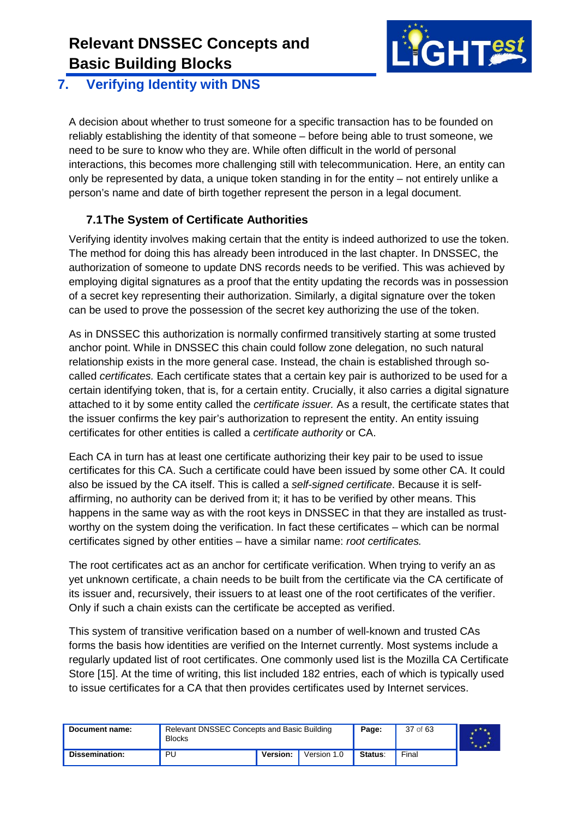

#### <span id="page-36-0"></span>**7. Verifying Identity with DNS**

A decision about whether to trust someone for a specific transaction has to be founded on reliably establishing the identity of that someone – before being able to trust someone, we need to be sure to know who they are. While often difficult in the world of personal interactions, this becomes more challenging still with telecommunication. Here, an entity can only be represented by data, a unique token standing in for the entity – not entirely unlike a person's name and date of birth together represent the person in a legal document.

#### <span id="page-36-1"></span>**7.1The System of Certificate Authorities**

Verifying identity involves making certain that the entity is indeed authorized to use the token. The method for doing this has already been introduced in the last chapter. In DNSSEC, the authorization of someone to update DNS records needs to be verified. This was achieved by employing digital signatures as a proof that the entity updating the records was in possession of a secret key representing their authorization. Similarly, a digital signature over the token can be used to prove the possession of the secret key authorizing the use of the token.

As in DNSSEC this authorization is normally confirmed transitively starting at some trusted anchor point. While in DNSSEC this chain could follow zone delegation, no such natural relationship exists in the more general case. Instead, the chain is established through socalled *certificates.* Each certificate states that a certain key pair is authorized to be used for a certain identifying token, that is, for a certain entity. Crucially, it also carries a digital signature attached to it by some entity called the *certificate issuer.* As a result, the certificate states that the issuer confirms the key pair's authorization to represent the entity. An entity issuing certificates for other entities is called a *certificate authority* or CA.

Each CA in turn has at least one certificate authorizing their key pair to be used to issue certificates for this CA. Such a certificate could have been issued by some other CA. It could also be issued by the CA itself. This is called a *self-signed certificate*. Because it is selfaffirming, no authority can be derived from it; it has to be verified by other means. This happens in the same way as with the root keys in DNSSEC in that they are installed as trustworthy on the system doing the verification. In fact these certificates – which can be normal certificates signed by other entities – have a similar name: *root certificates.*

The root certificates act as an anchor for certificate verification. When trying to verify an as yet unknown certificate, a chain needs to be built from the certificate via the CA certificate of its issuer and, recursively, their issuers to at least one of the root certificates of the verifier. Only if such a chain exists can the certificate be accepted as verified.

This system of transitive verification based on a number of well-known and trusted CAs forms the basis how identities are verified on the Internet currently. Most systems include a regularly updated list of root certificates. One commonly used list is the Mozilla CA Certificate Store [\[15\].](#page-59-14) At the time of writing, this list included 182 entries, each of which is typically used to issue certificates for a CA that then provides certificates used by Internet services.

| Document name: | Relevant DNSSEC Concepts and Basic Building<br><b>Blocks</b> |          |             | Page:   | 37 of 63 |  |
|----------------|--------------------------------------------------------------|----------|-------------|---------|----------|--|
| Dissemination: | PU                                                           | Version: | Version 1.0 | Status: | Final    |  |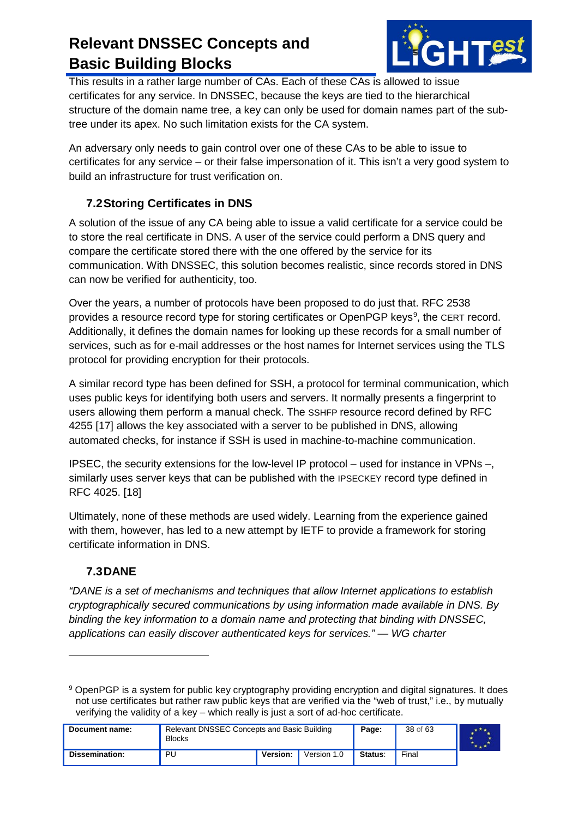

This results in a rather large number of CAs. Each of these CAs is allowed to issue certificates for any service. In DNSSEC, because the keys are tied to the hierarchical structure of the domain name tree, a key can only be used for domain names part of the subtree under its apex. No such limitation exists for the CA system.

An adversary only needs to gain control over one of these CAs to be able to issue to certificates for any service – or their false impersonation of it. This isn't a very good system to build an infrastructure for trust verification on.

#### <span id="page-37-0"></span>**7.2Storing Certificates in DNS**

A solution of the issue of any CA being able to issue a valid certificate for a service could be to store the real certificate in DNS. A user of the service could perform a DNS query and compare the certificate stored there with the one offered by the service for its communication. With DNSSEC, this solution becomes realistic, since records stored in DNS can now be verified for authenticity, too.

Over the years, a number of protocols have been proposed to do just that. RFC 2538 provides a resource record type for storing certificates or OpenPGP keys<sup>[9](#page-37-2)</sup>, the CERT record. Additionally, it defines the domain names for looking up these records for a small number of services, such as for e-mail addresses or the host names for Internet services using the TLS protocol for providing encryption for their protocols.

A similar record type has been defined for SSH, a protocol for terminal communication, which uses public keys for identifying both users and servers. It normally presents a fingerprint to users allowing them perform a manual check. The SSHFP resource record defined by RFC 4255 [\[17\]](#page-59-15) allows the key associated with a server to be published in DNS, allowing automated checks, for instance if SSH is used in machine-to-machine communication.

IPSEC, the security extensions for the low-level IP protocol – used for instance in VPNs –, similarly uses server keys that can be published with the IPSECKEY record type defined in RFC 4025. [\[18\]](#page-59-16)

Ultimately, none of these methods are used widely. Learning from the experience gained with them, however, has led to a new attempt by IETF to provide a framework for storing certificate information in DNS.

#### <span id="page-37-1"></span>**7.3DANE**

 $\ddot{\phantom{a}}$ 

*"DANE is a set of mechanisms and techniques that allow Internet applications to establish cryptographically secured communications by using information made available in DNS. By binding the key information to a domain name and protecting that binding with DNSSEC, applications can easily discover authenticated keys for services." — WG charter*

<span id="page-37-2"></span><sup>9</sup> OpenPGP is a system for public key cryptography providing encryption and digital signatures. It does not use certificates but rather raw public keys that are verified via the "web of trust," i.e., by mutually verifying the validity of a key – which really is just a sort of ad-hoc certificate.

| Document name: | Relevant DNSSEC Concepts and Basic Building<br><b>Blocks</b> |          |             | Page:   | 38 of 63 |  |
|----------------|--------------------------------------------------------------|----------|-------------|---------|----------|--|
| Dissemination: | PU                                                           | Version: | Version 1.0 | Status: | Final    |  |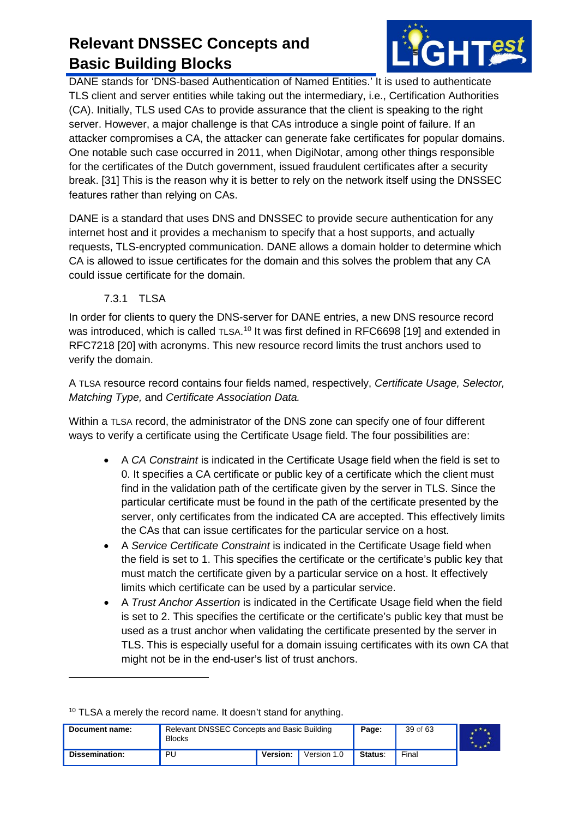

DANE stands for 'DNS-based Authentication of Named Entities.' It is used to authenticate TLS client and server entities while taking out the intermediary, i.e., Certification Authorities (CA). Initially, TLS used CAs to provide assurance that the client is speaking to the right server. However, a major challenge is that CAs introduce a single point of failure. If an attacker compromises a CA, the attacker can generate fake certificates for popular domains. One notable such case occurred in 2011, when DigiNotar, among other things responsible for the certificates of the Dutch government, issued fraudulent certificates after a security break. [\[31\]](#page-60-0) This is the reason why it is better to rely on the network itself using the DNSSEC features rather than relying on CAs.

DANE is a standard that uses DNS and DNSSEC to provide secure authentication for any internet host and it provides a mechanism to specify that a host supports, and actually requests, TLS-encrypted communication. DANE allows a domain holder to determine which CA is allowed to issue certificates for the domain and this solves the problem that any CA could issue certificate for the domain.

7.3.1 TLSA

-

<span id="page-38-0"></span>In order for clients to query the DNS-server for DANE entries, a new DNS resource record was introduced, which is called <code>TLSA. $^{\rm 10}$  $^{\rm 10}$  $^{\rm 10}$  It</code> was first defined in <code>RFC6698</code> [\[19\]](#page-60-1) and extended in RFC7218 [\[20\]](#page-60-2) with acronyms. This new resource record limits the trust anchors used to verify the domain.

A TLSA resource record contains four fields named, respectively, *Certificate Usage, Selector, Matching Type,* and *Certificate Association Data.*

Within a TLSA record, the administrator of the DNS zone can specify one of four different ways to verify a certificate using the Certificate Usage field. The four possibilities are:

- A *CA Constraint* is indicated in the Certificate Usage field when the field is set to 0. It specifies a CA certificate or public key of a certificate which the client must find in the validation path of the certificate given by the server in TLS. Since the particular certificate must be found in the path of the certificate presented by the server, only certificates from the indicated CA are accepted. This effectively limits the CAs that can issue certificates for the particular service on a host.
- A *Service Certificate Constraint* is indicated in the Certificate Usage field when the field is set to 1. This specifies the certificate or the certificate's public key that must match the certificate given by a particular service on a host. It effectively limits which certificate can be used by a particular service.
- A *Trust Anchor Assertion* is indicated in the Certificate Usage field when the field is set to 2. This specifies the certificate or the certificate's public key that must be used as a trust anchor when validating the certificate presented by the server in TLS. This is especially useful for a domain issuing certificates with its own CA that might not be in the end-user's list of trust anchors.

<span id="page-38-1"></span>

| Document name:        | <b>Blocks</b> | Relevant DNSSEC Concepts and Basic Building |             |         | 39 of 63 |  |
|-----------------------|---------------|---------------------------------------------|-------------|---------|----------|--|
| <b>Dissemination:</b> | PU            | <b>Version:</b>                             | Version 1.0 | Status: | Final    |  |

<sup>10</sup> TLSA a merely the record name. It doesn't stand for anything.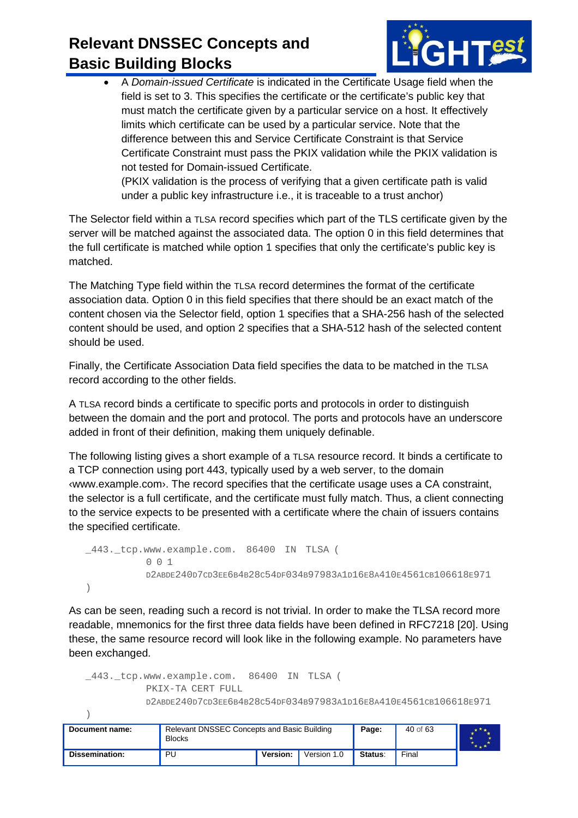

• A *Domain-issued Certificate* is indicated in the Certificate Usage field when the field is set to 3. This specifies the certificate or the certificate's public key that must match the certificate given by a particular service on a host. It effectively limits which certificate can be used by a particular service. Note that the difference between this and Service Certificate Constraint is that Service Certificate Constraint must pass the PKIX validation while the PKIX validation is not tested for Domain-issued Certificate. (PKIX validation is the process of verifying that a given certificate path is valid

under a public key infrastructure i.e., it is traceable to a trust anchor)

The Selector field within a TLSA record specifies which part of the TLS certificate given by the server will be matched against the associated data. The option 0 in this field determines that the full certificate is matched while option 1 specifies that only the certificate's public key is matched.

The Matching Type field within the TLSA record determines the format of the certificate association data. Option 0 in this field specifies that there should be an exact match of the content chosen via the Selector field, option 1 specifies that a SHA-256 hash of the selected content should be used, and option 2 specifies that a SHA-512 hash of the selected content should be used.

Finally, the Certificate Association Data field specifies the data to be matched in the TLSA record according to the other fields.

A TLSA record binds a certificate to specific ports and protocols in order to distinguish between the domain and the port and protocol. The ports and protocols have an underscore added in front of their definition, making them uniquely definable.

The following listing gives a short example of a TLSA resource record. It binds a certificate to a TCP connection using port 443, typically used by a web server, to the domain ‹www.example.com›. The record specifies that the certificate usage uses a CA constraint, the selector is a full certificate, and the certificate must fully match. Thus, a client connecting to the service expects to be presented with a certificate where the chain of issuers contains the specified certificate.

```
_443._tcp.www.example.com. 86400 IN TLSA (
           0 0 1
           D2ABDE240D7CD3EE6B4B28C54DF034B97983A1D16E8A410E4561CB106618E971
)
```
As can be seen, reading such a record is not trivial. In order to make the TLSA record more readable, mnemonics for the first three data fields have been defined in RFC7218 [\[20\].](#page-60-2) Using these, the same resource record will look like in the following example. No parameters have been exchanged.

```
_443._tcp.www.example.com. 86400 IN TLSA (
          PKIX-TA CERT FULL
           D2ABDE240D7CD3EE6B4B28C54DF034B97983A1D16E8A410E4561CB106618E971
```

| Document name: | <b>Blocks</b> | Relevant DNSSEC Concepts and Basic Building |             |         | 40 of 63 |  |
|----------------|---------------|---------------------------------------------|-------------|---------|----------|--|
| Dissemination: | PU            | Version:                                    | Version 1.0 | Status: | Final    |  |

)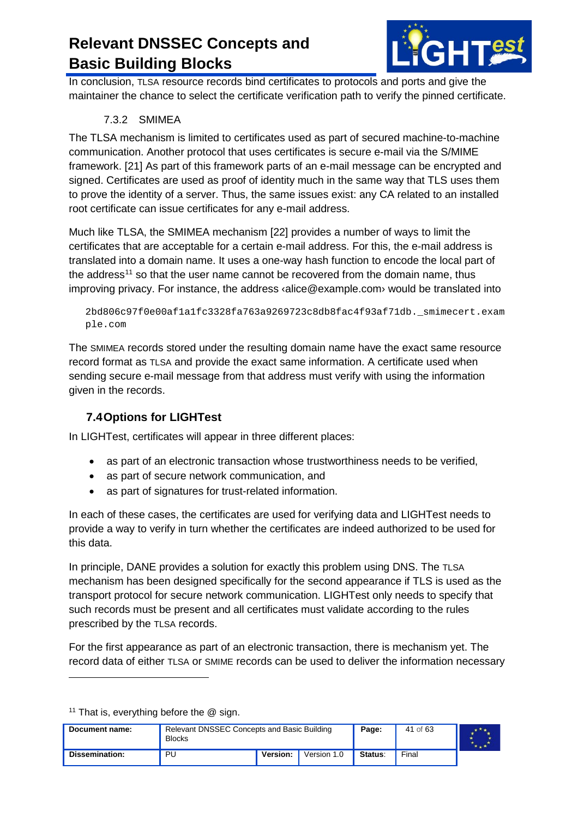

In conclusion, TLSA resource records bind certificates to protocols and ports and give the maintainer the chance to select the certificate verification path to verify the pinned certificate.

#### 7.3.2 SMIMEA

<span id="page-40-0"></span>The TLSA mechanism is limited to certificates used as part of secured machine-to-machine communication. Another protocol that uses certificates is secure e-mail via the S/MIME framework. [\[21\]](#page-60-3) As part of this framework parts of an e-mail message can be encrypted and signed. Certificates are used as proof of identity much in the same way that TLS uses them to prove the identity of a server. Thus, the same issues exist: any CA related to an installed root certificate can issue certificates for any e-mail address.

Much like TLSA, the SMIMEA mechanism [\[22\]](#page-60-4) provides a number of ways to limit the certificates that are acceptable for a certain e-mail address. For this, the e-mail address is translated into a domain name. It uses a one-way hash function to encode the local part of the address<sup>[11](#page-40-2)</sup> so that the user name cannot be recovered from the domain name, thus improving privacy. For instance, the address ‹alice@example.com› would be translated into

```
2bd806c97f0e00af1a1fc3328fa763a9269723c8db8fac4f93af71db._smimecert.exam
ple.com
```
The SMIMEA records stored under the resulting domain name have the exact same resource record format as TLSA and provide the exact same information. A certificate used when sending secure e-mail message from that address must verify with using the information given in the records.

#### <span id="page-40-1"></span>**7.4Options for LIGHTest**

In LIGHTest, certificates will appear in three different places:

- as part of an electronic transaction whose trustworthiness needs to be verified,
- as part of secure network communication, and
- as part of signatures for trust-related information.

In each of these cases, the certificates are used for verifying data and LIGHTest needs to provide a way to verify in turn whether the certificates are indeed authorized to be used for this data.

In principle, DANE provides a solution for exactly this problem using DNS. The TLSA mechanism has been designed specifically for the second appearance if TLS is used as the transport protocol for secure network communication. LIGHTest only needs to specify that such records must be present and all certificates must validate according to the rules prescribed by the TLSA records.

For the first appearance as part of an electronic transaction, there is mechanism yet. The record data of either TLSA or SMIME records can be used to deliver the information necessary

<sup>11</sup> That is, everything before the  $@$  sign.

-

<span id="page-40-2"></span>

| Document name: | Relevant DNSSEC Concepts and Basic Building<br><b>Blocks</b> |                 |             | Page:   | 41 of 63 |  |
|----------------|--------------------------------------------------------------|-----------------|-------------|---------|----------|--|
| Dissemination: | PU                                                           | <b>Version:</b> | Version 1.0 | Status: | Final    |  |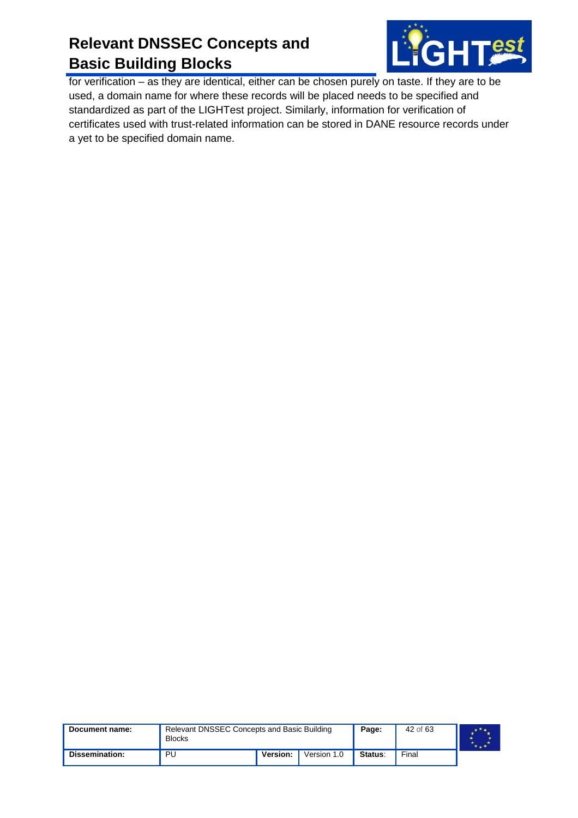

for verification – as they are identical, either can be chosen purely on taste. If they are to be used, a domain name for where these records will be placed needs to be specified and standardized as part of the LIGHTest project. Similarly, information for verification of certificates used with trust-related information can be stored in DANE resource records under a yet to be specified domain name.

| Document name: | Relevant DNSSEC Concepts and Basic Building<br><b>Blocks</b> |          |             | Page:          | 42 of 63 |  |
|----------------|--------------------------------------------------------------|----------|-------------|----------------|----------|--|
| Dissemination: | PU                                                           | Version: | Version 1.0 | <b>Status:</b> | Final    |  |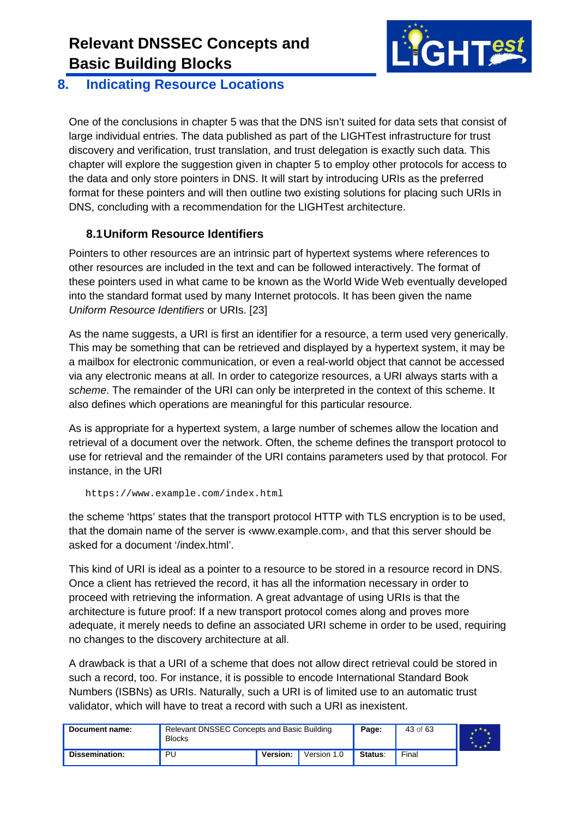

#### <span id="page-42-0"></span>**8. Indicating Resource Locations**

One of the conclusions in chapter 5 was that the DNS isn't suited for data sets that consist of large individual entries. The data published as part of the LIGHTest infrastructure for trust discovery and verification, trust translation, and trust delegation is exactly such data. This chapter will explore the suggestion given in chapter 5 to employ other protocols for access to the data and only store pointers in DNS. It will start by introducing URIs as the preferred format for these pointers and will then outline two existing solutions for placing such URIs in DNS, concluding with a recommendation for the LIGHTest architecture.

#### <span id="page-42-1"></span>**8.1Uniform Resource Identifiers**

Pointers to other resources are an intrinsic part of hypertext systems where references to other resources are included in the text and can be followed interactively. The format of these pointers used in what came to be known as the World Wide Web eventually developed into the standard format used by many Internet protocols. It has been given the name *Uniform Resource Identifiers* or URIs. [\[23\]](#page-60-5)

As the name suggests, a URI is first an identifier for a resource, a term used very generically. This may be something that can be retrieved and displayed by a hypertext system, it may be a mailbox for electronic communication, or even a real-world object that cannot be accessed via any electronic means at all. In order to categorize resources, a URI always starts with a *scheme*. The remainder of the URI can only be interpreted in the context of this scheme. It also defines which operations are meaningful for this particular resource.

As is appropriate for a hypertext system, a large number of schemes allow the location and retrieval of a document over the network. Often, the scheme defines the transport protocol to use for retrieval and the remainder of the URI contains parameters used by that protocol. For instance, in the URI

```
https://www.example.com/index.html
```
the scheme 'https' states that the transport protocol HTTP with TLS encryption is to be used, that the domain name of the server is ‹www.example.com›, and that this server should be asked for a document '/index.html'.

This kind of URI is ideal as a pointer to a resource to be stored in a resource record in DNS. Once a client has retrieved the record, it has all the information necessary in order to proceed with retrieving the information. A great advantage of using URIs is that the architecture is future proof: If a new transport protocol comes along and proves more adequate, it merely needs to define an associated URI scheme in order to be used, requiring no changes to the discovery architecture at all.

A drawback is that a URI of a scheme that does not allow direct retrieval could be stored in such a record, too. For instance, it is possible to encode International Standard Book Numbers (ISBNs) as URIs. Naturally, such a URI is of limited use to an automatic trust validator, which will have to treat a record with such a URI as inexistent.

| Document name: | Relevant DNSSEC Concepts and Basic Building<br><b>Blocks</b> |          |             | Page:   | 43 of 63 |  |
|----------------|--------------------------------------------------------------|----------|-------------|---------|----------|--|
| Dissemination: | PU                                                           | Version: | Version 1.0 | Status: | Final    |  |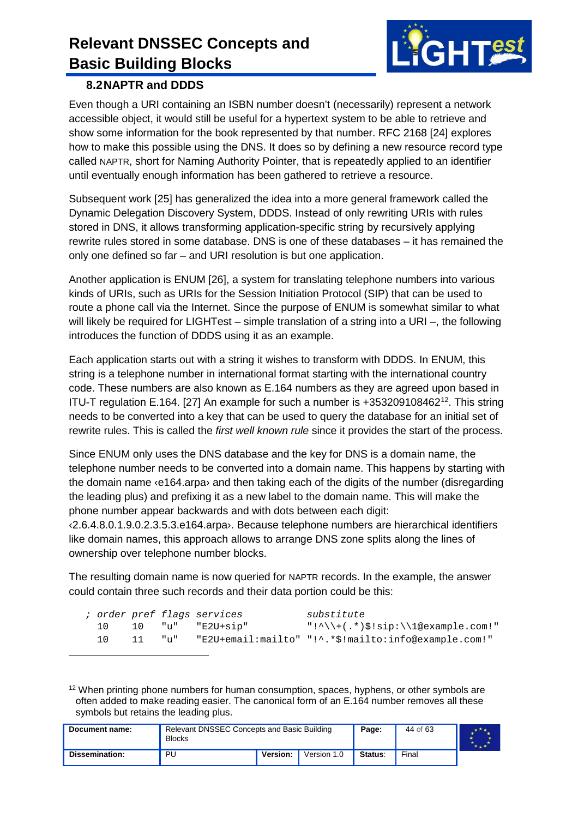

#### <span id="page-43-0"></span>**8.2NAPTR and DDDS**

 $\ddot{\phantom{a}}$ 

Even though a URI containing an ISBN number doesn't (necessarily) represent a network accessible object, it would still be useful for a hypertext system to be able to retrieve and show some information for the book represented by that number. RFC 2168 [\[24\]](#page-60-6) explores how to make this possible using the DNS. It does so by defining a new resource record type called NAPTR, short for Naming Authority Pointer, that is repeatedly applied to an identifier until eventually enough information has been gathered to retrieve a resource.

Subsequent work [\[25\]](#page-60-7) has generalized the idea into a more general framework called the Dynamic Delegation Discovery System, DDDS. Instead of only rewriting URIs with rules stored in DNS, it allows transforming application-specific string by recursively applying rewrite rules stored in some database. DNS is one of these databases – it has remained the only one defined so far – and URI resolution is but one application.

Another application is ENUM [\[26\],](#page-60-8) a system for translating telephone numbers into various kinds of URIs, such as URIs for the Session Initiation Protocol (SIP) that can be used to route a phone call via the Internet. Since the purpose of ENUM is somewhat similar to what will likely be required for LIGHTest – simple translation of a string into a URI –, the following introduces the function of DDDS using it as an example.

Each application starts out with a string it wishes to transform with DDDS. In ENUM, this string is a telephone number in international format starting with the international country code. These numbers are also known as E.164 numbers as they are agreed upon based in ITU-T regulation E.164. [\[27\]](#page-60-9) An example for such a number is +353209108462[12.](#page-43-1) This string needs to be converted into a key that can be used to query the database for an initial set of rewrite rules. This is called the *first well known rule* since it provides the start of the process.

Since ENUM only uses the DNS database and the key for DNS is a domain name, the telephone number needs to be converted into a domain name. This happens by starting with the domain name ‹e164.arpa› and then taking each of the digits of the number (disregarding the leading plus) and prefixing it as a new label to the domain name. This will make the phone number appear backwards and with dots between each digit:

‹2.6.4.8.0.1.9.0.2.3.5.3.e164.arpa›. Because telephone numbers are hierarchical identifiers like domain names, this approach allows to arrange DNS zone splits along the lines of ownership over telephone number blocks.

The resulting domain name is now queried for NAPTR records. In the example, the answer could contain three such records and their data portion could be this:

|       |        | ; order pref flags services | substitute                                  |
|-------|--------|-----------------------------|---------------------------------------------|
| $10-$ |        | 10 "u" "E2U+sip"            | $"\cdot\$ :^\\+(.*)\$!sip:\\1@example.com!" |
| 10    | - 11 - |                             |                                             |

<span id="page-43-1"></span><sup>12</sup> When printing phone numbers for human consumption, spaces, hyphens, or other symbols are often added to make reading easier. The canonical form of an E.164 number removes all these symbols but retains the leading plus.

| Document name: | Relevant DNSSEC Concepts and Basic Building<br>Blocks |                 | Page:       | 44 of 63 |       |  |
|----------------|-------------------------------------------------------|-----------------|-------------|----------|-------|--|
| Dissemination: | PU                                                    | <b>Version:</b> | Version 1.0 | Status:  | Final |  |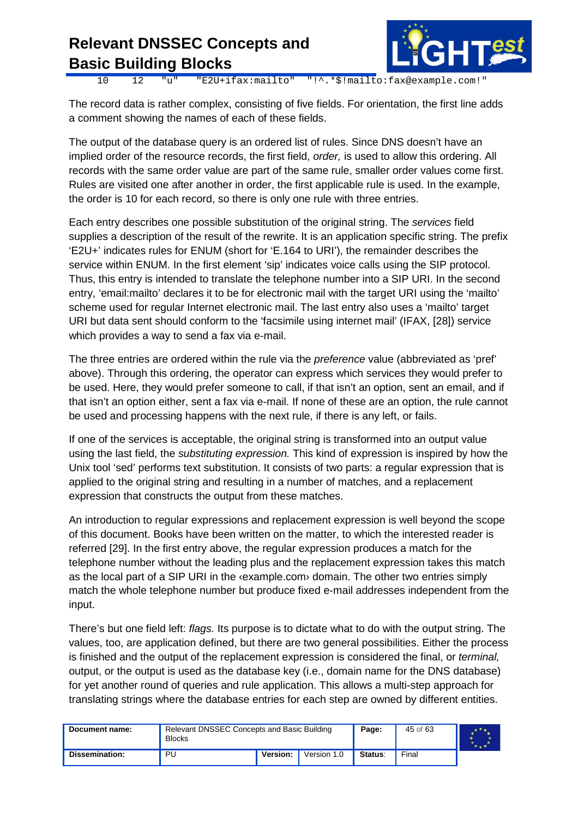

E2U+ifax:mailto" "!^.\*\$!mailto:fax@example.com!"

The record data is rather complex, consisting of five fields. For orientation, the first line adds a comment showing the names of each of these fields.

The output of the database query is an ordered list of rules. Since DNS doesn't have an implied order of the resource records, the first field, *order,* is used to allow this ordering. All records with the same order value are part of the same rule, smaller order values come first. Rules are visited one after another in order, the first applicable rule is used. In the example, the order is 10 for each record, so there is only one rule with three entries.

Each entry describes one possible substitution of the original string. The *services* field supplies a description of the result of the rewrite. It is an application specific string. The prefix 'E2U+' indicates rules for ENUM (short for 'E.164 to URI'), the remainder describes the service within ENUM. In the first element 'sip' indicates voice calls using the SIP protocol. Thus, this entry is intended to translate the telephone number into a SIP URI. In the second entry, 'email:mailto' declares it to be for electronic mail with the target URI using the 'mailto' scheme used for regular Internet electronic mail. The last entry also uses a 'mailto' target URI but data sent should conform to the 'facsimile using internet mail' (IFAX, [\[28\]\)](#page-60-10) service which provides a way to send a fax via e-mail.

The three entries are ordered within the rule via the *preference* value (abbreviated as 'pref' above). Through this ordering, the operator can express which services they would prefer to be used. Here, they would prefer someone to call, if that isn't an option, sent an email, and if that isn't an option either, sent a fax via e-mail. If none of these are an option, the rule cannot be used and processing happens with the next rule, if there is any left, or fails.

If one of the services is acceptable, the original string is transformed into an output value using the last field, the *substituting expression.* This kind of expression is inspired by how the Unix tool 'sed' performs text substitution. It consists of two parts: a regular expression that is applied to the original string and resulting in a number of matches, and a replacement expression that constructs the output from these matches.

An introduction to regular expressions and replacement expression is well beyond the scope of this document. Books have been written on the matter, to which the interested reader is referred [\[29\].](#page-60-11) In the first entry above, the regular expression produces a match for the telephone number without the leading plus and the replacement expression takes this match as the local part of a SIP URI in the «example.com» domain. The other two entries simply match the whole telephone number but produce fixed e-mail addresses independent from the input.

There's but one field left: *flags.* Its purpose is to dictate what to do with the output string. The values, too, are application defined, but there are two general possibilities. Either the process is finished and the output of the replacement expression is considered the final, or *terminal,*  output, or the output is used as the database key (i.e., domain name for the DNS database) for yet another round of queries and rule application. This allows a multi-step approach for translating strings where the database entries for each step are owned by different entities.

| Document name: | Relevant DNSSEC Concepts and Basic Building<br><b>Blocks</b> | Page:    | 45 of 63    |         |       |  |
|----------------|--------------------------------------------------------------|----------|-------------|---------|-------|--|
| Dissemination: | <b>PU</b>                                                    | Version: | Version 1.0 | Status: | Final |  |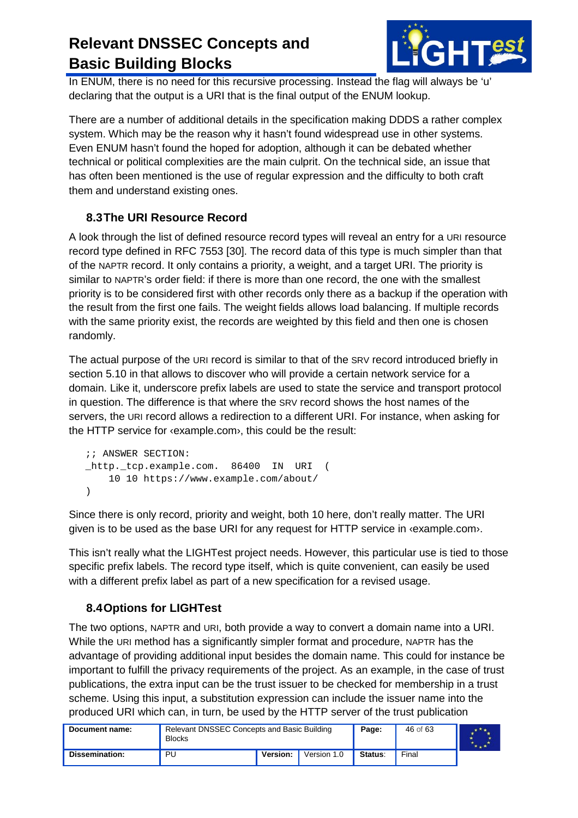

In ENUM, there is no need for this recursive processing. Instead the flag will always be 'u' declaring that the output is a URI that is the final output of the ENUM lookup.

There are a number of additional details in the specification making DDDS a rather complex system. Which may be the reason why it hasn't found widespread use in other systems. Even ENUM hasn't found the hoped for adoption, although it can be debated whether technical or political complexities are the main culprit. On the technical side, an issue that has often been mentioned is the use of regular expression and the difficulty to both craft them and understand existing ones.

#### <span id="page-45-0"></span>**8.3The URI Resource Record**

A look through the list of defined resource record types will reveal an entry for a URI resource record type defined in RFC 7553 [\[30\].](#page-60-12) The record data of this type is much simpler than that of the NAPTR record. It only contains a priority, a weight, and a target URI. The priority is similar to NAPTR's order field: if there is more than one record, the one with the smallest priority is to be considered first with other records only there as a backup if the operation with the result from the first one fails. The weight fields allows load balancing. If multiple records with the same priority exist, the records are weighted by this field and then one is chosen randomly.

The actual purpose of the URI record is similar to that of the SRV record introduced briefly in section 5.10 in that allows to discover who will provide a certain network service for a domain. Like it, underscore prefix labels are used to state the service and transport protocol in question. The difference is that where the SRV record shows the host names of the servers, the URI record allows a redirection to a different URI. For instance, when asking for the HTTP service for ‹example.com›, this could be the result:

```
;; ANSWER SECTION:
_http._tcp.example.com. 86400 IN URI (
    10 10 https://www.example.com/about/
)
```
Since there is only record, priority and weight, both 10 here, don't really matter. The URI given is to be used as the base URI for any request for HTTP service in ‹example.com›.

This isn't really what the LIGHTest project needs. However, this particular use is tied to those specific prefix labels. The record type itself, which is quite convenient, can easily be used with a different prefix label as part of a new specification for a revised usage.

#### <span id="page-45-1"></span>**8.4Options for LIGHTest**

The two options, NAPTR and URI, both provide a way to convert a domain name into a URI. While the URI method has a significantly simpler format and procedure, NAPTR has the advantage of providing additional input besides the domain name. This could for instance be important to fulfill the privacy requirements of the project. As an example, in the case of trust publications, the extra input can be the trust issuer to be checked for membership in a trust scheme. Using this input, a substitution expression can include the issuer name into the produced URI which can, in turn, be used by the HTTP server of the trust publication

| Document name: | Relevant DNSSEC Concepts and Basic Building<br><b>Blocks</b> |          | Page:       | 46 of 63 |       |  |
|----------------|--------------------------------------------------------------|----------|-------------|----------|-------|--|
| Dissemination: | PU                                                           | Version: | Version 1.0 | Status:  | Final |  |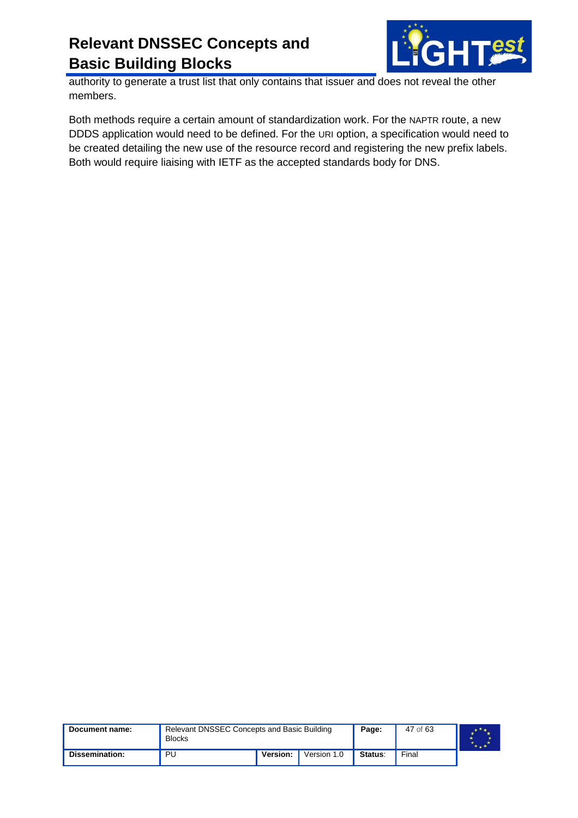

authority to generate a trust list that only contains that issuer and does not reveal the other members.

Both methods require a certain amount of standardization work. For the NAPTR route, a new DDDS application would need to be defined. For the URI option, a specification would need to be created detailing the new use of the resource record and registering the new prefix labels. Both would require liaising with IETF as the accepted standards body for DNS.

| Document name: | Relevant DNSSEC Concepts and Basic Building<br><b>Blocks</b> | Page:    | 47 of 63    |         |       |  |
|----------------|--------------------------------------------------------------|----------|-------------|---------|-------|--|
| Dissemination: | PU                                                           | Version: | Version 1.0 | Status: | Final |  |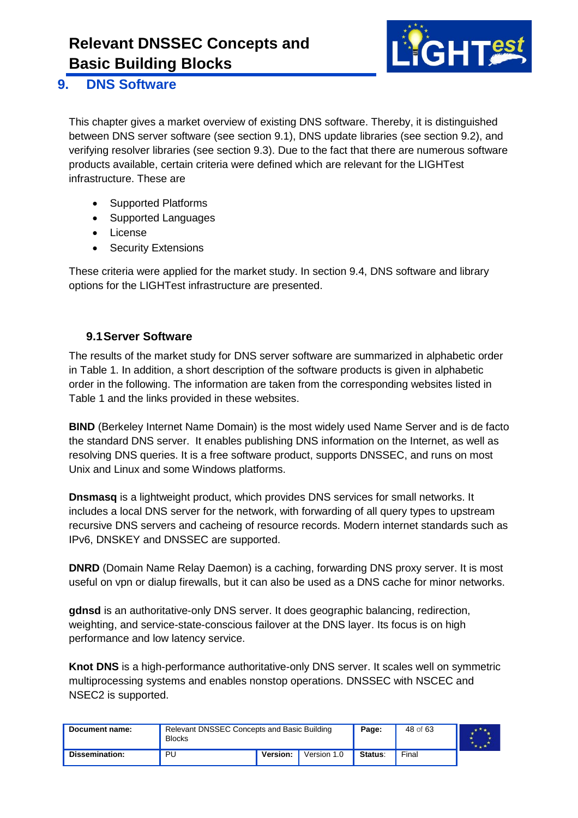

#### <span id="page-47-0"></span>**9. DNS Software**

This chapter gives a market overview of existing DNS software. Thereby, it is distinguished between DNS server software (see section 9.1), DNS update libraries (see section 9.2), and verifying resolver libraries (see section 9.3). Due to the fact that there are numerous software products available, certain criteria were defined which are relevant for the LIGHTest infrastructure. These are

- Supported Platforms
- Supported Languages
- License
- **Security Extensions**

These criteria were applied for the market study. In section 9.4, DNS software and library options for the LIGHTest infrastructure are presented.

#### <span id="page-47-1"></span>**9.1Server Software**

The results of the market study for DNS server software are summarized in alphabetic order in Table 1. In addition, a short description of the software products is given in alphabetic order in the following. The information are taken from the corresponding websites listed in Table 1 and the links provided in these websites.

**BIND** (Berkeley Internet Name Domain) is the most widely used Name Server and is de facto the standard DNS server. It enables publishing DNS information on the Internet, as well as resolving DNS queries. It is a free software product, supports DNSSEC, and runs on most Unix and Linux and some Windows platforms.

**Dnsmasq** is a lightweight product, which provides DNS services for small networks. It includes a local DNS server for the network, with forwarding of all query types to upstream recursive DNS servers and cacheing of resource records. Modern internet standards such as IPv6, DNSKEY and DNSSEC are supported.

**DNRD** (Domain Name Relay Daemon) is a caching, forwarding DNS proxy server. It is most useful on vpn or dialup firewalls, but it can also be used as a DNS cache for minor networks.

**gdnsd** is an authoritative-only DNS server. It does geographic balancing, redirection, weighting, and service-state-conscious failover at the DNS layer. Its focus is on high performance and low latency service.

**Knot DNS** is a high-performance authoritative-only DNS server. It scales well on symmetric multiprocessing systems and enables nonstop operations. DNSSEC with NSCEC and NSEC2 is supported.

| Document name:        | Relevant DNSSEC Concepts and Basic Building<br><b>Blocks</b> |          | Page:       | 48 of 63 |       |  |
|-----------------------|--------------------------------------------------------------|----------|-------------|----------|-------|--|
| <b>Dissemination:</b> | PU                                                           | Version: | Version 1.0 | Status:  | Final |  |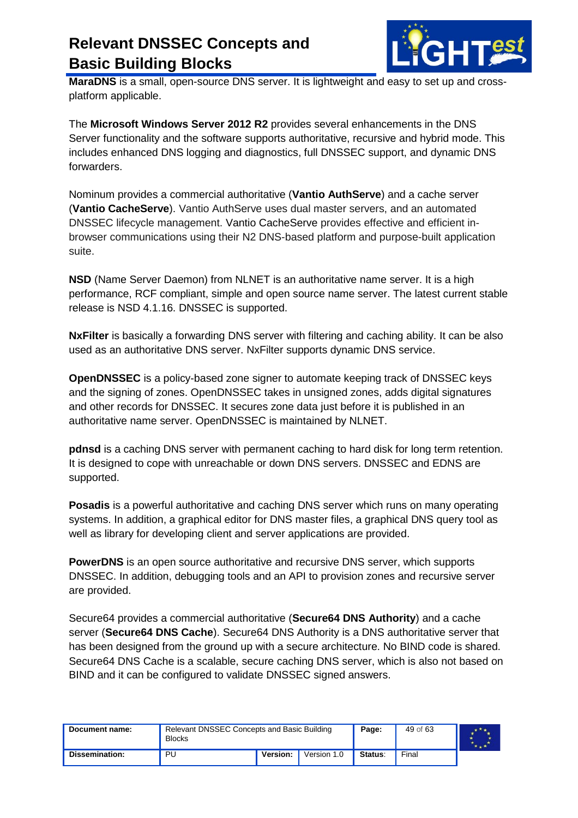

**MaraDNS** is a small, open-source DNS server. It is lightweight and easy to set up and crossplatform applicable.

The **Microsoft Windows Server 2012 R2** provides several enhancements in the DNS Server functionality and the software supports authoritative, recursive and hybrid mode. This includes enhanced DNS logging and diagnostics, full DNSSEC support, and dynamic DNS forwarders.

Nominum provides a commercial authoritative (**Vantio AuthServe**) and a cache server (**Vantio CacheServe**). Vantio AuthServe uses dual master servers, and an automated DNSSEC lifecycle management. Vantio CacheServe provides effective and efficient inbrowser communications using their N2 DNS-based platform and purpose-built application suite.

**NSD** (Name Server Daemon) from NLNET is an authoritative name server. It is a high performance, RCF compliant, simple and open source name server. The latest current stable release is NSD 4.1.16. DNSSEC is supported.

**NxFilter** is basically a forwarding DNS server with filtering and caching ability. It can be also used as an authoritative DNS server. NxFilter supports dynamic DNS service.

**OpenDNSSEC** is a policy-based zone signer to automate keeping track of DNSSEC keys and the signing of zones. OpenDNSSEC takes in unsigned zones, adds digital signatures and other records for DNSSEC. It secures zone data just before it is published in an authoritative name server. OpenDNSSEC is maintained by NLNET.

**pdnsd** is a caching DNS server with permanent caching to hard disk for long term retention. It is designed to cope with unreachable or down DNS servers. DNSSEC and EDNS are supported.

**Posadis** is a powerful authoritative and caching DNS server which runs on many operating systems. In addition, a graphical editor for DNS master files, a graphical DNS query tool as well as library for developing client and server applications are provided.

**PowerDNS** is an open source authoritative and recursive DNS server, which supports DNSSEC. In addition, debugging tools and an API to provision zones and recursive server are provided.

Secure64 provides a commercial authoritative (**Secure64 DNS Authority**) and a cache server (**Secure64 DNS Cache**). Secure64 DNS Authority is a DNS authoritative server that has been designed from the ground up with a secure architecture. No BIND code is shared. Secure64 DNS Cache is a scalable, secure caching DNS server, which is also not based on BIND and it can be configured to validate DNSSEC signed answers.

| Document name: | <b>Blocks</b> | Relevant DNSSEC Concepts and Basic Building |             |         |       |  |
|----------------|---------------|---------------------------------------------|-------------|---------|-------|--|
| Dissemination: | PU            | Version:                                    | Version 1.0 | Status: | Final |  |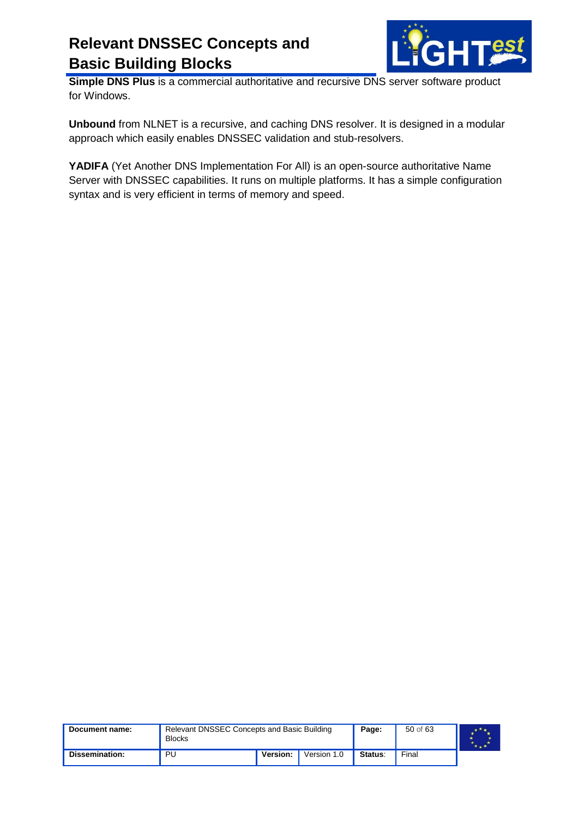

**Simple DNS Plus** is a commercial authoritative and recursive DNS server software product for Windows.

**Unbound** from NLNET is a recursive, and caching DNS resolver. It is designed in a modular approach which easily enables DNSSEC validation and stub-resolvers.

**YADIFA** (Yet Another DNS Implementation For All) is an open-source authoritative Name Server with DNSSEC capabilities. It runs on multiple platforms. It has a simple configuration syntax and is very efficient in terms of memory and speed.

| Document name: | Relevant DNSSEC Concepts and Basic Building<br><b>Blocks</b> | Page:    | 50 of 63    |                |       |  |
|----------------|--------------------------------------------------------------|----------|-------------|----------------|-------|--|
| Dissemination: | PU                                                           | Version: | Version 1.0 | <b>Status:</b> | Final |  |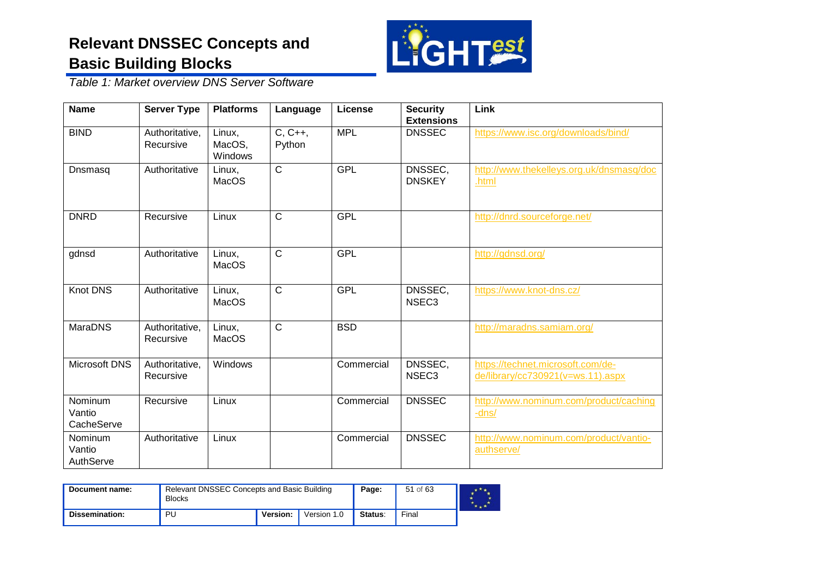

*Table 1: Market overview DNS Server Software*

| <b>Name</b>                           | <b>Server Type</b>          | <b>Platforms</b>            | Language            | <b>License</b> | <b>Security</b><br><b>Extensions</b> | Link                                                                   |
|---------------------------------------|-----------------------------|-----------------------------|---------------------|----------------|--------------------------------------|------------------------------------------------------------------------|
| <b>BIND</b>                           | Authoritative,<br>Recursive | Linux,<br>MacOS,<br>Windows | $C, C++,$<br>Python | <b>MPL</b>     | <b>DNSSEC</b>                        | https://www.isc.org/downloads/bind/                                    |
| Dnsmasq                               | Authoritative               | Linux,<br>MacOS             | $\mathsf{C}$        | <b>GPL</b>     | DNSSEC,<br><b>DNSKEY</b>             | http://www.thekelleys.org.uk/dnsmasq/doc<br>.html                      |
| <b>DNRD</b>                           | Recursive                   | Linux                       | $\mathsf{C}$        | <b>GPL</b>     |                                      | http://dnrd.sourceforge.net/                                           |
| gdnsd                                 | Authoritative               | Linux,<br>MacOS             | $\mathsf{C}$        | <b>GPL</b>     |                                      | http://gdnsd.org/                                                      |
| <b>Knot DNS</b>                       | Authoritative               | Linux,<br><b>MacOS</b>      | $\mathsf{C}$        | <b>GPL</b>     | DNSSEC,<br>NSEC <sub>3</sub>         | https://www.knot-dns.cz/                                               |
| <b>MaraDNS</b>                        | Authoritative,<br>Recursive | Linux,<br>MacOS             | $\mathsf{C}$        | <b>BSD</b>     |                                      | http://maradns.samiam.org/                                             |
| Microsoft DNS                         | Authoritative,<br>Recursive | Windows                     |                     | Commercial     | DNSSEC,<br>NSEC <sub>3</sub>         | https://technet.microsoft.com/de-<br>de/library/cc730921(v=ws.11).aspx |
| Nominum<br>Vantio<br>CacheServe       | Recursive                   | Linux                       |                     | Commercial     | <b>DNSSEC</b>                        | http://www.nominum.com/product/caching<br>-dns/                        |
| <b>Nominum</b><br>Vantio<br>AuthServe | Authoritative               | Linux                       |                     | Commercial     | <b>DNSSEC</b>                        | http://www.nominum.com/product/vantio-<br>authserve/                   |

| Document name: | Relevant DNSSEC Concepts and Basic Building<br><b>Blocks</b> | Page:           | 51 of 63    |         |       |  |
|----------------|--------------------------------------------------------------|-----------------|-------------|---------|-------|--|
| Dissemination: | PU                                                           | <b>Version:</b> | Version 1.0 | Status: | Final |  |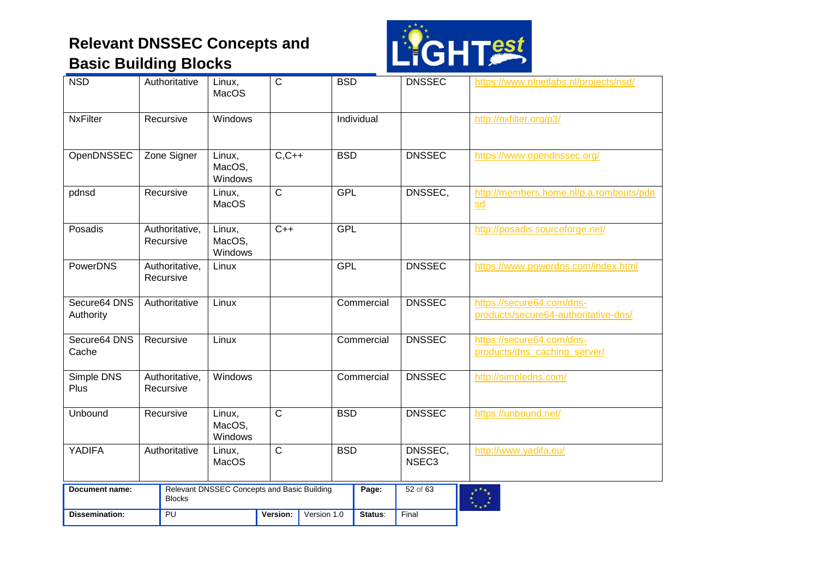

| <b>NSD</b>                | Authoritative               | Linux,<br><b>MacOS</b>                      | $\mathsf{C}$   |             | <b>BSD</b> |            | <b>DNSSEC</b>                | https://www.nlnetlabs.nl/projects/nsd/                               |
|---------------------------|-----------------------------|---------------------------------------------|----------------|-------------|------------|------------|------------------------------|----------------------------------------------------------------------|
| <b>NxFilter</b>           | Recursive                   | Windows                                     |                |             |            | Individual |                              | http://nxfilter.org/p3/                                              |
| OpenDNSSEC                | Zone Signer                 | Linux,<br>MacOS,<br>Windows                 | $C, C++$       |             | <b>BSD</b> |            | <b>DNSSEC</b>                | https://www.opendnssec.org/                                          |
| pdnsd                     | Recursive                   | Linux,<br><b>MacOS</b>                      | $\overline{C}$ |             | <b>GPL</b> |            | DNSSEC,                      | http://members.home.nl/p.a.rombouts/pdn<br>$\underline{\mathsf{sd}}$ |
| Posadis                   | Authoritative,<br>Recursive | Linux,<br>MacOS,<br>Windows                 | $C++$          |             | <b>GPL</b> |            |                              | http://posadis.sourceforge.net/                                      |
| PowerDNS                  | Authoritative,<br>Recursive | Linux                                       |                |             | <b>GPL</b> |            | <b>DNSSEC</b>                | https://www.powerdns.com/index.html                                  |
| Secure64 DNS<br>Authority | Authoritative               | Linux                                       |                |             |            | Commercial | <b>DNSSEC</b>                | https://secure64.com/dns-<br>products/secure64-authoritative-dns/    |
| Secure64 DNS<br>Cache     | Recursive                   | Linux                                       |                |             |            | Commercial | <b>DNSSEC</b>                | https://secure64.com/dns-<br>products/dns_caching_server/            |
| Simple DNS<br>Plus        | Authoritative,<br>Recursive | Windows                                     |                |             |            | Commercial | <b>DNSSEC</b>                | http://simpledns.com/                                                |
| Unbound                   | Recursive                   | Linux,<br>MacOS,<br>Windows                 | $\mathsf{C}$   |             | <b>BSD</b> |            | <b>DNSSEC</b>                | https://unbound.net/                                                 |
| YADIFA                    | Authoritative               | Linux,<br><b>MacOS</b>                      | $\overline{C}$ |             | <b>BSD</b> |            | DNSSEC,<br>NSEC <sub>3</sub> | http://www.yadifa.eu/                                                |
| <b>Document name:</b>     | <b>Blocks</b>               | Relevant DNSSEC Concepts and Basic Building |                |             |            | Page:      | 52 of 63                     |                                                                      |
| <b>Dissemination:</b>     | PU                          |                                             | Version:       | Version 1.0 |            | Status:    | Final                        |                                                                      |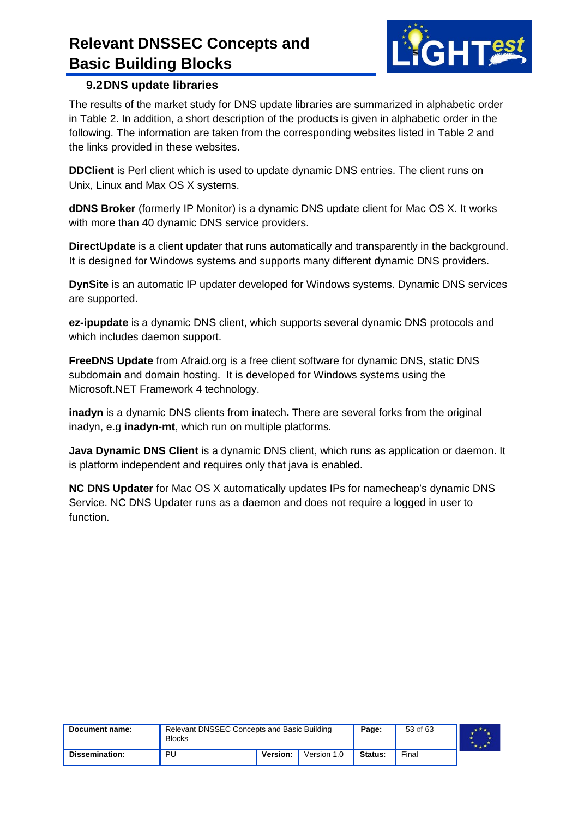

#### <span id="page-52-0"></span>**9.2DNS update libraries**

The results of the market study for DNS update libraries are summarized in alphabetic order in [Table 2.](#page-53-0) In addition, a short description of the products is given in alphabetic order in the following. The information are taken from the corresponding websites listed in [Table 2](#page-53-0) and the links provided in these websites.

**DDClient** is Perl client which is used to update dynamic DNS entries. The client runs on Unix, Linux and Max OS X systems.

**dDNS Broker** (formerly IP Monitor) is a dynamic DNS update client for Mac OS X. It works with more than 40 dynamic DNS service providers.

**DirectUpdate** is a client updater that runs automatically and transparently in the background. It is designed for Windows systems and supports many different dynamic DNS providers.

**DynSite** is an automatic IP updater developed for Windows systems. Dynamic DNS services are supported.

**ez-ipupdate** is a dynamic DNS client, which supports several dynamic DNS protocols and which includes daemon support.

**FreeDNS Update** from Afraid.org is a free client software for dynamic DNS, static DNS subdomain and domain hosting. It is developed for Windows systems using the Microsoft.NET Framework 4 technology.

**inadyn** is a dynamic DNS clients from inatech**.** There are several forks from the original inadyn, e.g **inadyn-mt**, which run on multiple platforms.

**Java Dynamic DNS Client** is a dynamic DNS client, which runs as application or daemon. It is platform independent and requires only that java is enabled.

**NC DNS Updater** for Mac OS X automatically updates IPs for namecheap's dynamic DNS Service. NC DNS Updater runs as a daemon and does not require a logged in user to function.

| Document name: | Relevant DNSSEC Concepts and Basic Building<br><b>Blocks</b> | Page:           | 53 of 63    |         |       |  |
|----------------|--------------------------------------------------------------|-----------------|-------------|---------|-------|--|
| Dissemination: | PU                                                           | <b>Version:</b> | Version 1.0 | Status: | Final |  |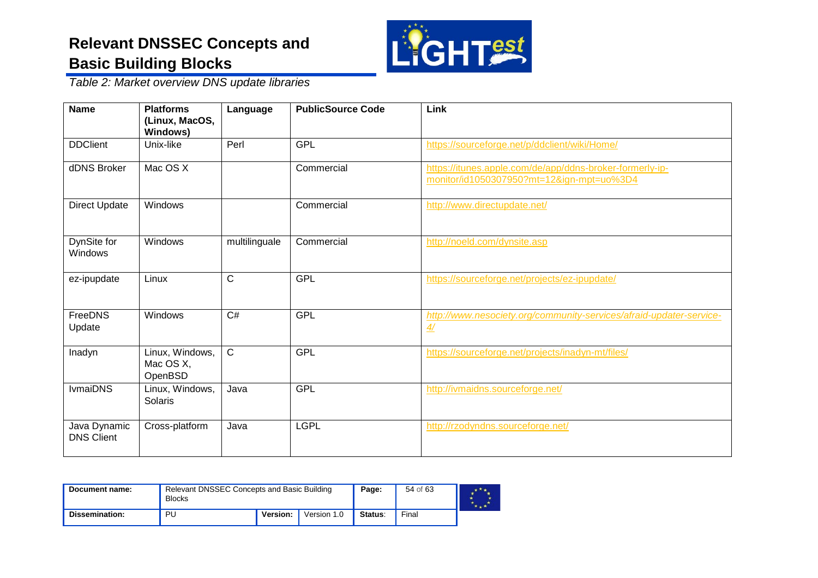

*Table 2: Market overview DNS update libraries*

| <b>Name</b>                       | <b>Platforms</b><br>(Linux, MacOS,<br><b>Windows)</b> | Language      | <b>PublicSource Code</b> | Link                                                                                                  |
|-----------------------------------|-------------------------------------------------------|---------------|--------------------------|-------------------------------------------------------------------------------------------------------|
| <b>DDClient</b>                   | Unix-like                                             | Perl          | <b>GPL</b>               | https://sourceforge.net/p/ddclient/wiki/Home/                                                         |
| dDNS Broker                       | Mac OS X                                              |               | Commercial               | https://itunes.apple.com/de/app/ddns-broker-formerly-ip-<br>monitor/id1050307950?mt=12&ign-mpt=uo%3D4 |
| Direct Update                     | Windows                                               |               | Commercial               | http://www.directupdate.net/                                                                          |
| DynSite for<br>Windows            | Windows                                               | multilinguale | Commercial               | http://noeld.com/dynsite.asp                                                                          |
| ez-ipupdate                       | Linux                                                 | $\mathsf{C}$  | <b>GPL</b>               | https://sourceforge.net/projects/ez-ipupdate/                                                         |
| FreeDNS<br>Update                 | Windows                                               | C#            | <b>GPL</b>               | http://www.nesociety.org/community-services/afraid-updater-service-<br>4/                             |
| Inadyn                            | Linux, Windows,<br>Mac OS X,<br>OpenBSD               | $\mathbf C$   | <b>GPL</b>               | https://sourceforge.net/projects/inadyn-mt/files/                                                     |
| <b>IvmaiDNS</b>                   | Linux, Windows,<br>Solaris                            | Java          | <b>GPL</b>               | http://ivmaidns.sourceforge.net/                                                                      |
| Java Dynamic<br><b>DNS Client</b> | Cross-platform                                        | Java          | <b>LGPL</b>              | http://rzodyndns.sourceforge.net/                                                                     |

<span id="page-53-0"></span>

| Document name:        | <b>Blocks</b> | Relevant DNSSEC Concepts and Basic Building |  |  | 54 of 63 |  |
|-----------------------|---------------|---------------------------------------------|--|--|----------|--|
| <b>Dissemination:</b> | PU            | Version:<br>Version 1.0                     |  |  | Final    |  |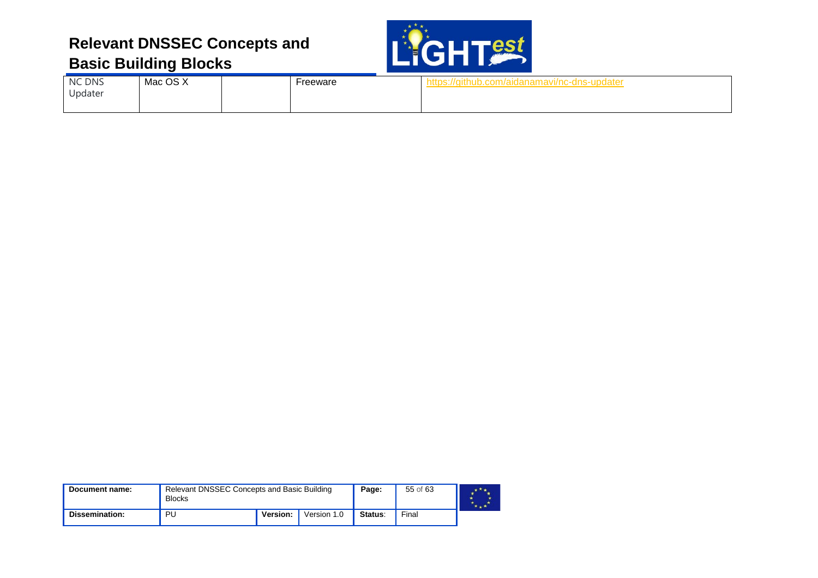

| NC DNS  | Mac OS X | Freeware | https://github.com/aidanamavi/nc-dns-updater |  |
|---------|----------|----------|----------------------------------------------|--|
| Updater |          |          |                                              |  |

| Document name: | Relevant DNSSEC Concepts and Basic Building<br><b>Blocks</b> |                                |  | Page: | 55 of 63 |  |
|----------------|--------------------------------------------------------------|--------------------------------|--|-------|----------|--|
| Dissemination: | PU                                                           | <b>Version:</b><br>Version 1.0 |  |       | Final    |  |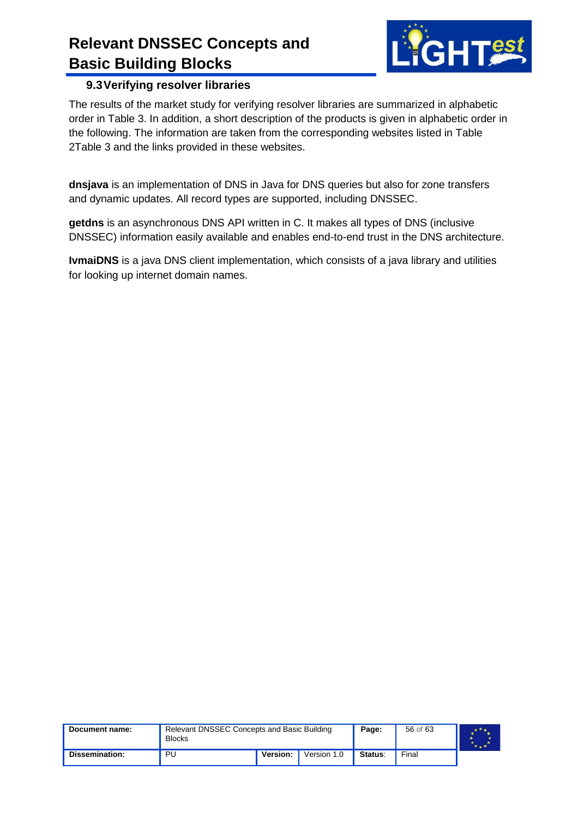

#### <span id="page-55-0"></span>**9.3Verifying resolver libraries**

The results of the market study for verifying resolver libraries are summarized in alphabetic order in [Table 3.](#page-56-0) In addition, a short description of the products is given in alphabetic order in the following. The information are taken from the corresponding websites listed in [Table](#page-53-0)  [2](#page-53-0)[Table 3](#page-56-0) and the links provided in these websites.

**dnsjava** is an implementation of DNS in Java for DNS queries but also for zone transfers and dynamic updates. All record types are supported, including DNSSEC.

**getdns** is an asynchronous DNS API written in C. It makes all types of DNS (inclusive DNSSEC) information easily available and enables end-to-end trust in the DNS architecture.

**IvmaiDNS** is a java DNS client implementation, which consists of a java library and utilities for looking up internet domain names.

| Document name: | <b>Blocks</b> | <b>Relevant DNSSEC Concepts and Basic Building</b> |             |         | 56 of 63 |  |
|----------------|---------------|----------------------------------------------------|-------------|---------|----------|--|
| Dissemination: | PU            | Version:                                           | Version 1.0 | Status: | Final    |  |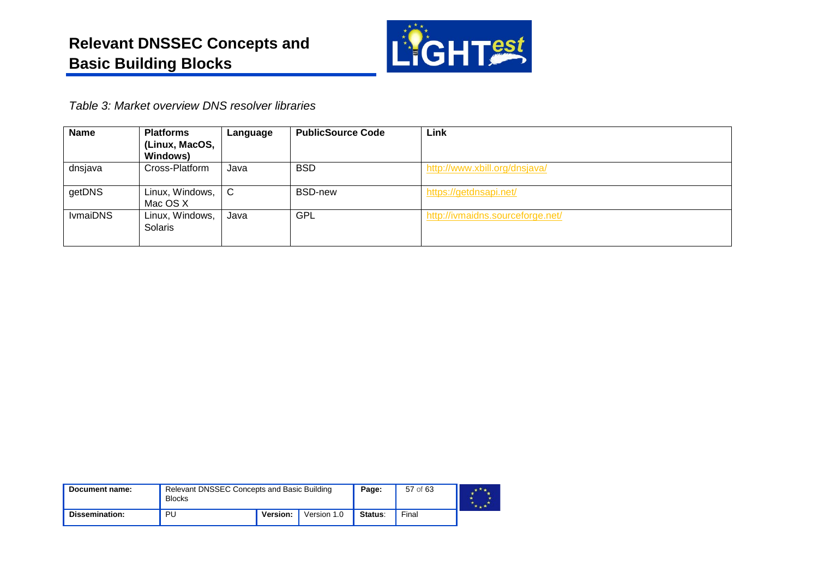

*Table 3: Market overview DNS resolver libraries*

| <b>Name</b>     | <b>Platforms</b><br>(Linux, MacOS,<br><b>Windows)</b> | Language | <b>PublicSource Code</b> | Link                             |
|-----------------|-------------------------------------------------------|----------|--------------------------|----------------------------------|
| dnsjava         | Cross-Platform                                        | Java     | <b>BSD</b>               | http://www.xbill.org/dnsjava/    |
| getDNS          | Linux, Windows, $\mid$ C<br>Mac OS X                  |          | <b>BSD-new</b>           | https://getdnsapi.net/           |
| <b>IvmaiDNS</b> | Linux, Windows,<br>Solaris                            | Java     | <b>GPL</b>               | http://ivmaidns.sourceforge.net/ |

<span id="page-56-0"></span>

| Document name: | Relevant DNSSEC Concepts and Basic Building<br><b>Blocks</b> |                         |  | Page: | 57 of 63 |  |
|----------------|--------------------------------------------------------------|-------------------------|--|-------|----------|--|
| Dissemination: | PU                                                           | Version:<br>Version 1.0 |  |       | Final    |  |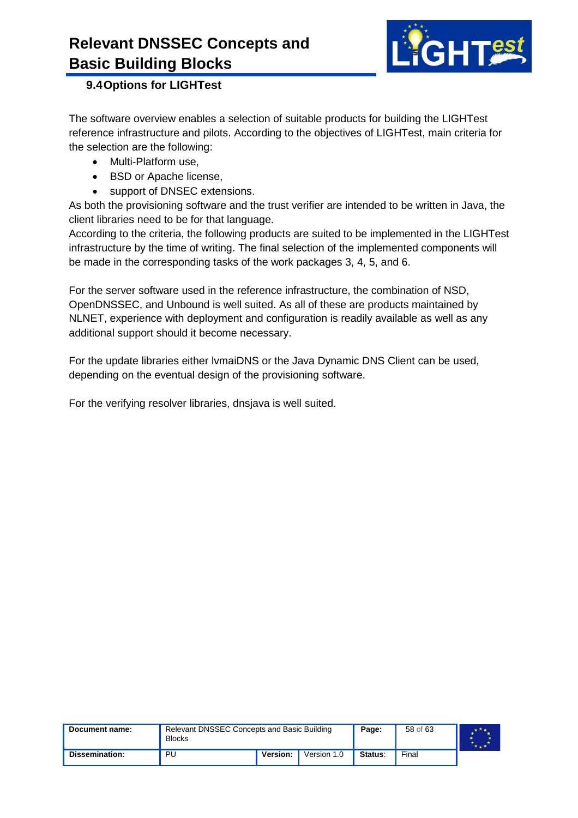

#### <span id="page-57-0"></span>**9.4Options for LIGHTest**

The software overview enables a selection of suitable products for building the LIGHTest reference infrastructure and pilots. According to the objectives of LIGHTest, main criteria for the selection are the following:

- Multi-Platform use,
- BSD or Apache license,
- support of DNSEC extensions.

As both the provisioning software and the trust verifier are intended to be written in Java, the client libraries need to be for that language.

According to the criteria, the following products are suited to be implemented in the LIGHTest infrastructure by the time of writing. The final selection of the implemented components will be made in the corresponding tasks of the work packages 3, 4, 5, and 6.

For the server software used in the reference infrastructure, the combination of NSD, OpenDNSSEC, and Unbound is well suited. As all of these are products maintained by NLNET, experience with deployment and configuration is readily available as well as any additional support should it become necessary.

For the update libraries either lvmaiDNS or the Java Dynamic DNS Client can be used, depending on the eventual design of the provisioning software.

For the verifying resolver libraries, dnsjava is well suited.

| Document name: | <b>Blocks</b>                 | Relevant DNSSEC Concepts and Basic Building |  |         | 58 of 63 |  |
|----------------|-------------------------------|---------------------------------------------|--|---------|----------|--|
| Dissemination: | Version:<br>PU<br>Version 1.0 |                                             |  | Status: | Final    |  |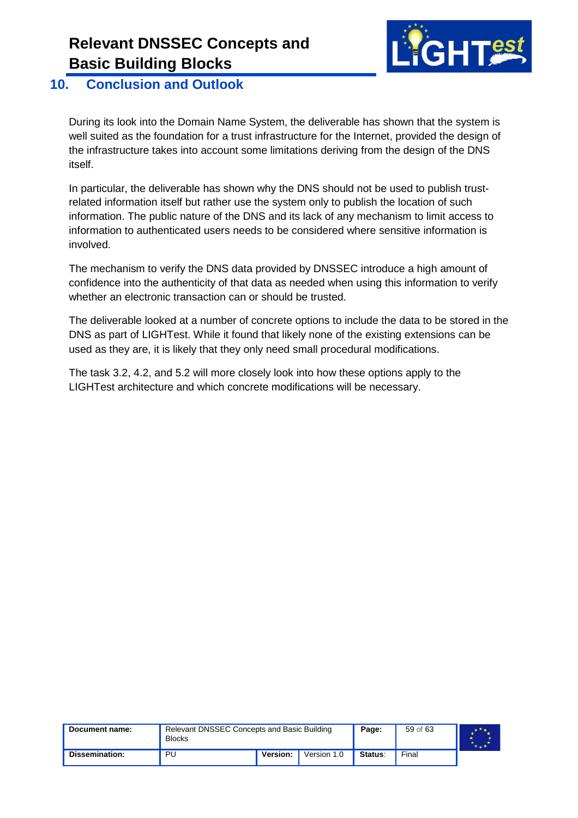

#### <span id="page-58-0"></span>**10. Conclusion and Outlook**

During its look into the Domain Name System, the deliverable has shown that the system is well suited as the foundation for a trust infrastructure for the Internet, provided the design of the infrastructure takes into account some limitations deriving from the design of the DNS itself.

In particular, the deliverable has shown why the DNS should not be used to publish trustrelated information itself but rather use the system only to publish the location of such information. The public nature of the DNS and its lack of any mechanism to limit access to information to authenticated users needs to be considered where sensitive information is involved.

The mechanism to verify the DNS data provided by DNSSEC introduce a high amount of confidence into the authenticity of that data as needed when using this information to verify whether an electronic transaction can or should be trusted.

The deliverable looked at a number of concrete options to include the data to be stored in the DNS as part of LIGHTest. While it found that likely none of the existing extensions can be used as they are, it is likely that they only need small procedural modifications.

The task 3.2, 4.2, and 5.2 will more closely look into how these options apply to the LIGHTest architecture and which concrete modifications will be necessary.

| Document name: | Relevant DNSSEC Concepts and Basic Building<br><b>Blocks</b> |  |  | Page:          | 59 of 63 |  |
|----------------|--------------------------------------------------------------|--|--|----------------|----------|--|
| Dissemination: | <b>Version:</b><br>PU<br>Version 1.0                         |  |  | <b>Status:</b> | Final    |  |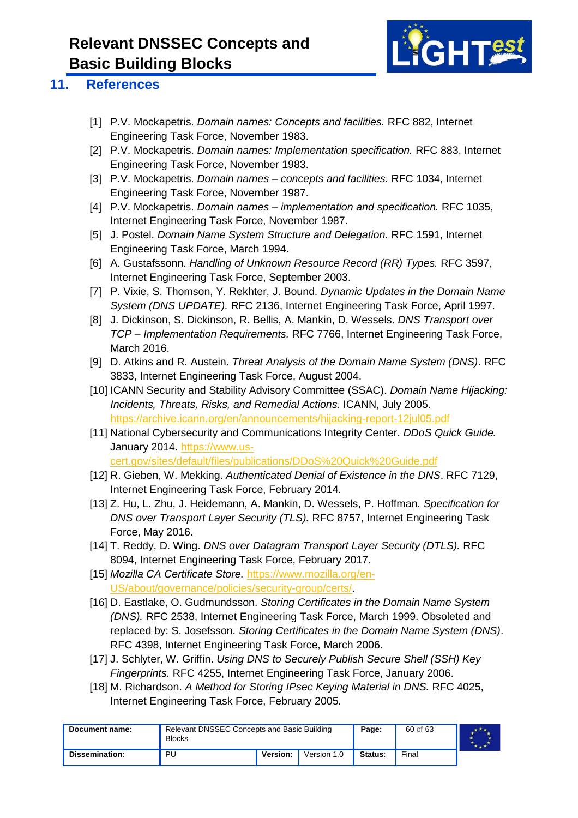

#### <span id="page-59-0"></span>**11. References**

- <span id="page-59-1"></span>[1] P.V. Mockapetris. *Domain names: Concepts and facilities.* RFC 882, Internet Engineering Task Force, November 1983.
- <span id="page-59-2"></span>[2] P.V. Mockapetris. *Domain names: Implementation specification.* RFC 883, Internet Engineering Task Force, November 1983.
- <span id="page-59-3"></span>[3] P.V. Mockapetris. *Domain names – concepts and facilities.* RFC 1034, Internet Engineering Task Force, November 1987.
- <span id="page-59-4"></span>[4] P.V. Mockapetris. *Domain names – implementation and specification.* RFC 1035, Internet Engineering Task Force, November 1987.
- <span id="page-59-5"></span>[5] J. Postel. *Domain Name System Structure and Delegation.* RFC 1591, Internet Engineering Task Force, March 1994.
- <span id="page-59-6"></span>[6] A. Gustafssonn. *Handling of Unknown Resource Record (RR) Types.* RFC 3597, Internet Engineering Task Force, September 2003.
- [7] P. Vixie, S. Thomson, Y. Rekhter, J. Bound. *Dynamic Updates in the Domain Name System (DNS UPDATE).* RFC 2136, Internet Engineering Task Force, April 1997.
- <span id="page-59-8"></span>[8] J. Dickinson, S. Dickinson, R. Bellis, A. Mankin, D. Wessels. *DNS Transport over TCP – Implementation Requirements.* RFC 7766, Internet Engineering Task Force, March 2016.
- <span id="page-59-7"></span>[9] D. Atkins and R. Austein. *Threat Analysis of the Domain Name System (DNS)*. RFC 3833, Internet Engineering Task Force, August 2004.
- <span id="page-59-9"></span>[10] ICANN Security and Stability Advisory Committee (SSAC). *Domain Name Hijacking: Incidents, Threats, Risks, and Remedial Actions.* ICANN, July 2005. <https://archive.icann.org/en/announcements/hijacking-report-12jul05.pdf>
- <span id="page-59-10"></span>[11] National Cybersecurity and Communications Integrity Center. *DDoS Quick Guide.* January 2014. [https://www.us](https://www.us-cert.gov/sites/default/files/publications/DDoS%20Quick%20Guide.pdf)[cert.gov/sites/default/files/publications/DDoS%20Quick%20Guide.pdf](https://www.us-cert.gov/sites/default/files/publications/DDoS%20Quick%20Guide.pdf)
- <span id="page-59-11"></span>[12] R. Gieben, W. Mekking. *Authenticated Denial of Existence in the DNS*. RFC 7129, Internet Engineering Task Force, February 2014.
- <span id="page-59-12"></span>[13] Z. Hu, L. Zhu, J. Heidemann, A. Mankin, D. Wessels, P. Hoffman. *Specification for DNS over Transport Layer Security (TLS).* RFC 8757, Internet Engineering Task Force, May 2016.
- <span id="page-59-13"></span>[14] T. Reddy, D. Wing. *DNS over Datagram Transport Layer Security (DTLS).* RFC 8094, Internet Engineering Task Force, February 2017.
- <span id="page-59-14"></span>[15] *Mozilla CA Certificate Store.* [https://www.mozilla.org/en-](https://www.mozilla.org/en-US/about/governance/policies/security-group/certs/)[US/about/governance/policies/security-group/certs/.](https://www.mozilla.org/en-US/about/governance/policies/security-group/certs/)
- [16] D. Eastlake, O. Gudmundsson. *Storing Certificates in the Domain Name System (DNS).* RFC 2538, Internet Engineering Task Force, March 1999. Obsoleted and replaced by: S. Josefsson. *Storing Certificates in the Domain Name System (DNS)*. RFC 4398, Internet Engineering Task Force, March 2006.
- <span id="page-59-15"></span>[17] J. Schlyter, W. Griffin. *Using DNS to Securely Publish Secure Shell (SSH) Key Fingerprints.* RFC 4255, Internet Engineering Task Force, January 2006.
- <span id="page-59-16"></span>[18] M. Richardson. *A Method for Storing IPsec Keying Material in DNS.* RFC 4025, Internet Engineering Task Force, February 2005.

| Document name: | Relevant DNSSEC Concepts and Basic Building<br><b>Blocks</b> |          |             | Page:   | 60 of 63 |  |
|----------------|--------------------------------------------------------------|----------|-------------|---------|----------|--|
| Dissemination: | PU                                                           | Version: | Version 1.0 | Status: | Final    |  |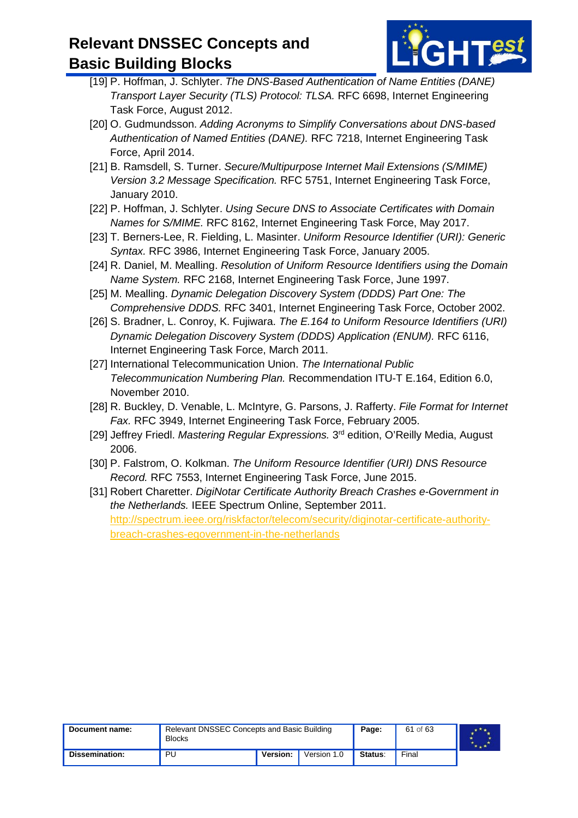

- <span id="page-60-1"></span>[19] P. Hoffman, J. Schlyter. *The DNS-Based Authentication of Name Entities (DANE) Transport Layer Security (TLS) Protocol: TLSA.* RFC 6698, Internet Engineering Task Force, August 2012.
- <span id="page-60-2"></span>[20] O. Gudmundsson. *Adding Acronyms to Simplify Conversations about DNS-based Authentication of Named Entities (DANE).* RFC 7218, Internet Engineering Task Force, April 2014.
- <span id="page-60-3"></span>[21] B. Ramsdell, S. Turner. *Secure/Multipurpose Internet Mail Extensions (S/MIME) Version 3.2 Message Specification.* RFC 5751, Internet Engineering Task Force, January 2010.
- <span id="page-60-4"></span>[22] P. Hoffman, J. Schlyter. *Using Secure DNS to Associate Certificates with Domain Names for S/MIME.* RFC 8162, Internet Engineering Task Force, May 2017.
- <span id="page-60-5"></span>[23] T. Berners-Lee, R. Fielding, L. Masinter. *Uniform Resource Identifier (URI): Generic Syntax.* RFC 3986, Internet Engineering Task Force, January 2005.
- <span id="page-60-6"></span>[24] R. Daniel, M. Mealling. *Resolution of Uniform Resource Identifiers using the Domain Name System.* RFC 2168, Internet Engineering Task Force, June 1997.
- <span id="page-60-7"></span>[25] M. Mealling. *Dynamic Delegation Discovery System (DDDS) Part One: The Comprehensive DDDS.* RFC 3401, Internet Engineering Task Force, October 2002.
- <span id="page-60-8"></span>[26] S. Bradner, L. Conroy, K. Fujiwara. *The E.164 to Uniform Resource Identifiers (URI) Dynamic Delegation Discovery System (DDDS) Application (ENUM).* RFC 6116, Internet Engineering Task Force, March 2011.
- <span id="page-60-9"></span>[27] International Telecommunication Union. *The International Public Telecommunication Numbering Plan.* Recommendation ITU-T E.164, Edition 6.0, November 2010.
- <span id="page-60-10"></span>[28] R. Buckley, D. Venable, L. McIntyre, G. Parsons, J. Rafferty. *File Format for Internet Fax.* RFC 3949, Internet Engineering Task Force, February 2005.
- <span id="page-60-11"></span>[29] Jeffrey Friedl. *Mastering Regular Expressions.* 3rd edition, O'Reilly Media, August 2006.
- <span id="page-60-12"></span>[30] P. Falstrom, O. Kolkman. *The Uniform Resource Identifier (URI) DNS Resource Record.* RFC 7553, Internet Engineering Task Force, June 2015.
- <span id="page-60-0"></span>[31] Robert Charetter. *DigiNotar Certificate Authority Breach Crashes e-Government in the Netherlands.* IEEE Spectrum Online, September 2011. [http://spectrum.ieee.org/riskfactor/telecom/security/diginotar-certificate-authority](http://spectrum.ieee.org/riskfactor/telecom/security/diginotar-certificate-authority-breach-crashes-egovernment-in-the-netherlands)[breach-crashes-egovernment-in-the-netherlands](http://spectrum.ieee.org/riskfactor/telecom/security/diginotar-certificate-authority-breach-crashes-egovernment-in-the-netherlands)

| Document name: | Relevant DNSSEC Concepts and Basic Building<br><b>Blocks</b> |                         |  | Page: | 61 of 63 |  |
|----------------|--------------------------------------------------------------|-------------------------|--|-------|----------|--|
| Dissemination: | ΡU                                                           | Version:<br>Version 1.0 |  |       |          |  |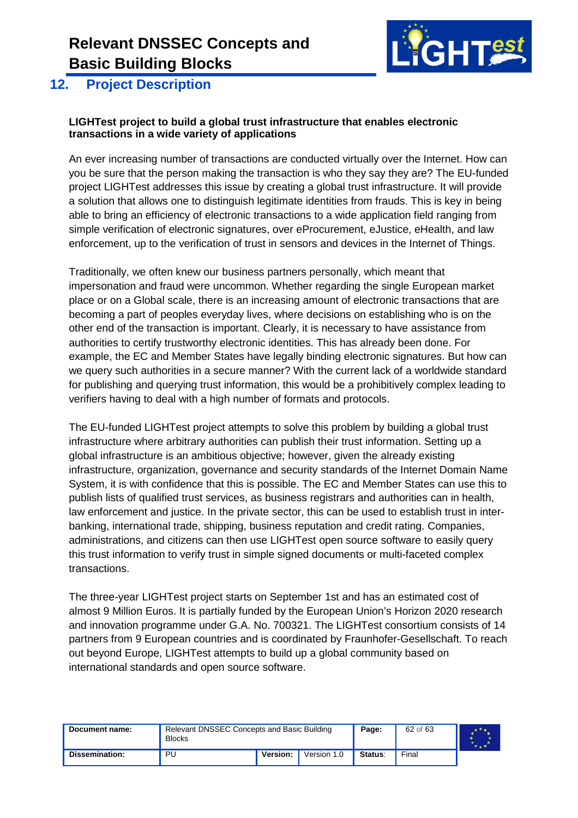

#### <span id="page-61-0"></span>**12. Project Description**

#### **LIGHTest project to build a global trust infrastructure that enables electronic transactions in a wide variety of applications**

An ever increasing number of transactions are conducted virtually over the Internet. How can you be sure that the person making the transaction is who they say they are? The EU-funded project LIGHTest addresses this issue by creating a global trust infrastructure. It will provide a solution that allows one to distinguish legitimate identities from frauds. This is key in being able to bring an efficiency of electronic transactions to a wide application field ranging from simple verification of electronic signatures, over eProcurement, eJustice, eHealth, and law enforcement, up to the verification of trust in sensors and devices in the Internet of Things.

Traditionally, we often knew our business partners personally, which meant that impersonation and fraud were uncommon. Whether regarding the single European market place or on a Global scale, there is an increasing amount of electronic transactions that are becoming a part of peoples everyday lives, where decisions on establishing who is on the other end of the transaction is important. Clearly, it is necessary to have assistance from authorities to certify trustworthy electronic identities. This has already been done. For example, the EC and Member States have legally binding electronic signatures. But how can we query such authorities in a secure manner? With the current lack of a worldwide standard for publishing and querying trust information, this would be a prohibitively complex leading to verifiers having to deal with a high number of formats and protocols.

The EU-funded LIGHTest project attempts to solve this problem by building a global trust infrastructure where arbitrary authorities can publish their trust information. Setting up a global infrastructure is an ambitious objective; however, given the already existing infrastructure, organization, governance and security standards of the Internet Domain Name System, it is with confidence that this is possible. The EC and Member States can use this to publish lists of qualified trust services, as business registrars and authorities can in health, law enforcement and justice. In the private sector, this can be used to establish trust in interbanking, international trade, shipping, business reputation and credit rating. Companies, administrations, and citizens can then use LIGHTest open source software to easily query this trust information to verify trust in simple signed documents or multi-faceted complex transactions.

The three-year LIGHTest project starts on September 1st and has an estimated cost of almost 9 Million Euros. It is partially funded by the European Union's Horizon 2020 research and innovation programme under G.A. No. 700321. The LIGHTest consortium consists of 14 partners from 9 European countries and is coordinated by Fraunhofer-Gesellschaft. To reach out beyond Europe, LIGHTest attempts to build up a global community based on international standards and open source software.

| Document name: | Relevant DNSSEC Concepts and Basic Building<br><b>Blocks</b> |                         |  | Page: | 62 of 63 |  |
|----------------|--------------------------------------------------------------|-------------------------|--|-------|----------|--|
| Dissemination: | PU                                                           | Version:<br>Version 1.0 |  |       |          |  |